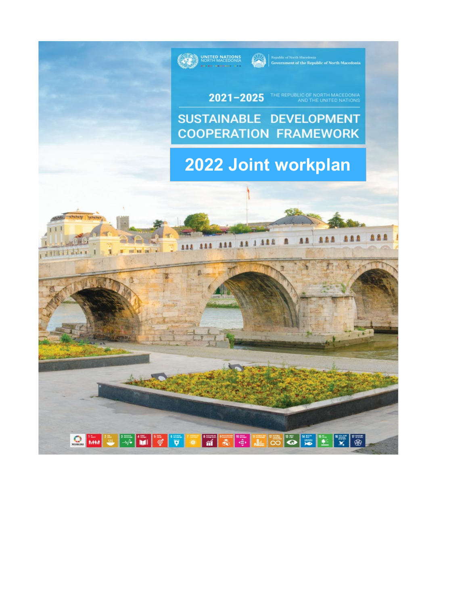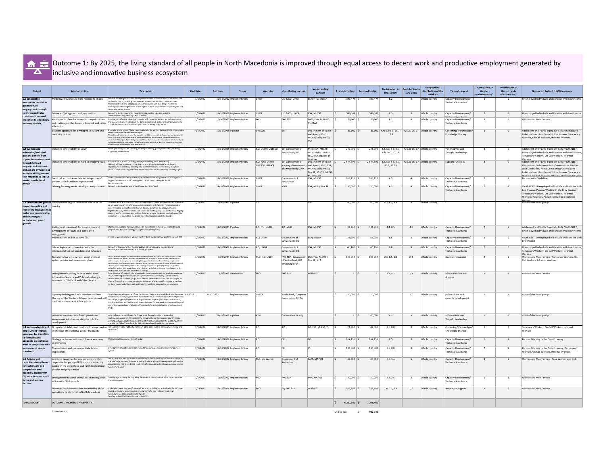

# **Outcome 1: By 2025, the living standard of all people in North Macedonia is improved through equal access to decent work and productive employment generated by** inclusive and innovative business ecosystem

| Output                                                                                                                             | Sub-output title                                                                                                                                                                                        | Description                                                                                                                                                                                                                                                                                                                                                                                                                                                                                                                                                                                                                                             | <b>Start date</b> | <b>End date</b><br><b>Status</b> | Agencie                          | <b>Contributing partners</b>                                                   | Implementing<br>partners                                                                               | vailable budget | <b>Required budget</b> | <b>Contribution to</b><br><b>SDG Targets</b>                                                  | <b>Contribution to</b><br><b>SDG Goal</b> | Geographical<br>distribution of the<br>activities | <b>Type of support</b>                                                       | <b>Contribution t</b><br>Gender<br>mainstreaming* | <b>Contribution to</b><br><b>Human rights</b><br>advancement* | Groups left behind (LNOB) coverage                                                                                                                                                                                                                                               |
|------------------------------------------------------------------------------------------------------------------------------------|---------------------------------------------------------------------------------------------------------------------------------------------------------------------------------------------------------|---------------------------------------------------------------------------------------------------------------------------------------------------------------------------------------------------------------------------------------------------------------------------------------------------------------------------------------------------------------------------------------------------------------------------------------------------------------------------------------------------------------------------------------------------------------------------------------------------------------------------------------------------------|-------------------|----------------------------------|----------------------------------|--------------------------------------------------------------------------------|--------------------------------------------------------------------------------------------------------|-----------------|------------------------|-----------------------------------------------------------------------------------------------|-------------------------------------------|---------------------------------------------------|------------------------------------------------------------------------------|---------------------------------------------------|---------------------------------------------------------------|----------------------------------------------------------------------------------------------------------------------------------------------------------------------------------------------------------------------------------------------------------------------------------|
| 1.1 Sustainable<br>enterprises created as<br>generators of<br>employment through                                                   | Modernized businesses more resilient to shocks                                                                                                                                                          | Transfer knowledge from more developed economies on how to make businesses more<br>resilient to shocks, including opportunities to introduce automatization and latest<br>technology trends and adopt production lines; In line with this, design models for<br>training and re-training that will enable higher number of workers to keep their jobs and<br>become more employable                                                                                                                                                                                                                                                                     | 1/1/2022          | 12/31/2022 Implementation        | <b>UNDP</b>                      | UK; MKD; UNDP                                                                  | ESA; FITD; MoLSP                                                                                       | 343,474         | 343,474                | 8.2                                                                                           |                                           | Whole country                                     | Capacity Development<br><b>Technical Assistance</b>                          |                                                   |                                                               | Unemployed Individuals and Families with Low Income                                                                                                                                                                                                                              |
| strengthened value                                                                                                                 | Enhanced SMEs growth and job creation                                                                                                                                                                   | Support to the Government's commitment to creating jobs and reducing<br>unemployment; support for growth of MSMEs                                                                                                                                                                                                                                                                                                                                                                                                                                                                                                                                       | 1/1/2022          | 12/31/2022 Implementation        | <b>UNDP</b>                      | UK; MKD; UNDP                                                                  | ESA; MoLSP                                                                                             | 546,169         | 546,169                | 8.3                                                                                           |                                           | Whole country                                     | Capacity Development/                                                        |                                                   |                                                               | Unemployed Individuals and Families with Low Income                                                                                                                                                                                                                              |
| chains and increased<br>capacities to adopt new<br>business models                                                                 | Know-how in place for increased competitiveness<br>and resilience of the domestic livestock and cattle<br>sub-sector                                                                                    | Development of cattle value chain analysis with recommendations for improvement of<br>the productivity and resilience of the domestic cattle sub-sector, including investments<br>to improve the cattle value chain capacity and breeding programme                                                                                                                                                                                                                                                                                                                                                                                                     | 1/1/2022          | 6/30/2022 Implementation         | FAO                              | <b>FAO TCP</b>                                                                 | <b>FAFS; FVA; MAFWE;</b>                                                                               | 50,000          | 50.000                 | 8.2                                                                                           |                                           | Whole country                                     | Technical Assistance<br>Capacity Development/<br><b>Technical Assistance</b> |                                                   |                                                               | <b>Women and Men Farmers</b>                                                                                                                                                                                                                                                     |
|                                                                                                                                    | Business opportunities developed in culture and<br>creativity sectors                                                                                                                                   | 4-years EU-funded project ("Culture and Creativity for the Western Balkans (CC4WBs)") targets IPA<br>Beneficiaries in the Westerns Balkans region.<br>The Action will strive to enhance the capacities of CCSs to promote inclusive, fair and sustainable<br>socio-economic development and to eventually improve reconciliation and good neighbourly<br>relations in the region. Particularly, improve the performance of the cultural and creative sector in<br>the Western Balkans; strengthen cultural cooperation within and with the Western Balkans; and<br>enhance cultural heritage for local development                                      | 4/1/2022          | 12/31/2025 Pipeline              | UNESCO                           |                                                                                | Department of Youth<br>and Sports, MoE;<br>MCNH; MEP; MoES;                                            | 33,000          |                        | 33,000   4.4; 5.c; 8.3; 16.7;   4, 5, 8, 16, 17   Whole country<br>17.9                       |                                           |                                                   | Convening/Partnerships/<br>Knowledge Sharing                                 |                                                   |                                                               | Adolescent and Youth, Especially Girls; Unemployed<br>Individuals and Families with Low Income; Temporary<br>Workers, On-Call Workers, Informal Workers                                                                                                                          |
| 1.2 Women and<br>vulnerable/excluded<br>persons benefit from                                                                       | Increased employability of youth                                                                                                                                                                        | Youth guarantee, ALMM (training, on the job training, job experience etc), enabling<br>supporting environment                                                                                                                                                                                                                                                                                                                                                                                                                                                                                                                                           | 1/1/2022          | 12/31/2025 Implementation        | ILO; UNDP; UNESCO                | EU; Government of<br>Switzerland; ILO                                          | MoE; ESA; MCNH;<br>MEP; MoES; MoLSP;<br>SSO, Municipality of                                           | 242,900         |                        | 243,000 $\vert$ 4.4, 5.c, 8.3, 8.5, $\vert$ 4, 5, 8, 16, 17 Whole country<br>8.b, 16.7, 17.19 |                                           |                                                   | Policy Advice and<br>Thought Leadership                                      |                                                   |                                                               | Adolescent and Youth, Especially Girls; Youth NEET;<br>Unemployed Individuals and Families with Low Income;<br>Temporary Workers, On-Call Workers, Informal                                                                                                                      |
| supportive environment<br>through tailored<br>employment measures<br>and a more dynamic and<br>inclusive skilling system           | Increased employability of hard to employ people                                                                                                                                                        | Participation in ALMM (training, on the jobs training, work experience);<br>Skilling/reskilling; Access to LLL; Activation; changing the narrative about labour<br>migration; Care economy, including new social services and their delivery; inception<br>phase of the Business opportunities developed in culture and creativity sectors project                                                                                                                                                                                                                                                                                                      | 1/1/2022          | 12/31/2025 Implementation        | ILO; IOM; UNDP;<br>UNESCO; UNHCR | EU; Government of<br>Norway; Government<br>of Switzerland; MKD                 | Department of Youth<br>and Sports, MoE; ESA;<br>MCNH; MEP; MoES;<br>MoLSP; MoPril; MoSO;<br>MnSht: SSO | 2,574,302       | 2,574,302              | 4.4, 5.c, 8.3, 8.5,<br>16.7, 17.19                                                            |                                           | $\vert$ 4, 5, 8, 16, 17 Whole country             | <b>Support Functions</b>                                                     |                                                   |                                                               | Workers<br>Adolescent and Youth, Especially Girls; Youth NEET;<br>Women and Girls from Ethnic Communities; Persons<br>with Disabilities; Roma Community; Unemployed<br>Individuals and Families with Low Income; Temporary<br>Workers On-Call Workers Informal Workers: Refugees |
| that responds to labour<br>market needs for all<br>people                                                                          | Social reform on Labour Market Integration of<br>persons with disabilities implemented                                                                                                                  | Professional Rehabilitation centres for PwD established; Integrated Case Management;<br>Support implementation of the key pillars set with the Strategy for Social<br>Entrepreneurship                                                                                                                                                                                                                                                                                                                                                                                                                                                                  | 1/1/2022          | 12/31/2022 Implementation        | <b>UNDP</b>                      | Government of<br>Switzerland                                                   | ESA; MoLSP                                                                                             | 663,118         | 663,118                | 4.5                                                                                           |                                           | Whole country                                     | Capacity Development<br><b>Technical Assistance</b>                          |                                                   |                                                               | Persons with Disabilities                                                                                                                                                                                                                                                        |
|                                                                                                                                    | Lifelong learning model developed and promoted                                                                                                                                                          | Support to the development of the lifelong learning model                                                                                                                                                                                                                                                                                                                                                                                                                                                                                                                                                                                               | 1/1/2022          | 12/31/2022 Implementation        | <b>UNDP</b>                      | <b>MKD</b>                                                                     | ESA; MoES; MoLSP                                                                                       | 50,000          | 50,000                 | 4.3                                                                                           |                                           | Whole country                                     | Capacity Development<br><b>Technical Assistance</b>                          |                                                   |                                                               | Youth NEET; Unemployed Individuals and Families with<br>Low Income; Persons Working in the Grey Economy;<br>Temporary Workers, On-Call Workers, Informal<br>Workers; Refugees, Asylum-seekers and Stateless                                                                      |
| responsive policy and<br>regulatory measures that<br>foster entrepreneurship<br>and financing for<br>inclusive and green<br>growth | 1.3 Enhanced and gender Preparation of Digital Innovation Profile of the<br><b>Country</b>                                                                                                              | In coordination with the MISA, the Digital Innovation Profile will be developed to provide<br>an accurate assessment of the ecosystem's capacity and maturity. The assessment is<br>done through a series of events in which stakeholders from the ecosystem come<br>together to analyze the current situation and co-create appropriate solutions via flagship<br>projects and/or initiatives, and policies designed to close the digital innovation gap. The<br>overall aim is to strengthen the digital innovation capabilities of the country.                                                                                                      | 2/1/2022          | 4/30/2022 Pipeline               | <b>ITU</b>                       | litu -                                                                         | IITU.                                                                                                  | 40.000          | 40.000                 | 8.2.8.3.8.b                                                                                   |                                           | Whole country                                     |                                                                              |                                                   |                                                               | None of the listed groups                                                                                                                                                                                                                                                        |
|                                                                                                                                    | Institutional framework for anticipation and<br>development of future and digital skills<br>strengthened                                                                                                | SNA System support; Inclusive dialogue on market skills demand; Models for training<br>programmes; National Strategy on Digital Skills development                                                                                                                                                                                                                                                                                                                                                                                                                                                                                                      | 1/1/2022          | 12/31/2025 Pipeline              | ILO; ITU; UNDP                   | ILO; MKD                                                                       | ESA; MoLSP                                                                                             | 39,900          | 334,900                | 4.4, 8.5                                                                                      | 4.5                                       | Whole country                                     | Capacity Development<br><b>Technical Assistance</b>                          |                                                   |                                                               | Adolescent and Youth, Especially Girls; Youth NEET;<br>Unemployed Individuals and Families with Low Income                                                                                                                                                                       |
|                                                                                                                                    | More resilient and responsive ESA                                                                                                                                                                       | On line services; Document Management System; Digital learning platform for ESA staff                                                                                                                                                                                                                                                                                                                                                                                                                                                                                                                                                                   | 1/1/2022          | 12/31/2022 Implementation        | ILO; UNDP                        | Government of<br>Switzerland; ILO                                              | <b>ESA</b> ; MoLSP                                                                                     | 24,900          | 84,900                 | 8.5                                                                                           |                                           | Whole country                                     | Capacity Development/<br><b>Technical Assistance</b>                         |                                                   |                                                               | Youth NEET; Unemployed Individuals and Families with<br>Low Income                                                                                                                                                                                                               |
|                                                                                                                                    | Labour legislation harmonized with the<br>International Labour Standards and EU acquis                                                                                                                  | Support to development of the new Labour relations Law and the new Law on<br>Employment and Insurance in case of unemployment                                                                                                                                                                                                                                                                                                                                                                                                                                                                                                                           | 1/1/2022          | 12/31/2022 Implementation        | ILO; UNDP                        | Government of<br>Switzerland; ILO                                              | <b>ESA</b> ; MoLSP                                                                                     | 46,400          | 46,400                 | 8.8                                                                                           |                                           | Whole country                                     | Capacity Development/<br><b>Technical Assistance</b>                         |                                                   |                                                               | Unemployed Individuals and Families with Low Income;<br>Temporary Workers, On-Call Workers, Informal                                                                                                                                                                             |
|                                                                                                                                    | Transformative employment, social and food<br>system policies and measures in place                                                                                                                     | Design, monitoring and evaluation of employment policies and measures; Identification of new<br>social services and models for their implementation; Support to public-private partnership in<br>addressing the challenges and promoting the opportunities to confront shifting employment<br>patterns and technological changes; Support Social Contracting model for social and employment<br>services; assessment of the potential for decent job creation in green(er) sectors; Support to<br>policy formulation for improved advisory, veterinary and phytosanitary services; Support to the<br>development of the National Food Security Strategy | 1/1/2022          | 6/30/2024 Implementation         | FAO; ILO; UNDP                   | FAO TCP ; Government   ESA; FVA; MAFWE;<br>of Switzerland; ILO;<br>MKD; UNPRPD | MoLSP; NEA                                                                                             | 688,867         | 888.867                | 2.3, 8.5, 8.8                                                                                 | 2,8                                       | Whole country                                     | Normative Support                                                            |                                                   |                                                               | <b>Workers</b><br>Women and Men Farmers; Temporary Workers, On-<br>Call Workers, Informal Workers                                                                                                                                                                                |
|                                                                                                                                    | Strengthened Capacity in Price and Market<br>Information Systems and Policy Monitoring in<br>Response to COVID-19 and Other Shocks                                                                      | Strengthening of the institutional capacities to address the country needs in developing<br>and maintaining Market Information Systems for food commodity and value chain<br>development and in developing robust, flexible and evidence-based policy strategies in<br>view of developing more competitive, inclusive and efficient agri-food systems, resilient<br>to short-term shocks/risks, such as COVID-19, and long-term market uncertainties.                                                                                                                                                                                                   | 1/1/2021          | 8/9/2022 Finalisation            | FAO                              | <b>FAO TCP</b>                                                                 | <b>MAFWE</b>                                                                                           |                 |                        | 2.3, 8.3                                                                                      | 2, 8                                      | Whole country                                     | Data Collection and<br>Analysis                                              |                                                   |                                                               | <b>Women and Men Farmers</b>                                                                                                                                                                                                                                                     |
|                                                                                                                                    | Capacity-building on Single Window and Data<br>Sharing for the Western Balkans, co-organized with<br>the Customs service of N Macedonia                                                                 | In collaboration with partners from the Western Balkans, the World Bank, the European $ 1.1.2022$<br>Commission, review progress in the implementation of the recommendations of previous<br>workshops, support progress in the Single Window projects (SW blueprints in Albania,<br>North Macedonia and Serbia), and review directions for new work on data modelling and<br>use of the new package of UN/CEFACT standards for the digitalization of transport and                                                                                                                                                                                     |                   | 31.12.2022<br>implementation     | <b>UNECE</b>                     | <b>World Bank, European</b><br>Commission, CEFTA                               |                                                                                                        | 10,000          | 10,000                 |                                                                                               |                                           | Whole country                                     | policy advice and<br>capacity development                                    |                                                   |                                                               | None of the listed groups                                                                                                                                                                                                                                                        |
|                                                                                                                                    | Enhanced measures that foster productive<br>engagement initiatives of diaspora into the<br>development                                                                                                  | data and document exchange for future work. Explore interest in a new pilot<br>implementation project. Strengthen the network of organizations and country teams<br>working on SW and data sharing in the Western Balkans as well as the will to implement<br>the new UN/CEFACT standards for digitalization of multimodal data exchange.                                                                                                                                                                                                                                                                                                               | 1/6/2021          | 12/31/2022 Pipeline              | $\overline{10M}$                 | Government of Italy                                                            |                                                                                                        |                 | 40,000                 | 8.3                                                                                           |                                           | Whole country                                     | Policy Advice and<br>Thought Leadership                                      |                                                   |                                                               | None of the listed groups                                                                                                                                                                                                                                                        |
| employment through<br>measures for transition                                                                                      | in line with International Labour Standards                                                                                                                                                             | 1.4 Improved quality of Occupational Safety and Health policy improved as Ratification of C190; Ratification of C167, C176, C184 (OSH in construction, mining and<br> agriculture)                                                                                                                                                                                                                                                                                                                                                                                                                                                                      | 1/1/2022          | 12/31/2025 Implementation        | iilo.                            | iilo                                                                           | EO; ESC; MoLSP; TU                                                                                     | 22,800          | 42.800                 | 8.5, 8.8                                                                                      |                                           | Whole country                                     | Convening/Partnerships/<br>Knowledge Sharing                                 |                                                   |                                                               | Temporary Workers, On-Call Workers, Informal<br>Workers                                                                                                                                                                                                                          |
| to formality and<br>adequate protection at<br>work in compliance with                                                              | Strategy for formalisation of informal economy                                                                                                                                                          | Measure implemented in HORECA sector                                                                                                                                                                                                                                                                                                                                                                                                                                                                                                                                                                                                                    | 1/1/2022          | 12/31/2022 Implementation        | $\mathsf{H}\Omega$               |                                                                                |                                                                                                        | 167,155         | 167,155                | 8.5                                                                                           |                                           | Whole country                                     | Capacity Development<br><b>Technical Assistance</b>                          |                                                   |                                                               | Persons Working in the Grey Economy                                                                                                                                                                                                                                              |
| international labour<br>standards                                                                                                  | More efficient and responsive State Labour<br>Inspectorate                                                                                                                                              | Development of digital learning platform for labour inspectors and case management                                                                                                                                                                                                                                                                                                                                                                                                                                                                                                                                                                      | 1/1/2022          | 12/31/2022 Implementation        | $\mathsf{H}\Omega$               |                                                                                |                                                                                                        | 133,883         | 133,883                | 8.5, 8.8                                                                                      |                                           | Whole country                                     | Capacity Development,<br><b>Technical Assistance</b>                         |                                                   |                                                               | Persons Working in the Grey Economy; Temporary<br>Workers, On-Call Workers, Informal Workers                                                                                                                                                                                     |
| 1.5 Policies and<br>for sustainable and<br>competitive rural<br>economy aligned with                                               | Improved capacities for application of gender-<br>capacities strengthened   responsive budgeting (GRB) and mainstreaming<br>gender in the agricultural and rural development<br>policies and programmes | The activity aims to support the Ministry of Agriculture, Forestry and Water Economy in<br>the future planning and development of agricultural and rural development policies that<br>are responsive to the needs and challenges of women agricultural producers and women<br>living in rural areas                                                                                                                                                                                                                                                                                                                                                     | 1/1/2022          | 12/31/2022 Implementation        | FAO; UN Women                    | Government of<br>Switzerland                                                   | <b>FAFS; MAFWE</b>                                                                                     | 45,000          | 45,000                 | 5.5, 5.a                                                                                      |                                           | Whole country                                     | Capacity Development/<br><b>Technical Assistance</b>                         |                                                   |                                                               | Women and Men Farmers; Rural Women and Girls                                                                                                                                                                                                                                     |
| EU, with focus on small<br>farms and women<br>farmers                                                                              | in line with EU standards                                                                                                                                                                               | Strengthened national animal health management  Developing a roadmap for upgrading the national animal identification, registration and<br>traceability system                                                                                                                                                                                                                                                                                                                                                                                                                                                                                          | 1/1/2022          | 9/30/2022 Implementation         | <b>FAO</b>                       | <b>FAO TCP</b>                                                                 | <b>FVA: MAFWE</b>                                                                                      | 30,000          | 30,000                 | 2.3, 2.5                                                                                      |                                           | Whole country                                     | Capacity Development/<br><b>Technical Assistance</b>                         |                                                   |                                                               | Women and Men Farmers                                                                                                                                                                                                                                                            |
|                                                                                                                                    | Enhanced land consolidation and mobility of the<br>agricultural land market in North Macedonia                                                                                                          | Updated strategic and legal framework for land consolidation and privatization of state-<br>owned agricultural land, including development of a new National Strategy on<br>Agricultural Land Consolidation 2022-2030.<br>Total agricultural land consolidated of 2,000 ha                                                                                                                                                                                                                                                                                                                                                                              | 1/1/2022          | 12/31/2024 Implementation        | FAO                              | EC; FAO TCP                                                                    | <b>MAFWF</b>                                                                                           | 545,492         | 912,492                | 1.4, 2.3, 2.4                                                                                 | 1, 2                                      | Whole country                                     | Normative Support                                                            |                                                   |                                                               | Women and Men Farmers                                                                                                                                                                                                                                                            |
| <b>TOTAL BUDGET</b>                                                                                                                | <b>OUTCOME 1 INCLUSIVE PROSPERITY</b>                                                                                                                                                                   |                                                                                                                                                                                                                                                                                                                                                                                                                                                                                                                                                                                                                                                         |                   |                                  |                                  |                                                                                |                                                                                                        | 6,297,360       | 7,279,460              |                                                                                               |                                           |                                                   |                                                                              |                                                   |                                                               |                                                                                                                                                                                                                                                                                  |

 $21$  sub-output  $\frac{1}{2}$  sub-output  $\frac{1}{2}$  982,100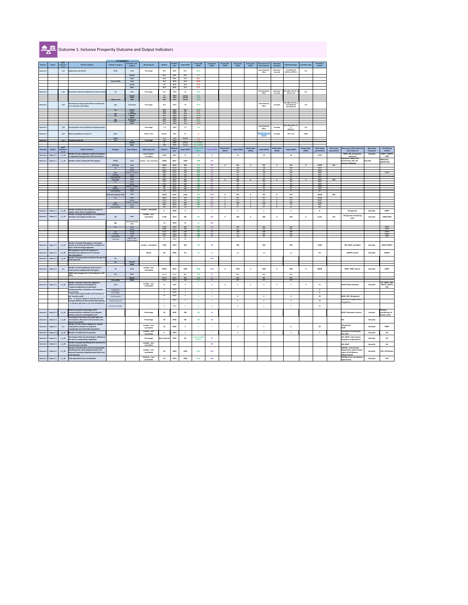

# Outcome 1: Inclusive Prosperity Outcome and Output Indicators

|                                 |                             | <b>SDCF</b>          |                                                                                                  | <b>Dissagregations</b>                          |                              |                             |                 |                         |                      |                               |                               |                               |                               |                               |                                          |                               |                                      |                               |                                     |                                     |                                                           |                               |                                         |
|---------------------------------|-----------------------------|----------------------|--------------------------------------------------------------------------------------------------|-------------------------------------------------|------------------------------|-----------------------------|-----------------|-------------------------|----------------------|-------------------------------|-------------------------------|-------------------------------|-------------------------------|-------------------------------|------------------------------------------|-------------------------------|--------------------------------------|-------------------------------|-------------------------------------|-------------------------------------|-----------------------------------------------------------|-------------------------------|-----------------------------------------|
| Outcome                         | Output                      | indicator's<br>ref.# | <b>Outcome Indicator</b>                                                                         | Indicator's category                            | Indicator's sub-<br>category | <b>Measuring unit</b>       | <b>Baseline</b> | <b>Baseline</b><br>year | <b>Target (2025)</b> | <b>Actual value</b><br>(2021) | <b>Actual value</b><br>(2022) | <b>Actual value</b><br>(2023) | <b>Actual value</b><br>(2024) | <b>Actual value</b><br>(2025) | Data source and<br>link to data set      | <b>Measuring</b><br>frequency | SDG/PAF linkages   Custodian entity  |                               | Comments /<br>remarks               |                                     |                                                           |                               |                                         |
| Outcome 1                       |                             | 1 10                 | Employment rate (20-64)                                                                          | $20 - 64$                                       | Total                        | Percentage                  | 59.2            | 2019                    | 63.1                 | 59.44                         |                               |                               |                               |                               | <b>State Statistica</b>                  | Quarterly/                    | <b>EU SDG 08_30</b>                  | ILO                           |                                     |                                     |                                                           |                               |                                         |
|                                 |                             |                      |                                                                                                  |                                                 |                              |                             |                 |                         |                      |                               |                               |                               |                               |                               | office                                   | annually                      | <b>EESP8.3, EESP 8.5</b>             |                               |                                     |                                     |                                                           |                               |                                         |
|                                 |                             |                      |                                                                                                  |                                                 | Female<br>Male               |                             | 48.4<br>69.8    | 2019<br>2019            | 49.2<br>74.3         | 49.7<br>68.9                  |                               |                               |                               |                               |                                          |                               |                                      |                               |                                     |                                     |                                                           |                               |                                         |
|                                 |                             |                      |                                                                                                  | <b>Youth (15-29)</b>                            | Total                        |                             | 34.4            | 2019                    | 34.9                 | 32.63                         |                               |                               |                               |                               |                                          |                               |                                      |                               |                                     |                                     |                                                           |                               |                                         |
|                                 |                             |                      |                                                                                                  |                                                 | Female                       |                             | -28             | 2019                    | 28.2                 | 27.79                         |                               |                               |                               |                               |                                          |                               |                                      |                               |                                     |                                     |                                                           |                               |                                         |
|                                 |                             |                      |                                                                                                  |                                                 | Male                         |                             | 40.4            | 2019                    | 41.8                 | 37.2                          |                               |                               |                               |                               | <b>State Statistical</b>                 | Quarterly/                    | SDG_A831_SEX_RT_A                    |                               |                                     |                                     |                                                           |                               |                                         |
| <b>Outcome 1</b>                |                             | $1_{20}$             | Proportion of informal employment in total economy                                               | All                                             | Total                        | Percentage                  | 16.1            | 2019                    | 14                   | 12.93                         |                               |                               |                               |                               | <b>Office</b>                            | annually                      | SDG_8.3.1b                           | ILO                           |                                     |                                     |                                                           |                               |                                         |
|                                 |                             |                      |                                                                                                  |                                                 | Female<br>Male               |                             | 13<br>18.1      | 2019<br>2019            | not set<br>not set   | 10.1<br>14.89                 |                               |                               |                               |                               |                                          |                               |                                      |                               |                                     |                                     |                                                           |                               |                                         |
|                                 |                             |                      |                                                                                                  | <b>Youth (15-24)</b>                            | Total                        |                             | 28.9            | 2019                    | not set              | 16.53                         |                               |                               |                               |                               |                                          |                               | SDG_0861_SEX_RT_A                    |                               |                                     |                                     |                                                           |                               |                                         |
| Outcome 1                       |                             | $1_30$               | Percentage of young people neither in employment<br>nor in education and training                | Age                                             | 15-29 years                  | Percentage                  | 24.5            | 2019                    | 22                   | 24.26                         |                               |                               |                               |                               | <b>State Statistica</b><br><b>Office</b> | <b>Annually</b>               | <b>EU SDG 08_20</b><br>PAF: EESP 8.9 | <b>ILO</b>                    |                                     |                                     |                                                           |                               |                                         |
|                                 |                             |                      |                                                                                                  | sex                                             | Female                       |                             | 28.3            | 2019                    | 28.2                 | 25.48                         |                               |                               |                               |                               |                                          |                               |                                      |                               |                                     |                                     |                                                           |                               |                                         |
|                                 |                             |                      |                                                                                                  | Age                                             | Male<br>15-24 years          |                             | 20.9<br>18.1    | 2019<br>2019            | 20<br>15.8           | 23.1<br>17.82                 |                               |                               |                               |                               |                                          |                               |                                      |                               |                                     |                                     |                                                           |                               |                                         |
|                                 |                             |                      |                                                                                                  | sex                                             | Female<br>Male               |                             | 19.2<br>17.1    | 2019<br>2019            | 19.1<br>16.9         | 16.83<br>18.75                |                               |                               |                               |                               |                                          |                               |                                      |                               |                                     |                                     |                                                           |                               |                                         |
|                                 |                             |                      |                                                                                                  | Age<br>Sex                                      | 25-29 years<br>Female        |                             | 34.9<br>43.1    | 2019<br>2019            | 33.3<br>43           | 34.7<br>39.45                 |                               |                               |                               |                               |                                          |                               |                                      |                               |                                     |                                     |                                                           |                               |                                         |
|                                 |                             |                      |                                                                                                  |                                                 | Male                         |                             | 27.1            | 2019                    | 25.6                 | 30.19                         |                               |                               |                               |                               | <b>State Statistical</b>                 |                               | SDG_A821_NOC_RT                      |                               |                                     |                                     |                                                           |                               |                                         |
| Outcome 1                       |                             | 1 40                 | Annual growth rate of real GDP per employed person                                               |                                                 |                              | Percentage                  | $-1.3$          | 2019                    | 2.7                  | 1.54                          |                               |                               |                               |                               | Office                                   | <b>Annually</b>               | SDG 8.2.1                            | <b>ILO</b>                    |                                     |                                     |                                                           |                               |                                         |
| Outcome 1                       |                             | 1 50                 | <b>Global Competitiveness Index 4.0</b>                                                          | Rank                                            |                              | Points / rank               | 82/141          | 2019                    | 67                   | R2                            |                               |                               |                               |                               | <b>World Economi</b>                     | <b>Annually</b>               | <b>PAF: CI 21</b>                    | <b>UNDP</b>                   |                                     |                                     |                                                           |                               |                                         |
|                                 |                             |                      |                                                                                                  | <b>Points</b>                                   |                              |                             | 57.3            | 2019                    | not set              | 57.3                          |                               |                               |                               |                               | <u>Forun</u>                             |                               |                                      |                               |                                     |                                     |                                                           |                               |                                         |
| <b>Outcome 1</b>                |                             |                      | 1_60   Working Poverty rate                                                                      | Sex                                             | All<br>Female                | Percentage                  | 8.8             | 2019<br>2019            | not set              | <b>10</b><br>not available    |                               |                               |                               |                               |                                          |                               |                                      |                               |                                     |                                     |                                                           |                               |                                         |
|                                 |                             | <b>SDCF</b>          |                                                                                                  |                                                 | Male                         |                             | 10.6            | 2019                    | not set              | not available                 |                               |                               |                               |                               |                                          |                               |                                      |                               |                                     |                                     |                                                           |                               |                                         |
| <b>Outcome</b>                  | Output                      | indicator's          | <b>Output Indicator</b>                                                                          | <b>Category</b>                                 | Sub-category                 | <b>Measuring unit</b>       | <b>Baseline</b> | <b>Baseline</b><br>year | Target (2021)        | <b>Actual value</b><br>(2021) | <b>Target (2022)</b>          | <b>Actual value</b><br>(2022) | Target (2023)                 | <b>Actual value</b><br>(2023) | <b>Target (2024)</b>                     | <b>Actual value</b><br>(2024) | <b>Target (2025)</b>                 | <b>Actual value</b><br>(2025) | <b>Total target</b><br>(cumulative) | <b>Total actual</b><br>(cumulative) | Data source (full name) and<br>link to data set           | <b>Measuring</b><br>frequency | Contributing<br>entities                |
|                                 |                             | $ref.$ #             | Number of new companies created, formalized                                                      |                                                 |                              | count/number                |                 |                         |                      |                               |                               |                               |                               |                               |                                          |                               |                                      |                               |                                     |                                     | <b>MLSP, ESA, UN agencies</b>                             | <b>Annually</b>               | UNDP / UNOPS,                           |
| Outcome 1                       | Output 1.1                  | $1_11_0$             | or supported through direct UN interventions                                                     |                                                 |                              | cumulative                  | 12570           | 2019                    | 77                   | 572                           | 19                            |                               | 19                            |                               | 19                                       |                               | 18                                   |                               | 12722                               |                                     | databases<br>Ministry of Labour and                       |                               | <b>IOM</b>                              |
| Outcome 1                       | Output 1.1                  |                      | 1_1_20   Number of jobs created with UN support:                                                 | <b>TOTAL</b>                                    | <b>Total</b>                 | number - non-cumulative     | 15636           | 6057                    | 4198                 | 7830                          | 474                           |                               |                               |                               |                                          |                               |                                      |                               |                                     |                                     | Social Policy, ESA, UN<br>agencies databases              | Annually                      | UNDP/ILO/<br>UNOPS/IOM                  |
|                                 |                             |                      |                                                                                                  | <b>Full-time</b>                                | total                        |                             | 13065           | 2019                    | 496                  | 456                           | 235                           |                               | 234                           |                               | 235                                      | $\Omega$                      | 235                                  | $\mathbf{0}$                  | 14500                               | 456                                 |                                                           |                               |                                         |
|                                 |                             |                      |                                                                                                  | Sex                                             | Male<br>Female               |                             | 8411<br>4654    | 2019<br>2019            | 237<br>259           | 223<br>233                    | 138<br>97                     |                               | 138<br>96                     |                               | 138<br>97                                |                               | 138<br>97                            |                               | 9200<br>5300                        |                                     |                                                           |                               |                                         |
|                                 |                             |                      |                                                                                                  | Age<br>Ethicity                                 | Youth 15-29 years<br>Roma    |                             | 4290<br>409     | 2019<br>2019            | 199<br>102           | 237<br>196                    | 128<br>23                     |                               | 127<br>22                     |                               | 128<br>22                                |                               | 128<br>22                            |                               | 5000<br>600                         |                                     |                                                           |                               | <b>UNDP</b>                             |
|                                 |                             |                      |                                                                                                  | Vulnerability                                   | PwDs                         |                             | 219             | 2019                    | 40                   | <b>2</b>                      | 23                            |                               | 23                            |                               | 23                                       |                               | 22                                   |                               | 350                                 |                                     |                                                           |                               |                                         |
|                                 |                             |                      |                                                                                                  | Part-time<br>Sex                                | total<br>Male                |                             | 2559<br>447     | 2019<br>2019            | 650<br>160           | 500<br>80                     | 239<br>64                     | . റ                           | 238<br>63                     |                               | 237<br>63                                | $\mathbf{0}$                  | 237<br>63                            | $\mathbf{0}$                  | 4160<br>860                         | 500                                 |                                                           |                               |                                         |
|                                 |                             |                      |                                                                                                  | Age                                             | Female<br>Youth 15-29 years  |                             | 2112<br>983     | 2019<br>2019            | 490<br>195           | 420<br>154                    | 175<br>-81                    |                               | 175<br>81                     |                               | 174<br>80                                |                               | 174<br>80                            |                               | 3300<br>1500                        |                                     |                                                           |                               |                                         |
|                                 |                             |                      |                                                                                                  | Ethicity                                        | Roma                         |                             | -76             | 2019                    | 100                  | 56.                           | 25                            |                               | 11                            |                               | 11                                       |                               | 11                                   |                               | 234                                 |                                     |                                                           |                               |                                         |
|                                 |                             |                      |                                                                                                  | Vulnerability<br><b>Both full and part time</b> | PwDs<br>Total                |                             | 10<br>15624     | 2019<br>2019            | 1146                 | 956                           | 1232                          |                               | 472                           |                               | 472                                      | <u>__</u>                     | 472                                  |                               | 30 <sup>2</sup><br>19418            | 956                                 |                                                           |                               |                                         |
|                                 |                             |                      |                                                                                                  | Sex                                             | Male                         |                             | 8858            | 2019                    | 397                  | 303                           | 202                           |                               | 201                           | $\Omega$                      | 201                                      | $\Omega$                      | 201                                  |                               | 10060                               |                                     |                                                           |                               |                                         |
|                                 |                             |                      |                                                                                                  |                                                 | Female<br>Youth 15-29 years  |                             | 6766<br>5273    | 2019<br>2019            | 749<br>394           | 653<br>391                    | 272<br>209                    |                               | 271<br>208                    |                               | 271<br>208                               | $\cap$<br>$\cap$              | 271<br>208                           |                               | 8600<br>6500                        |                                     |                                                           |                               |                                         |
|                                 |                             |                      |                                                                                                  | Age<br>Ethicity                                 | Roma                         |                             | 485             | 2019                    | 202                  | 252                           | 48                            |                               | 33                            |                               | 33                                       | $\cap$                        | 33                                   |                               | 834                                 |                                     |                                                           |                               |                                         |
|                                 |                             |                      | Number of tailored interventions in place to                                                     | Vulnerability                                   | PwDs                         | number - cumulative         | 229             | 2019                    | 44                   | 42                            | 27                            |                               | 27                            |                               | 27                                       | $\cap$                        | 26                                   |                               | 380                                 |                                     |                                                           |                               |                                         |
| Outcome 1   Output 1.1   1_1_30 |                             |                      | support value chains strengthening<br>Number of people benefiting from employment                |                                                 |                              | number - non-               |                 | 2020                    |                      |                               |                               |                               |                               |                               |                                          |                               |                                      |                               |                                     |                                     | <b>UN agencies</b>                                        | <b>Annually</b>               | <b>UNDP</b>                             |
| Outcome $1 \mid$ Output 1.2     |                             | $1210$               | activation and support services, by:                                                             | All                                             | total                        | cumulative                  | 3,739           | 2019                    | 555                  | 474                           | 456                           |                               | 456                           |                               | 456                                      | 0                             | 456                                  | _ റ                           | 6,118                               | 474                                 | <b>UN agencies monitoring</b><br>tools                    | Annually                      | UNDP/IOM                                |
|                                 |                             |                      |                                                                                                  |                                                 | Total Youth 15-29            |                             |                 |                         |                      |                               |                               |                               |                               |                               |                                          |                               |                                      |                               |                                     |                                     |                                                           |                               |                                         |
|                                 |                             |                      |                                                                                                  | Age                                             | years                        |                             | 12              | 2019                    | 51                   | 51                            | 456                           |                               |                               |                               |                                          |                               |                                      |                               |                                     |                                     |                                                           |                               |                                         |
|                                 |                             |                      |                                                                                                  | sex                                             | male<br>female               |                             | 2,053<br>1686   | 2019<br>2019            | 365<br>190           | 274<br>200                    | 292<br>164                    |                               | 292<br>164                    |                               | 292<br>164                               |                               | 292<br>164                           |                               |                                     |                                     |                                                           |                               | <b>UNDP</b><br><b>UNDP</b>              |
|                                 |                             |                      |                                                                                                  | age<br>Ethnicity                                | Young<br>Roma                |                             | 1557<br>2037    | 2019<br>2019            | 190<br>295           | 156<br>206                    | 189<br>292                    |                               | 188<br>292                    |                               | 188<br>292                               |                               | 188<br>292                           |                               |                                     |                                     |                                                           |                               | <b>UNDP</b><br><b>UNDP</b>              |
|                                 |                             |                      |                                                                                                  | vulnerability                                   | PwDs<br>Migrants and         |                             | 40              | 2019                    | 50 L                 | 150                           | 50                            |                               | 50 <b>SO</b>                  |                               | -50                                      |                               | 50.                                  |                               |                                     |                                     |                                                           |                               | <b>IOM</b>                              |
|                                 |                             |                      |                                                                                                  | Citizenship                                     | Asylum seekers               |                             |                 | 2019                    | 43                   |                               |                               |                               |                               |                               |                                          |                               |                                      |                               |                                     |                                     |                                                           |                               |                                         |
| Outcome 1   Output 1.2          |                             | $1220$               | Number of people (belonging to vulnerable<br>groups) at working age that have completed at       |                                                 |                              | number - cumulative         | 1185            | 2019                    | 363                  | 900                           | 200                           |                               | 200                           |                               | 200                                      |                               | 200                                  |                               | 2348                                |                                     | <b>ESA, MLSP and MoES</b>                                 | <b>Annually</b>               | UNDP/UNOPS                              |
|                                 |                             |                      | least 1 skills learning programme<br>MK Language e-course for foreigners is                      |                                                 |                              |                             |                 |                         |                      |                               |                               |                               |                               |                               |                                          |                               |                                      |                               |                                     |                                     |                                                           |                               |                                         |
| Outcome 1 Output 1.2            |                             | $1_2_30$             | developed and deployed at the national                                                           |                                                 |                              | binary                      | No              | 2020                    | Yes                  | Yes                           | n.a                           |                               | n.a                           |                               | n.a                                      |                               | n.a                                  |                               | Yes                                 |                                     | <b>UNHCR records</b>                                      | <b>Annually</b>               | <b>UNHCR</b>                            |
|                                 |                             |                      | learning platform<br>Number of young people employed through the                                 |                                                 |                              |                             |                 |                         |                      |                               |                               |                               |                               |                               |                                          |                               |                                      |                               |                                     |                                     |                                                           |                               |                                         |
| Outcome $1 \mid$ Output 1.2     |                             | $1250$               | youth gurantee                                                                                   | All<br>Sex                                      | Female                       |                             |                 |                         |                      |                               | 3300                          |                               |                               |                               |                                          |                               |                                      |                               |                                     |                                     |                                                           |                               |                                         |
|                                 |                             |                      |                                                                                                  |                                                 | <b>Male</b>                  |                             |                 |                         |                      |                               |                               |                               |                               |                               |                                          |                               |                                      |                               |                                     |                                     |                                                           |                               |                                         |
| Outcome $1 \mid$ Output 1.2     |                             | n/a                  | Number of end-beneficiaries with access to<br>social services enabled with UN support            | All                                             | <b>Total</b>                 | number-non-<br>cumulative   | 53250           | 2019                    | 1382                 | 8560                          | 1342                          |                               | 1342                          |                               | 1342                                     |                               | 1342                                 | - റ                           | 60000                               |                                     | <b>MLSP, UNDP reports</b>                                 | <b>Annually</b>               | <b>UNDP</b>                             |
|                                 |                             |                      | UNDP data (merged into 1.3.20 indicator in UN                                                    | Sex                                             | Male                         |                             | 25713           | 2019                    | 887                  | 4134                          | 850                           |                               | 850                           |                               | 850                                      |                               | 850                                  |                               |                                     |                                     |                                                           |                               |                                         |
|                                 |                             |                      | INFO)                                                                                            |                                                 | Female                       |                             | 27537           | 2019                    | 495                  | 4426                          | 492                           |                               | 492                           |                               | 492                                      |                               | 492                                  |                               |                                     |                                     |                                                           |                               |                                         |
|                                 |                             |                      |                                                                                                  | Vulnerability                                   | PwDs                         |                             | 5064            | 2019                    | 188                  | 514                           | 187                           |                               | 187                           |                               | 187                                      |                               | 187                                  |                               |                                     |                                     |                                                           |                               |                                         |
| Outcome $1 \mid$ Output 1.3     |                             | $1_3_10$             | Number of gender-responsive legislation,<br>policies and measures developed to:                  | Total                                           |                              | number - non-<br>cumulative | 31              | 2020                    |                      |                               | 15                            |                               |                               |                               |                                          |                               |                                      |                               | 69                                  |                                     | MLSP/Official Gazzette                                    | Annually                      | ILO, UNDP, IOM,<br><b>UNHCR, UNOPS,</b> |
|                                 |                             |                      | - Support employment, productivity,<br>entrepreneurship, innovation and enterprise               | a) legislation                                  |                              |                             |                 | 2020                    |                      |                               |                               |                               |                               |                               |                                          |                               |                                      |                               |                                     |                                     |                                                           |                               | <b>FAO</b>                              |
|                                 |                             |                      | sustainability<br>ensure equal opportunities and treatment in                                    | b) strategies                                   |                              |                             |                 | 2020                    |                      |                               |                               |                               |                               |                               |                                          |                               |                                      |                               |                                     |                                     |                                                           |                               |                                         |
|                                 |                             |                      | the "world of work"                                                                              | c) policy papers                                |                              |                             | -15             | 2020                    |                      |                               |                               |                               |                               |                               |                                          |                               |                                      |                               | 25                                  |                                     | MLSP, ESA, UN agencies                                    |                               |                                         |
|                                 |                             |                      | FAO: - to improve National Food Security and<br>increase resilience of the national food system; | d) policy measures                              |                              |                             |                 | 2020                    |                      |                               |                               |                               |                               |                               |                                          |                               |                                      |                               | 15                                  |                                     | Ministry of Foreign Affairs,<br>UN agencies               |                               |                                         |
|                                 |                             |                      | to enhance agriculture and rural development                                                     | e) tools and models                             |                              |                             |                 | 2020                    |                      |                               |                               |                               |                               |                               |                                          |                               |                                      |                               | 20                                  |                                     |                                                           |                               |                                         |
|                                 |                             |                      | Newly formulated: Percentage of UN                                                               |                                                 |                              |                             |                 |                         |                      |                               |                               |                               |                               |                               |                                          |                               |                                      |                               |                                     |                                     |                                                           |                               | ILO lead,                               |
| Outcome $1 \mid$ Output 1.3     |                             | $1_3_20$             | recommendations reflected in the adopted                                                         |                                                 |                              | Percentage                  | 50              | 2020                    | 100                  | 100                           | 80                            |                               |                               |                               |                                          |                               |                                      |                               |                                     |                                     | MLSP, Parliament sessions                                 | annually                      | contributing: all                       |
|                                 |                             |                      | policies, measures and legisaltive acts<br>Percentage of economic and social legal acts          |                                                 |                              |                             |                 |                         |                      |                               |                               |                               |                               |                               |                                          |                               |                                      |                               |                                     |                                     |                                                           |                               | entities under                          |
|                                 | Outcome $1 \mid$ Output 1.3 | $1_3_30$             | and measures discussed in the Economic and<br>Social Council (ESC)                               |                                                 |                              | Percentage                  | 60              | 2020                    | 80                   | 100                           | <b>100</b>                    |                               |                               |                               |                                          |                               |                                      |                               |                                     | <b>ESC</b>                          |                                                           | <b>Annually</b>               |                                         |
|                                 |                             |                      | Number of new services designed to support                                                       |                                                 |                              | number - non-               |                 |                         |                      |                               |                               |                               |                               |                               |                                          |                               |                                      |                               |                                     |                                     | UN agencies                                               |                               |                                         |
| Outcome $1 \mid$ Output 1.3     |                             | n/a                  | employment activation of long-term<br>unemployed and vulnerable populations                      |                                                 |                              | cumulative                  | 14              | 2020                    |                      |                               |                               |                               |                               |                               |                                          |                               |                                      |                               | 20                                  | <b>MLSP</b>                         |                                                           | <b>Annually</b>               | <b>UNDP</b>                             |
| Outcome 1   Output 1.4          |                             | $1_4_10$             | Number of ratified ILO Conventions                                                               |                                                 |                              | number - non-<br>cumulative |                 | 2020                    |                      |                               |                               |                               |                               |                               |                                          |                               |                                      |                               |                                     |                                     | Assembly of the Republic,<br><b>ESC, GOV</b>              | <b>Annually</b>               | <b>ILO</b>                              |
|                                 |                             |                      | Percentage of ILO recommendations reflected in                                                   |                                                 |                              |                             |                 |                         |                      | not measurable                |                               |                               |                               |                               |                                          |                               |                                      |                               |                                     |                                     | <b>ESC, MLSP, Trade Unions,</b>                           |                               |                                         |
| Outcome $1 \mid$ Output 1.4     |                             | $1_4_20$             | the new or revised labour legislation                                                            |                                                 |                              | Percentage                  | Not measured    | 2020                    | 80                   | this year                     | 80                            |                               |                               |                               |                                          |                               |                                      |                               |                                     |                                     | Employers' organizations                                  | <b>Annually</b>               | <b>ILO</b>                              |
| Outcome $1 \mid$ Output 1.4     |                             | $1_4_30$             | Number of people benefiting from measures for $\vert$<br>transitioning to fomality               |                                                 |                              | number - non-<br>cumulative |                 |                         |                      |                               | 300                           |                               |                               |                               |                                          |                               |                                      |                               |                                     |                                     | <b>ESA, MLSP</b>                                          | <b>Annually</b>               | <b>ILO</b>                              |
|                                 |                             |                      | Number of small farmers and rural households                                                     |                                                 |                              |                             |                 |                         |                      |                               |                               |                               |                               |                               |                                          |                               |                                      |                               |                                     |                                     | MAFWE, International                                      |                               |                                         |
|                                 | Outcome 1   Output 1.5      | $1_5_10$             | benefiting from newly adopted policies and<br>measures boosting competitive agriculture and      |                                                 |                              | number - non-<br>cumulative | 28              | 2020                    | 2100                 | 2455                          | 2555                          |                               |                               |                               |                                          |                               |                                      |                               |                                     |                                     | <b>Organization report Project</b><br>report of UN Women, | <b>Annually</b>               | <b>FAO, UN Women</b>                    |
|                                 |                             |                      | rural economy                                                                                    |                                                 |                              | Hectares - non-             |                 |                         |                      |                               |                               |                               |                               |                               |                                          |                               |                                      |                               |                                     |                                     | <b>Official Gazette</b><br>MAFWE (Land consolidation      |                               |                                         |
| Outcome 1 Output 1.5            |                             | $1_{5_{30}}$         | Total agricultural land consolidated                                                             |                                                 |                              | cumulative                  | 28              | 2019                    | 1000                 | 1078                          | 3000                          |                               |                               |                               |                                          |                               |                                      |                               |                                     |                                     | department)                                               | <b>Annually</b>               | <b>FAO</b>                              |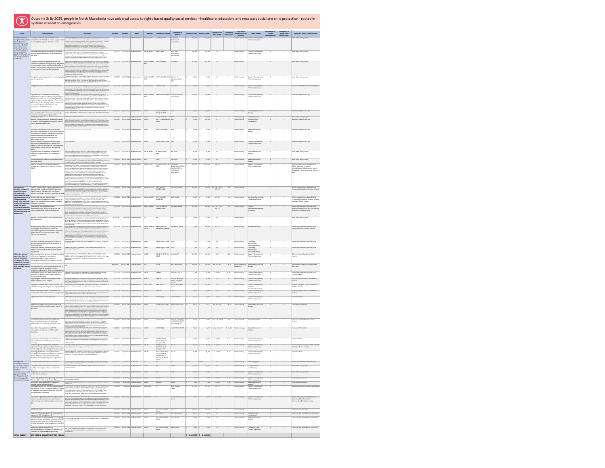### 2 2 None of the listed groups

### Need; None of the listed groups

### Reproductive Age

Reproductive Age

listed groups<br>Reproductive Age

2 2 Women of Reproductive Age

### Reproductive Age

e listed groups

e listed groups

### and Youth, Especially Girls;

ا focus on specific es of elderly women due to

# ; Roma Community; Children in $\vert$

 $\frac{1}{4}$  and Youth, Especially Girls;

# h Disabilities; Children in Need

### h Disabilities; Children in Need;  $\parallel$ Risk of Poverty

and Youth, Especially Girls;

### Reproductive Age; Persons with Children in Need

# and Youth, Especially Girls;

ersons; Children in Need

# and Youth, Especially Girls

and Youth, Especially Girls

### <u> 1989 - Johann Barbara, martxa a</u>

Need; Families at Risk of

**12 Bourge 2 Communities Dependent on Vulnerable** 

and Youth, Especially Girls; Children in Need

# sylum-seekers and Stateless

Refugees, Asylum-seekers and rsons Persons Persons

### 2<br>2 ylum-seekers and Stateless

h Disabilities

### Need; Families at Risk of

e listed groups

# e listed groups<br>
–

2 2 2 3 Persons with Disabilities

and Youth, Especially Girls; d Girls from Ethnic

### es; Roma Community

# and Vulnerable to, Trafficking

and Vulnerable to, Trafficking

and Vulnerable to, Trafficking

| Output                                                               | Sub-output title                                                                                                              | <b>Description</b>                                                                                                                                                                                                                                                                                                                                                                                     | <b>Start date</b>    | <b>End date</b>          | <b>Status</b>                                            | Agencies                     | <b>Contributing partners</b>                                | Implementing<br>partners                  | Available budget   Required budget              |                    | <b>Contribution to</b><br><b>SDG Targets</b> | Contribution<br>to SDG Goals | Geographical<br>distribution of the | Type of support                                      | <b>Contribution to</b><br>Gender | <b>Contribution to</b><br><b>Human rights</b> | <b>Groups left behind (LNOB) coverage</b>                                               |
|----------------------------------------------------------------------|-------------------------------------------------------------------------------------------------------------------------------|--------------------------------------------------------------------------------------------------------------------------------------------------------------------------------------------------------------------------------------------------------------------------------------------------------------------------------------------------------------------------------------------------------|----------------------|--------------------------|----------------------------------------------------------|------------------------------|-------------------------------------------------------------|-------------------------------------------|-------------------------------------------------|--------------------|----------------------------------------------|------------------------------|-------------------------------------|------------------------------------------------------|----------------------------------|-----------------------------------------------|-----------------------------------------------------------------------------------------|
| 2.1 Health system is                                                 | Country supported in implementation of the                                                                                    | Advocate with high level PHC stakeholders on the importance of the process of reform of PHC (including<br>gynecologists and pediatricians), provide technical guidance on quality performance monitoring,                                                                                                                                                                                              | 1/1/2021             |                          | 12/31/2023 Implementation                                | UNICEF; WHO                  | EC-NEAR; WHC                                                | EhD; MoH;                                 | 120,000                                         | 120,000            | 3.8 <sup>°</sup>                             |                              | activities                          | Skopje; City of Skopje Capacity Development,         | mainstreaming*                   | advancement*                                  | None of the listed groups                                                               |
| universal access to<br>affordable high quality                       | strengthened to provide   national Primary Health Care reform, reorganization<br>and strengthening quality of health services | support of technical workshops for development of PHC protocols and indicators, support assessment<br>of legislative needs and identify follow up steps, support raising awareness of patients for the new PHC<br>reform. Support development of Pediatric care masterplan 2030 with costed action plan for                                                                                            |                      |                          |                                                          |                              |                                                             | Professional<br>Associations              |                                                 |                    |                                              |                              |                                     | Technical Assistance                                 |                                  |                                               |                                                                                         |
| and people-centred                                                   |                                                                                                                               | reorganization of the levels of care; Functional analysis of the home visiting system with<br>  recommendations to strengthen their role, revision of existing modules for community care,<br>development of SOPs for the work of patronage nurses, unification of their competencies and<br>establishment of supportive supervision system); Research to understand demand bottlenecks to             |                      |                          |                                                          |                              |                                                             |                                           |                                                 |                    |                                              |                              |                                     |                                                      |                                  |                                               |                                                                                         |
| services to promote<br>healthy lifestyles and                        | Support to development of regulatory framework                                                                                | inform strategy to increase demand and quality of home visiting services; Develop COVID-19 detection,<br><u>nee feeused madulas ka ha insarnarakad in kha avistina a haalth suskam lusau</u><br>Support on regulation of the role of the PHC nurse, accreditation of health training institutions for                                                                                                  | 1/1/2021             |                          | 12/31/2023 Implementation                                | UNICEF; WHO                  | USAID; WHO                                                  | MFS; MoH;                                 | 140,000                                         | 150,000            | 3.8                                          |                              | Whole country                       | Capacity Development,                                |                                  |                                               | None of the listed groups                                                               |
| address population-<br>specific health needs and                     | and capacity development of health workforce at                                                                               | training of nurses, support continuous professional development of nurses, nursing faculty<br>development, review of curricula, interprofessional education; Capacity development of family doctors<br>and home visiting nurses in early detection and interventions for children with disability, gender                                                                                              |                      |                          |                                                          |                              |                                                             | Professional<br>Associations              |                                                 |                    |                                              |                              |                                     | <b>Technical Assistance</b>                          |                                  |                                               |                                                                                         |
| risk factors, including in PHC level<br>emergencies.                 |                                                                                                                               | socialization and GBV and inter-sectoral collaboration; Capacity development for family doctors in<br>practicing telemedicine and development of protocol for treatment of COVID-19 at PHC); Capacity<br>development for front-line health workers on inter-personal communication skills for immunization                                                                                             |                      |                          |                                                          |                              |                                                             |                                           |                                                 |                    |                                              |                              |                                     |                                                      |                                  |                                               |                                                                                         |
|                                                                      | Country supported for implementation of the<br>national mental health strategy through integration                            | Capacity building for mental health in PHC; promotion of the role of the PHC doctors in the prevention<br>and treatment of people with mental disorders and establishment of a system for continuous education<br>of doctors, nurses and other staff in PHC for recognition and treatment of persons with mental health                                                                                | 1/1/2022             |                          | 12/31/2023 Implementation                                | UNFPA; UNICEF;<br><b>WHO</b> | GoUSA; UNFPA                                                | EhD; MoH                                  | 255,000                                         | 255,000            | 3.8                                          |                              | Whole country                       |                                                      |                                  |                                               | None of the listed groups                                                               |
|                                                                      | of mental health in PHC, including development of<br>tools for health workers and generation of evidence                      | disorders; Support for strengthening capacities of the CMHC; Support health workers mental health; A<br>opulation-based survey of children, adolescents and their families in COVID-19 affected communities<br>to assess the stress factors and analyze the mental health risks and impacts of COVID-19, as well as the                                                                                |                      |                          |                                                          |                              |                                                             |                                           |                                                 |                    |                                              |                              |                                     |                                                      |                                  |                                               |                                                                                         |
|                                                                      | on the impact of COVID-19 on mental health                                                                                    | institutional response; Survey of mental health disorders in pregnant women and the perinatal period,<br>to assess consequences of COVID-19 in pregnant women and mothers with newborns, and put forward<br>proposals for improved response; Development and implementation of an online counseling and                                                                                                |                      |                          |                                                          |                              |                                                             |                                           |                                                 |                    |                                              |                              |                                     |                                                      |                                  |                                               |                                                                                         |
|                                                                      |                                                                                                                               | emotional wellbeing platform targeting health care workers engaged in the COVID-19 response and<br>promote access to mental health services.                                                                                                                                                                                                                                                           |                      |                          |                                                          |                              |                                                             |                                           |                                                 |                    |                                              |                              |                                     |                                                      |                                  |                                               |                                                                                         |
|                                                                      | promoting schools                                                                                                             | Strengthen national capacities for introducing health Assessment and action plan for introducing health promoting schools, support adaptation and adoption<br>of the Global Standards for implementation of the Health Promoting School Programme; Support to<br>development of rulebooks and by-laws for nutrition in kindergartens; Support to the Bureau for                                        | 1/1/2022             |                          | 12/31/2023 Implementation                                | WHO                          | UNFPA; UNICEF; UNFPA; UNICEF; WHO Ministry of               | Education; MoH;                           | 55,000                                          | 55,000             | 4.a                                          |                              | Whole country                       | Capacity Development,<br><b>Technical Assistance</b> |                                  |                                               | None of the listed groups                                                               |
|                                                                      |                                                                                                                               | Development of Education provided in piloting and roll-out of Comprehensive Sexuality Education,<br>which encompasses topics relevant for the health and wellbeing of youth. This activity is primarily listed<br>with budget in the section on education, but also contributes to this sub-output                                                                                                     |                      |                          |                                                          |                              |                                                             | <b>NPH</b>                                |                                                 |                    |                                              |                              |                                     |                                                      |                                  |                                               |                                                                                         |
|                                                                      | Strengthened NCDs surveillance and monitoring                                                                                 | echnical packages to address risk factors of Noncommunicable diseases and their risk factors throug<br>multi-sectoral action (obesity, physical activity, fat and sugary drinks taxation, trans - fat elimination<br>and salt reduction); Capacity building for NCDs Risk factor surveillance (STEPS); NCDs programme                                                                                  | 1/1/2022             |                          | $12/31/2023$ Implementation                              | UNICEF; WHO                  | UNICEF; WHO                                                 | MoH; NPHI                                 | 41,000                                          | 41,000             | 3.4                                          |                              | Whole country                       | Capacity Development,<br><b>Technical Assistance</b> |                                  |                                               | Children in Need; None of the listed groups                                             |
|                                                                      |                                                                                                                               | capacity building for mid-level managers in public health; Assessment related to the WHO Initiative on<br>Trans fats elimination and salt reduction in line with new EU resolution, support implementation of the<br>physical activity portfolio of MoH and the Government; Support to COSI; Evidence generation on the                                                                                |                      |                          |                                                          |                              |                                                             |                                           |                                                 |                    |                                              |                              |                                     |                                                      |                                  |                                               |                                                                                         |
|                                                                      | Support national counterparts in improving                                                                                    | main drivers of childhood obesity<br>Support in the operationalization of the Obstetric Surveillance and Response System (OSRS), for<br>anonymous review of nearly-missed maternal lives; Finalization of the trainings for Effective Perinatal                                                                                                                                                        | 1/1/2021             |                          | 12/31/2025 Implementation                                |                              | UNFPA; UNICEF; UNFPA; UNICEF; WHO MoH; Professional         |                                           | 100,000                                         | 100,000            | 3.2                                          |                              | Whole country                       | Capacity Development,                                |                                  |                                               | Women of Reproductive Age                                                               |
|                                                                      | maternal and newborn health by strengthening of<br>the perinatal health care system through building                          | Care in the pilot networks and continuation of the support for implementation of the perinatal<br>networks of care in other 4 regions in the country based on the pilot experience in Bitola and Tetovo<br>egion, through technical guidance and capacity building activities as well as activities for management                                                                                     |                      |                          |                                                          | WHO                          |                                                             | Associations                              |                                                 |                    |                                              |                              |                                     | <b>Technical Assistance</b>                          |                                  |                                               |                                                                                         |
|                                                                      | capacities of the perinatal networks of care across<br>the country, review of nearly missed maternal lives                    | of data and information, establishment of regulatory framework and system for monitoring and<br>evaluation; Support for digitalization of the data collection for the perinatal death; Support in<br>nplementation of the perinatal death review (audit); Support to Perinatal care masterplan 2030 -                                                                                                  |                      |                          |                                                          |                              |                                                             |                                           |                                                 |                    |                                              |                              |                                     |                                                      |                                  |                                               |                                                                                         |
|                                                                      | and review/audit of perinatal deaths and<br>development of SRHR Action Plan                                                   | development of standards and capacity development for professionals for perinatal transport, training<br>for neonatologists; Development of SRHR Action Plan for 2022-2023; Review & update of the Action Plan<br>for Response of the Health System in times of crises (MISP); Operationalization of the Virtual                                                                                       |                      |                          |                                                          |                              |                                                             |                                           |                                                 |                    |                                              |                              |                                     |                                                      |                                  |                                               |                                                                                         |
|                                                                      | Access to sexual and reproductive health services for                                                                         | Contraception Platform (VIC)<br>Provision of gynecological services - checkups and counseling on family planning,<br>maternal health, cervical cancer prevention, and other basic health diagnostics needed                                                                                                                                                                                            | 1/1/2021             |                          | 12/31/2022 Implementation                                | UNFPA                        | COVID-19 MPTF;                                              | $ $ MoH                                   | 25,000                                          | 160,000            | 3.7                                          |                              | Whole country                       | Direct Support/ Service                              |                                  |                                               | Women of Reproductive Age                                                               |
|                                                                      | those most left behind in remote areas, through<br>provision of mobile gynecological services                                 |                                                                                                                                                                                                                                                                                                                                                                                                        |                      |                          |                                                          |                              | COVID-19 MPTF                                               |                                           |                                                 |                    |                                              |                              |                                     | Delivery                                             |                                  |                                               |                                                                                         |
|                                                                      | <b>Operational Costs</b><br>National efforts supported in achieving the targets                                               | Management and operational costs<br>Supporting the finalization of the Clinical Guidelines on Prevention and Early Detection of Cervical<br>Cancer; Strengthened advocacy and communication with the general public on the available tools and                                                                                                                                                         | 1/1/2021<br>1/1/2021 |                          | 12/31/2022 Implementation<br>$12/31/2022$ Implementation | UNFPA<br><b>UNFPA</b>        | COVID-19 MPTF;<br>MPTF; UNFPA regular MoH                   | MoH                                       | 100,800<br>91,400                               | 100,800<br>120,000 | 3.7<br>3.7                                   |                              | Whole country<br>Whole country      | Other (including<br>Other (including                 |                                  | $\sim$                                        | None of the listed groups<br>Women of Reproductive Age                                  |
|                                                                      | of the WHO 2020 Strategy on Eliminating Cervical<br>Cancer as a public health issue                                           | resources for prevention of cervical cancer - vaccination and screening; Support to the introduction of<br>HPV-based testing, and its gradual rollout on national level, vis-a-vis the traditional PAP test, given the<br>medical science evidence in support of the HPV-based testing; Increasing the coverage with Cervical                                                                          |                      |                          |                                                          |                              | funds                                                       |                                           |                                                 |                    |                                              |                              |                                     | coordination)                                        |                                  |                                               |                                                                                         |
|                                                                      |                                                                                                                               | Cancer screening, with focus on women and girls in rural areas, and women and girls from marginalized<br>communities, through mobile gynecological clinics                                                                                                                                                                                                                                             |                      |                          |                                                          |                              |                                                             |                                           |                                                 |                    |                                              |                              |                                     |                                                      |                                  |                                               |                                                                                         |
|                                                                      | Improved maternal health outcomes through<br>enhanced implementation of effective perinatal care                              | EPC training for personnel of the EPC pilot facilities.                                                                                                                                                                                                                                                                                                                                                | 1/1/2021             |                          | 12/31/2022 Implementation                                | UNFPA                        | UNFPA core funds                                            | $\mathsf{M}\mathsf{o}\mathsf{H}$          | 10,000                                          | 10,000             | 3.7                                          |                              | Whole country                       | Data Collection and<br>Analysis                      |                                  |                                               | Women of Reproductive Age                                                               |
|                                                                      | in maternities, systematic reporting and analysis of<br>maternal mortalities and morbidities and                              |                                                                                                                                                                                                                                                                                                                                                                                                        |                      |                          |                                                          |                              |                                                             |                                           |                                                 |                    |                                              |                              |                                     |                                                      |                                  |                                               |                                                                                         |
|                                                                      | implementation of evidenced- based and<br>standardized policies                                                               |                                                                                                                                                                                                                                                                                                                                                                                                        |                      |                          |                                                          |                              |                                                             |                                           |                                                 |                    |                                              |                              |                                     |                                                      |                                  |                                               |                                                                                         |
|                                                                      | National partners supported on human rights<br>approach and informed decision making with                                     | Advocacy activities                                                                                                                                                                                                                                                                                                                                                                                    | 1/1/2021             |                          | $12/31/2022$ Implementation                              | UNFPA                        | UNFPA regular funds MoH                                     |                                           | 25,000                                          | 25,000             | 3.7                                          |                              | Whole country                       | Capacity Development,<br>Technical Assistance        |                                  |                                               | Women of Reproductive Age                                                               |
|                                                                      | regards to demand and supply for family planning,<br>particularly for women and girls of vulnerable                           |                                                                                                                                                                                                                                                                                                                                                                                                        |                      |                          |                                                          |                              |                                                             |                                           |                                                 |                    |                                              |                              |                                     |                                                      |                                  |                                               |                                                                                         |
|                                                                      | groups<br>Support country to implement health financial                                                                       | Policy dialogs and reports for health financing and financial protection in line with universal health                                                                                                                                                                                                                                                                                                 | 1/1/2021             |                          | 12/31/2023 Implementation                                | UNICEF; WHO                  | EC-NEAR; USAID;                                             | HIF; MoH                                  | 70,000                                          | 70,000             | 3.8                                          |                              | Whole country                       | Data Collection and                                  |                                  |                                               | None of the listed groups                                                               |
|                                                                      | protection analysis and reduce health financial                                                                               | overage, implementation of health financial protection study for the period 2019 - 2020; Rapid<br>assessment of public healthcare financial bottlenecks to respond to COVID-19, and budgetary analysis<br>to identify ways to improve budget allocations and execution, including emergency and reprioritization                                                                                       |                      |                          |                                                          |                              | WHO                                                         |                                           |                                                 |                    |                                              |                              |                                     | Analysis                                             |                                  |                                               |                                                                                         |
|                                                                      | hardship<br>Country supported to address social determinants                                                                  | plans in scenarios of worsening of the epidemiological situation<br>Assist in establishing national mechanism for monitoring health equity, routine                                                                                                                                                                                                                                                    | 1/1/2021             |                          | $12/31/2023$ Implementation                              | $ $ WHO                      | <b>WHO</b>                                                  | EhD; MoH                                  | 20,000                                          | 35,000             | 3.8                                          |                              | Whole country                       | Data Collection and                                  |                                  |                                               | None of the listed groups                                                               |
|                                                                      | and health equity                                                                                                             | advocacy for health as an investment for social and economic development, inclusion of<br>$ HE$ indicators as a routine data collection as part of the PHC reform etc.)                                                                                                                                                                                                                                |                      |                          |                                                          |                              |                                                             |                                           |                                                 |                    |                                              |                              |                                     | Analysis                                             |                                  |                                               |                                                                                         |
|                                                                      | Capacity building for improving surveillance,<br>coverage and management of vaccines including                                | Capacity building to prepare the country for large scale immunization, implementation<br>of behavioral insight studies, support of vaccination communication and awareness<br>raising activities, further support for digitalization of immunization; services and                                                                                                                                     | 1/1/2021             |                          | 12/31/2025 Implementation                                | UNICEF; WHC                  | EC-NEAR; GoUSA; OR; Civil Society<br><b>WHO</b>             | Organizations (CSOs);                     | 100,000                                         | 1,120,000          | 3.b, 3.8                                     |                              | Whole country                       | Capacity Development,<br><b>Technical Assistance</b> |                                  |                                               | Adolescent and Youth, Especially Girls;<br>Elderly, with focus on specific              |
|                                                                      | <b>COVID</b>                                                                                                                  | monitoring of adverse effects, monitoring and evaluation of vaccination practices etc;<br>Develop and distribute IPC-related print or electronic communication materials for<br>health facilities, schools, and other institutions and in high-risk communities;                                                                                                                                       |                      |                          |                                                          |                              |                                                             | EhD; MoH; NPHI;<br>Professional           |                                                 |                    |                                              |                              |                                     |                                                      |                                  |                                               | vulnerabilities of elderly women due to<br>their gender; Roma Community; Children ir    |
|                                                                      |                                                                                                                               | Conduct campaigns incorporating IPC messaging to promote COVID-19 protective<br>hygiene practices; Design and implement evidence-based communication for                                                                                                                                                                                                                                               |                      |                          |                                                          |                              |                                                             | Associations                              |                                                 |                    |                                              |                              |                                     |                                                      |                                  |                                               |                                                                                         |
|                                                                      |                                                                                                                               | development initiatives to address vaccine hesitancy and generate demand for<br>immunization [routine immunization]; Technical support to strengthen coordination,<br>planning and implementation of the national Government-led COVID-19 vaccine related                                                                                                                                              |                      |                          |                                                          |                              |                                                             |                                           |                                                 |                    |                                              |                              |                                     |                                                      |                                  |                                               |                                                                                         |
|                                                                      |                                                                                                                               | communication and community engagement activities; Generating evidence to inform<br>the design, implementation and evaluation of social and behavior change<br>communication and vaccine demand generation activities; Supporting evidence-based                                                                                                                                                       |                      |                          |                                                          |                              |                                                             |                                           |                                                 |                    |                                              |                              |                                     |                                                      |                                  |                                               |                                                                                         |
| 2.2 Quality and                                                      | Creation of quality and inclusive learning tools and                                                                          | multi-media campaigns and community engagement activities to address barriers to<br>Support co-creation processes in developing new learning resources and materials; Support activities                                                                                                                                                                                                               | 1/1/2022             |                          | $12/31/2022$ Implementation                              | UNICEF; UNFPA                | CSSF; UNFPA;                                                | BoE; MKD; MoLSP                           | 120,000                                         | 280,000            | $\vert$ 3.7, 4.1, 4.2, 4.4,                  | 3,4                          | Whole country                       |                                                      |                                  | $\sim$                                        | Adolescent and Youth, Especially Girls;                                                 |
| affordable education is<br>provided in trauma-                       | resources (also to address COVID-19), including<br>digital resources, that are in line with the pre-                          | or social cohesion and community engagement in schools; Support MoES and MoLSP in advancing<br>digital learning platforms; Develop modules and train school psychologists to support students' mental<br>wellbeing; Create digital and inclusive learning tools and resources that are in line with the early                                                                                          |                      |                          |                                                          |                              | UNICEF; USAID                                               |                                           |                                                 |                    | 4.5, 4.7                                     |                              |                                     |                                                      |                                  |                                               | Persons with Disabilities; Children in Need                                             |
| informed, gender-<br>responsive and inclusive                        | primary, primary and secondary education curricula                                                                            | childhood development curricula including AAC technologies and practices; Improvements of WASH<br>capacities in schools; Development of digital informative and learning tools/products on<br>comprehensive sexuality education                                                                                                                                                                        |                      |                          |                                                          |                              |                                                             |                                           |                                                 |                    |                                              |                              |                                     |                                                      |                                  |                                               |                                                                                         |
| children and young                                                   | learning environments to Design and implement evidence-based<br>communication for development initiatives in the              | Communications activities aimed at awareness raising on the importance and benefits<br>of comprehensive sexuality education; Organize conferences and knowledge sharing                                                                                                                                                                                                                                | 1/1/2022             |                          | 12/31/2022 Implementation                                | UNFPA; UNICEF                | UNFPA; UNICEF;<br>UNICEF ETF                                | MKD; MoLSP                                | 15,000                                          | 35,000             | 3.7, 4.2                                     | 3,4                          | Whole country                       | Convening/Partnerships<br>/Knowledge Sharing         |                                  |                                               | Adolescent and Youth, Especially Girls;<br>Persons with Disabilities; Children in Need; |
|                                                                      | <b>people in the country to</b> $ $ area of education and child protection (including                                         | events aiming to bring together leading academic scientists, researchers, and<br>practitioners to exchange and share on all aspects of quality education; Advocate for<br>expansion of pre-school capacities (reviving the ECD centers) and increasing the number                                                                                                                                      |                      |                          |                                                          |                              |                                                             |                                           |                                                 |                    |                                              |                              |                                     |                                                      |                                  |                                               | Families at Risk of Poverty                                                             |
| raise learning outcomes, CWDs and minorities)<br>enable their socio- | Development and implementation of                                                                                             | of children in pre-school education<br>Support MOES and MoLSP to develop and implement comprehensive and quality in-service teacher                                                                                                                                                                                                                                                                    | 1/1/2022             |                          | 12/31/2022 Implementation                                | UNFPA; UNICEF                | $\vert$ CSSF; EC; UNFPA;                                    | BoE; MKD; MoLSP                           | 165,000                                         | 220,000            | 3.7, 4.1, 4.2, 4.4,                          | 3,4                          | Whole country                       | Capacity                                             |                                  |                                               | Adolescent and Youth, Especially Girls;                                                 |
| emotional development<br>and empower them with                       | comprehensive and quality in-service and pre-<br>skills for transition to the service professionals' capacity development     | capacity building; Adopt risk-informed approaches to emergency (including COVID-19) preparedness<br>planning, and response to humanitarian needs for Education; Develop modules and train school<br>psychologists to support students' mental wellbeing; Strengthen the capacities of peer support<br>teachers for leading professional learning communities; Develop social and emotional modules for |                      |                          |                                                          |                              | UNICEF; USAID                                               |                                           |                                                 |                    | 4.5, 4.7                                     |                              |                                     | Development/Technical<br>Assistance                  |                                  |                                               | Women of Reproductive Age; Persons with<br>Disabilities; Children in Need               |
| labour market.                                                       |                                                                                                                               | teacher training faculties and train future pre-school teachers; Capacity building of teachers on<br>delivering comprehensive sexuality education; Trainings for doctors (general practitioners) on sexual<br>and reproductive health, gender-based violence and persons with disabilities.                                                                                                            |                      |                          |                                                          |                              |                                                             |                                           |                                                 |                    |                                              |                              |                                     |                                                      |                                  |                                               |                                                                                         |
|                                                                      | National Strategy on Digital Skills Development in                                                                            | The outcomes of this initiative will contribute to the development of a national digital<br>skills strategy. The program includes a national assessment, a series of interviews,                                                                                                                                                                                                                       | 10/1/2021            |                          | 2/28/2022 Implementation                                 |                              | <b>ITU</b>                                                  |                                           | 12,500                                          | 12,500             | -4.4                                         |                              | Whole country                       |                                                      |                                  |                                               | None of the listed groups                                                               |
|                                                                      | North Macedonia                                                                                                               | workshops, and others. The assessment will focus on reviewing and evaluating digital<br>skills in the private sector, academia, and the general public. It will result in a series of<br>recommendations and suggestions to be considered during the further development of                                                                                                                            |                      |                          |                                                          |                              |                                                             |                                           |                                                 |                    |                                              |                              |                                     |                                                      |                                  |                                               |                                                                                         |
|                                                                      | Provide ongoing support in developing education                                                                               | the digital strategy.<br>Provide ongoing support in the development of the primary education curricula; Provide support in th                                                                                                                                                                                                                                                                          | 1/1/2022             |                          | 12/31/2022 Implementation                                | UNFPA; UNHCR;                | UNFPA; UNICEF;                                              | BoE; MoES; MoLSP                          | 57,000                                          |                    | $480,000$   4.2, 4.5, 4.7, 4.0               |                              | Whole country                       | Normative Support                                    |                                  |                                               | Adolescent and Youth, Especially Girls;                                                 |
|                                                                      | including pre-school education policies and<br>associated programmes conducive to safe, healthy                               | development of a new Law and concept for general secondary education including curricula; Ongoing<br>support to inclusive education and the new role of Resource centers; Strengthen counseling and<br>support role of pre-schools to promote positive parent-child relationships and create supportive and                                                                                            |                      |                          |                                                          | UNICEF                       | UNICEF ETF; UNPRPD                                          |                                           |                                                 |                    |                                              |                              |                                     |                                                      |                                  |                                               | Displaced Persons; Children in Need                                                     |
|                                                                      | gender-responsive, inclusive and adequately<br>resourced environments                                                         | nurturing environments for children; Support MoES and MLSP capacities to generate, disseminate and<br>utilize evidence in decision-making processes; Support to comprehensive sexuality education;<br>Technical support in providing appropriate education to asylum seekers and refugees; Identification of                                                                                           |                      |                          |                                                          |                              |                                                             |                                           |                                                 |                    |                                              |                              |                                     |                                                      |                                  |                                               |                                                                                         |
|                                                                      |                                                                                                                               | appropriate modalities for sensitization of medical students on issues related to gender-based<br>violence, sexual and reproductive health and persons with disabilities; Provision of support in the<br>development/update of relevant teaching materials on comprehensive sexuality education for primary                                                                                            |                      |                          |                                                          |                              |                                                             |                                           |                                                 |                    |                                              |                              |                                     |                                                      |                                  |                                               |                                                                                         |
|                                                                      | Advocacy, knowledge exchange and community                                                                                    | school students<br>Advocacy, knowledge exchange, and community engagement on issues of interest and<br>benefit of youth                                                                                                                                                                                                                                                                                | 1/1/2021             |                          | 12/31/2022 Implementation                                | UNFPA                        | UNFPA regular funds $\vert$ MoES                            |                                           | 8,500                                           | 8,500              | 5.6                                          |                              | Whole country                       | Convening/                                           |                                  |                                               | Adolescent and Youth, Especially Girls                                                  |
|                                                                      | engagement on issues of interest and benefit of<br>youth conducted                                                            |                                                                                                                                                                                                                                                                                                                                                                                                        |                      |                          |                                                          |                              |                                                             |                                           |                                                 |                    |                                              |                              |                                     | Partnerships/<br>Knowledge Sharing                   |                                  |                                               |                                                                                         |
|                                                                      | Preparatory activities for introduction of youth<br>initiative in municipalities that measures youth                          | Preparatory activities for introduction of youth initiative in municipalities that<br>measures youth engagement                                                                                                                                                                                                                                                                                        | 1/1/2021             |                          | 12/31/2023 Implementation                                | UNFPA                        | UNFPA regular funds   MoES                                  |                                           | 2,000                                           | 2,000              | 5.6                                          |                              | Whole country                       | Convening/<br>Partnerships/                          |                                  |                                               | Adolescent and Youth, Especially Girls                                                  |
| 2.3 Social protection                                                | engagement<br>Government and non-governmental partners adopt                                                                  | Government and non-governmental partners adopt risk-informed approaches to                                                                                                                                                                                                                                                                                                                             | 1/1/2022             |                          | 12/31/2022 Implementation                                | <b>UNICEF</b>                | COVID-19 MPTF; EU;   MoJ; MoLSP                             |                                           | 117,700                                         | 150,000            | 16.2                                         | -16                          | Whole countr                        | Knowledge Sharing<br>Capacity Development,           |                                  |                                               | Children in Need; Families at Risk of                                                   |
| system is resilient to<br>external shocks and                        | risk-informed approaches to emergency<br>preparedness, planning and response to                                               | emergency preparedness, planning and response to humanitarian needs for Child<br>Protection Services, including Mental Health and Psychosocial Support services, mobile<br>teams to reach families at social risk, and social service workforce capacity                                                                                                                                               |                      |                          |                                                          |                              | USAID                                                       |                                           |                                                 |                    |                                              |                              |                                     | <b>Technical Assistance</b>                          |                                  |                                               | Poverty                                                                                 |
| strengthened to deliver<br>progressively improved                    | humanitarian needs for Child Protection Services                                                                              | level opment.                                                                                                                                                                                                                                                                                                                                                                                          |                      |                          |                                                          |                              |                                                             |                                           |                                                 |                    |                                              |                              |                                     |                                                      |                                  |                                               |                                                                                         |
| services to all persons in                                           | need, especially to those Enhanced provision of social protection services to                                                 | Provision of social services, consultations and assistance to vulnerable migrants in                                                                                                                                                                                                                                                                                                                   | 1/1/2021             |                          | 12/31/2022   Implementation                              | IOM                          | EC; EC                                                      | MoH; Mol; MoLSP                           | 200,000                                         | 200,000            | 3.8, 6.2, 10.7                               | 3, 6, 10                     | North Macedonia,<br>Republic of     | Direct Support/ Service<br>Deliverv                  |                                  |                                               | Communities Dependent on Vulnerable<br>Ecosystems                                       |
| left behind.                                                         | vulnerable categories of migrants in close<br>cooperation with relevant institutional stakeholders                            |                                                                                                                                                                                                                                                                                                                                                                                                        |                      |                          |                                                          |                              |                                                             |                                           |                                                 |                    |                                              |                              |                                     |                                                      |                                  |                                               |                                                                                         |
|                                                                      | Development of tools and mechanisms to ensure<br>protection of children online and prevention of                              | Provide technical assistance for development of tools and mechanisms to ensure<br>protection of children online and prevention of victimization of children                                                                                                                                                                                                                                            | 1/1/2022             |                          | $12/31/2023$ Implementation                              | UNICEF                       | UNICE                                                       | Mol; MoJ; MoLSP                           | 5,000                                           | 40,000             | 5.2, 16.2                                    | 5, 16                        | Whole country                       | Capacity Development,<br><b>Technical Assistance</b> |                                  |                                               | Adolescent and Youth, Especially Girls;<br>Children in Need                             |
|                                                                      | victimization of children<br>Supporting the authorities implement its GRF                                                     | Advocate with the authorities to achieve sustainable and dignified solutions for the                                                                                                                                                                                                                                                                                                                   | 1/1/2022             |                          | 12/31/2022 Implementation                                | <b>UNHCR</b>                 | <b>UNHCR</b>                                                | Ministry of Foreign                       | 7,532                                           | 10,000             | 10.2                                         | 10                           | Whole country                       | Capacity Development,                                |                                  |                                               | Refugees, Asylum-seekers and Stateless                                                  |
|                                                                      | pledge regarding Kosovo refugees                                                                                              | refugees from Kosovo that will contribute to implementation of the GRF pledge.Provide<br>legal support and counselling to the remaining refugees from Kosovo in the process of<br>finding durable solutions.                                                                                                                                                                                           |                      |                          |                                                          |                              |                                                             | Affairs; Mol; MoJ;<br>MoLSP               |                                                 |                    |                                              |                              |                                     | <b>Technical Assistance</b>                          |                                  |                                               | Persons                                                                                 |
|                                                                      | Support Government measures for inclusion and<br>protection of migrants, refugees and asylum seekers                          | Support the authorities by engaging an international expert to assist in improvement <mark>o</mark><br>legislation and practice; develop and operationalize e-learning platform                                                                                                                                                                                                                        | 1/1/2022             |                          | 12/31/2022 Implementation                                | UNHCR, IOM                   | UNHCR, IOM                                                  | MoLSP, MOI, MoH,<br><b>CMC</b>            | 100,261                                         | 159,000            | 10.2                                         | - 10                         | Whole country                       | Capacity Development,<br>Technical                   |                                  |                                               | Migrants, Refugees, Asylum-seekers and<br>Stateless Persons                             |
|                                                                      |                                                                                                                               | Support to the reception authorities to ensure that available services are accessible by                                                                                                                                                                                                                                                                                                               |                      |                          |                                                          | UNHCR                        | UNHCR                                                       | MoLSP                                     |                                                 |                    |                                              |                              |                                     | Assistance/Protection<br>Capacity Development,       |                                  |                                               | Refugees, Asylum-seekers and Stateless                                                  |
|                                                                      | Persons with specific needs are protected and<br>incorporated in the national assistance programmes                           | all and support early inclusion through language classes, occupational activities, and<br>targeted interventions to improve asylum seekers' livelihoods.                                                                                                                                                                                                                                               | 1/1/2022             |                          | 12/31/2022 Implementation                                |                              |                                                             |                                           | 87,065                                          | 95,000             | 10.3                                         | 10                           | Whole country                       | Technical Assistance                                 |                                  |                                               | Persons                                                                                 |
|                                                                      | Support social work case management                                                                                           | Develop programmatic guidelines on case management and professional supervision for social welfare<br>professionals; implement mentoring programme in the Centres for Social Work on the implementation                                                                                                                                                                                                | 3/1/2021             |                          | 12/31/2022 Implementation                                | UNICEF                       | UNICEF (RR)                                                 | MCSW; MoLSP                               | 35,374                                          | 50,000             | 1.3, 10.4                                    | 1, 10                        | Whole country                       | Capacity Development,<br><b>Technical Assistance</b> |                                  |                                               | Children in Need                                                                        |
|                                                                      |                                                                                                                               | of integrated case management in order to adequately meet the specific needs of the beneficiaries;<br>Address key challenges in implementation of case management; Introduce new considerations in case<br>management related to gender and other characteristics of CSW beneficiaries.                                                                                                                |                      |                          |                                                          |                              |                                                             |                                           |                                                 |                    |                                              |                              |                                     |                                                      |                                  |                                               |                                                                                         |
|                                                                      | Support to ICF-based assessment for additional<br>educational, health and social support to children                          | upport will be provided for full implementation of the ICF-based functional assessment system for<br>hildren and youth, including capacity development for establishing seven regional expert bodies for<br>functional assessment located in Strumica, Bitola, Gostivar, Kumanovo, Stip, Veles and Ohrid, covering                                                                                     | 3/1/2021             |                          | $12/31/2022$ Implementation                              | UNICEF                       | UNICEF (RR); USAID                                          | MoES; MoH; MoLSP                          | 65,237                                          | 65,237             | 1.3, 4.5, 10.2                               | 1, 4, 10                     | Whole country                       | Direct Support/ Service<br> Delivery                 |                                  |                                               | Persons with Disabilities                                                               |
|                                                                      | and youth                                                                                                                     | the needs of the South-West, Pelagonija, Polog, North-East, East, Vardar and South-West planning<br>regions. The programme will enhance capacities for functional assessment of children and youth,<br>including by supporting capacity development for professionals that will be engaged in the bodies,                                                                                              |                      |                          |                                                          |                              |                                                             |                                           |                                                 |                    |                                              |                              |                                     |                                                      |                                  |                                               |                                                                                         |
|                                                                      |                                                                                                                               | present the new model for functional assessment to service providers (including Centers for Social<br>Work, schools and kindergartens), as well as parents in the four regions, and support rapid disability<br>assessments and respective plan to provide support services. Technical assistance is also provided for                                                                                 |                      |                          |                                                          |                              |                                                             |                                           |                                                 |                    |                                              |                              |                                     |                                                      |                                  |                                               |                                                                                         |
|                                                                      |                                                                                                                               | initiating and coordinating legal changes, needed for functional assessment to become a single entry<br>point for children and youth with disability to access support services.<br>Portray child poverty in terms of demographic and geographic indicators, including a profile of the                                                                                                                |                      |                          |                                                          |                              |                                                             |                                           |                                                 |                    |                                              |                              |                                     |                                                      |                                  |                                               |                                                                                         |
|                                                                      | Analyze multi-dimensional child poverty and<br>advocate policy improvements, including                                        | children who are most at risk of poverty and, consequently, of exclusion; to understand how child<br>poverty relates to overall household poverty; to investigate non-income aspects of child poverty,<br>primarily education—including early childhood education—and health and set the stage for its                                                                                                 | 3/1/2021             |                          | 12/31/2022 Implementation                                | UNICEF                       | UNICEF (RR)                                                 | Ministry of Finance;<br>MoES; MoH; MoLSP; | 47,000                                          |                    | $60,000$   1.b, 1.2, 1.3, 10.4               | 1,10                         | Whole country                       | Normative Support                                    |                                  |                                               | Children in Need; Families at Risk of<br>Poverty                                        |
|                                                                      | enhancement of the national statistical system                                                                                | multidimensionality; use generated evidence for increasing the awareness of the public and decision<br>makers, and for policy advocacy; capacity development to the State Statistical Office for data<br>generation on multidimensional child poverty                                                                                                                                                  |                      |                          |                                                          |                              |                                                             | Municipality; SSO                         |                                                 |                    |                                              |                              |                                     |                                                      |                                  |                                               |                                                                                         |
|                                                                      | Completion of an evaluation on UNICEF<br>interventions for inclusion of children with                                         | This summative evaluation aims to examine the extent to which programmes supported by UNICEF<br>North Macedonia, including interventions designed and implemented as part of the COVID-19 response,<br>have contributed to addressing critical system-level bottlenecks to ensure that children with                                                                                                   | 3/1/2021             |                          | 12/31/2022 Implementation                                | UNICEF                       | UNICEF (RR)                                                 | MoES; MoH; MoLSP                          | 71,550                                          |                    | 71,550 $ $ 4.5, 4.a, 10.2, 11.7 $ $          | 4, 10, 11                    | Whole country                       | Data Collection and<br>Analysis                      |                                  |                                               | Persons with Disabilities                                                               |
|                                                                      | disabilities                                                                                                                  | disabilities have access to services, live in caring family environments, and are able to enjoy all their<br>rights. The evaluation will be an important learning opportunity, both for UNICEF and its partners,<br>especially the government. In particular, the evaluation would guide further programming related to                                                                                |                      |                          |                                                          |                              |                                                             |                                           |                                                 |                    |                                              |                              |                                     |                                                      |                                  |                                               |                                                                                         |
|                                                                      |                                                                                                                               | inclusive education, inclusive and child-sensitive social protection, child poverty measurement and<br>analysis and more equitable public finance for children.<br>Support will be provided for development of early intervention services for children with disabilities,                                                                                                                             |                      |                          |                                                          |                              |                                                             | MOLSP                                     |                                                 |                    |                                              |                              |                                     |                                                      |                                  |                                               |                                                                                         |
|                                                                      | Community-based care/services developed and<br>delivered to children and families experiencing<br>adversity                   | ransition of DCC into support centers offering services; introducing new methods of rehabilitation<br>upport to children with disabilities and support to families; establishment of services/programmes to<br>upport families at risk.                                                                                                                                                                | 3/1/2021             |                          | 12/31/2022 Implementation                                | <b>UNICEF</b>                | UNICEF; UNICEF<br><b>Global Thematic</b><br>Funds for child |                                           | 50,000                                          | 70,000             | 5.2, 16.2                                    | 5, 16                        | Whole country                       | Capacity Development,<br><b>Technical Assistance</b> |                                  |                                               | Children in Need                                                                        |
|                                                                      | Child care system strengthened and quality                                                                                    | Technical assistance will be provided to ensure capacity development related to foster and kinship<br>care, creating community-based support system, introduction of a gatekeeping system, as well as                                                                                                                                                                                                  | 3/1/2021             |                          | 12/31/2022 Implementation                                | <b>UNICEF</b>                | UNICEF; UNICEF                                              | MOLSP                                     | 38,500                                          | 50,000             | 5.2, 16.2                                    | 5, 16                        | Whole country                       | Capacity Development,                                |                                  |                                               | Persons with Disabilities; Children in Need;                                            |
|                                                                      | improved through capacity development of foster<br>and kindship care, and creating community-based                            | onducting a public awareness campaign to promote foster care.                                                                                                                                                                                                                                                                                                                                          |                      |                          |                                                          |                              | <b>Global Thematic</b><br>Funds for child                   |                                           |                                                 |                    |                                              |                              |                                     | Technical Assistance                                 |                                  |                                               | Families at Risk of Poverty                                                             |
|                                                                      | Parenting programmes and helpline services<br>including services to provide additional support for                            | Technical support will be provided to ensure parenting support, including (i) parenting<br>helpline; (ii) Mellow parenting programme; (iii) development of National Parenting<br>Strategy; and (iv) Public campaign to promote positive parenting.                                                                                                                                                     | 3/1/2021             |                          | 12/31/2022 Implementation                                | UNICEF                       | EU; Government of   MoLSP<br>Austria; UNICEF;               |                                           | 30,700                                          | 90,000             | 5.2, 16.2                                    | 5, 16                        | Whole countr                        | Capacity Development<br><b>Technical Assistance</b>  |                                  |                                               | Children in Need                                                                        |
|                                                                      | families who have particular needs (poverty,<br>disability, adversity) developed and implemented                              |                                                                                                                                                                                                                                                                                                                                                                                                        |                      |                          |                                                          |                              | UNICEF CPTF;<br>Working for Health                          |                                           |                                                 |                    |                                              |                              |                                     |                                                      |                                  |                                               |                                                                                         |
| 2.4 Improved                                                         | <b>Child Online Protection National Assessment</b>                                                                            | Assessment of the national approaches towards child online protection. It will pave the way for the<br>laboration of the national strategy for child online protection. This assessment includes a series of                                                                                                                                                                                           | 9/20/2021            | $2/28/2022$ Finalisation |                                                          | ∣ITU                         | <b>MPTF</b><br><b>ITU</b>                                   | <b>ITU</b>                                | in kind                                         | in-kind            | 4.4                                          |                              | Whole country                       | Advisory support                                     |                                  |                                               | Adolescent and Youth, Especially Girls                                                  |
| multisectoral response<br>to prevent and address                     | Campaigns and events to raise awareness of                                                                                    | surveys and interviews with stakeholders<br>Campaigns and events to raise awareness of available services (with a focus on                                                                                                                                                                                                                                                                             | 1/1/2022             |                          | 12/31/2022 Implementation                                | UNFPA                        |                                                             | UNFPA                                     | 163,700                                         | 163,700            | 5.6                                          |                              | Whole country                       | Other (including                                     |                                  |                                               | None of the listed groups                                                               |
| all forms of violence<br>based on                                    | available services (with a focus on vulnerable<br>groups)                                                                     | vulnerable groups)                                                                                                                                                                                                                                                                                                                                                                                     |                      |                          |                                                          |                              |                                                             |                                           |                                                 |                    |                                              |                              |                                     | coordination)                                        |                                  |                                               |                                                                                         |
| approach, including                                                  | victims/survivor-centred   Programme for domestic and sexual violence<br>perpetrators is developed                            | Program for domestic and sexual violence perpetrators is developed                                                                                                                                                                                                                                                                                                                                     | 1/1/2022             |                          | 12/31/2022 Implementation                                | UNFPA                        | 11K                                                         | UNFPA                                     | 19,000                                          | 19,000             | 5.6                                          |                              | Whole country                       | Capacity Development,<br>Technical Assistance        |                                  |                                               | None of the listed groups                                                               |
| harmful practices and<br>discriminatory gender                       | Review and update of existing training material on                                                                            | Review and update existing training material on SRH and GBV for SRH professionals, GBV                                                                                                                                                                                                                                                                                                                 | 3/1/2022             |                          | $6/30/2022$ Implementation                               | <b>UNFPA</b>                 | <b>UNPRPD</b>                                               | UNFPA                                     | 5,000                                           | 5,000              | 5.2 16.2                                     | 5, 16                        | Whole country                       | Capacity Development,                                |                                  |                                               | Persons with Disabilities                                                               |
| norms and stereotypes.                                               | SRH and GBV for SRH professionals, GBV service<br>Assessment of the accessibility to (GBV/DV)                                 | service providers and OPDs<br>Mapping and assessing all GBV/DV essential service providers included in the new 2021                                                                                                                                                                                                                                                                                    | 4/1/2022             |                          | $6/30/2022$ Implementation                               | UNFPA                        | UNPRPD                                                      | UNFPA                                     | 5,000                                           | 5,000              | 5.2 16.2                                     | 5, 16                        | Whole country                       | <b>Technical Assistance</b><br>Data Collection and   |                                  |                                               | Persons with Disabilities                                                               |
|                                                                      | essential services on national level<br>Providers of general and specialist support services                                  | MSR Protocol.<br>The activity aims to strengthen the capacities of general and specialist service providers                                                                                                                                                                                                                                                                                            | 1/1/2021             |                          | $2/28/2023$ Implementation                               | UN Women                     |                                                             | HERA; MoLSP;                              | 174,670                                         | 174,670            | 5.2, 5.5                                     |                              | Whole country                       | Analysis<br>Capacity Development                     |                                  |                                               | Women and Girls from Ethnic Communities                                                 |
|                                                                      | for victims of all forms of violence have the capacity<br>to implement the standards enshrined in CEDAW                       | on prevention and protection of VAW and DV in line with the Istanbul Convention, and<br>establish specialist services for victims of VAW and DV outside the Skopje region,                                                                                                                                                                                                                             |                      |                          |                                                          |                              |                                                             | <b>PUBLIC</b>                             |                                                 |                    |                                              |                              |                                     | <b>Technical Assistance</b>                          |                                  |                                               |                                                                                         |
|                                                                      | and the Istanbul Convention                                                                                                   | including psychosocial support and free legal aid services, also available to women<br>belonging to minorities. the activity also pilots initiatives to offer economic<br>reintegration opportunities for women subject to violence among minority women.                                                                                                                                              |                      |                          |                                                          |                              |                                                             |                                           |                                                 |                    |                                              |                              |                                     |                                                      |                                  |                                               |                                                                                         |
|                                                                      | Civil Society Organizations have the capacities to                                                                            | The activity aims to strengthen capacities of media professionals on gender sensitive<br>reporting on issues related to VAWG and to implement community outreach campaigns                                                                                                                                                                                                                             | 1/1/2021             |                          | $12/31/2022$ Implementation                              | UN Women                     |                                                             | HOPS; MYLA; MOLSP;                        | 64,690                                          | 64,690             | 5.1, 5.2, 5.3                                |                              | Whole countr                        | Capacity Development,                                |                                  |                                               | Adolescent and Youth, Especially Girls;                                                 |
|                                                                      | promote favorable social norms, attitudes and<br>behaviors to prevent violence against women and                              | aiming at challenging harmful gender stereotypes and attitudes. the activity also aims to<br>sensitize Roma community members by strategically using boys and men as agents of<br>change in minoritized communities in order to foster dialogue among families regarding                                                                                                                               |                      |                          |                                                          |                              |                                                             | Roma                                      |                                                 |                    |                                              |                              |                                     | <b>Technical Assistance</b>                          |                                  |                                               | <b>Women and Girls from Ethnic</b><br>Communities; Roma Community                       |
|                                                                      |                                                                                                                               | the detrimental effects of early marriage and the restrictions it imposes on girls'<br>prospects for a decent life, as well as on preventing VAW, and increasing reporting.                                                                                                                                                                                                                            |                      |                          |                                                          |                              |                                                             |                                           |                                                 |                    |                                              |                              |                                     |                                                      |                                  |                                               |                                                                                         |
|                                                                      | Operational Costs <sup>[2]</sup>                                                                                              | Operational costs                                                                                                                                                                                                                                                                                                                                                                                      | 1/1/2021             |                          | 12/31/2022 Implementation                                | UNFPA                        | UK; UNFPA regular                                           | UNFPA                                     | 102,900                                         | 102,900            | 5.6                                          |                              | Whole country                       |                                                      |                                  |                                               | None of the listed groups                                                               |
|                                                                      | Capacities of service providers for multi-sectorial                                                                           | Capacities of service providers for multi-sectorial response to GBV strengthened                                                                                                                                                                                                                                                                                                                       | 1/1/2021             |                          | 12/31/2022 Implementation                                | UNFPA                        | funds<br>UK; UNFPA                                          | MoH; MoI; MoLSP                           | 91,206                                          | 91,206             | 5.6                                          |                              | Whole country                       | Other (including                                     |                                  |                                               | Victims of, and Vulnerable to, Trafficking                                              |
|                                                                      | response to GBV strengthened m<br>Tehnical support to national authorities in defining                                        | Technical support to national authorities in defining requirements and specifications of                                                                                                                                                                                                                                                                                                               | 1/1/2021             |                          | 12/31/2022 Implementation                                | UNFPA                        | UK; UNFPA regular                                           | MoH; MoLSP                                | 33,400                                          | 33,440             | 5.6                                          |                              | Whole country                       | coordination)<br>Data Collection and                 |                                  |                                               | Victims of, and Vulnerable to, Trafficking                                              |
|                                                                      | data integration, preserving confidentiality and                                                                              | requirements and specifications of a system for GBV asstem for GBV data integration, preserving confidentiality and ensuring data quality requirements and specifications of a system for GBV (case management) provided                                                                                                                                                                               |                      |                          |                                                          |                              | funds                                                       |                                           |                                                 |                    |                                              |                              |                                     | Analysis                                             |                                  |                                               |                                                                                         |
|                                                                      | ensuring data quality (case management) provided <sup>®</sup>                                                                 |                                                                                                                                                                                                                                                                                                                                                                                                        |                      |                          |                                                          |                              |                                                             |                                           |                                                 |                    |                                              |                              |                                     |                                                      |                                  |                                               |                                                                                         |
|                                                                      | Support to national authorities for<br>operationaliziation of the Law on Prevention and                                       | National Helplines system in place (building on existing helplines) and connected with<br>MSR; By-laws and SOPs are developed for a comprehensive and coordinated multi-<br>sectoral response to VAW and DV, with the participation of all relevant partners,                                                                                                                                          | 1/1/2021             |                          | 12/31/2022 Implementation                                | UNFPA                        | UK; UNFPA regular<br>funds                                  | BMAS; BMG                                 | 74,300                                          | 74,300             | 5.6                                          |                              | Whole country                       | Policy Advice and<br>Thought Leadership              |                                  |                                               | Victims of, and Vulnerable to, Trafficking                                              |
|                                                                      | Protection of Violence Against Women and                                                                                      | including CSOs                                                                                                                                                                                                                                                                                                                                                                                         |                      |                          |                                                          |                              |                                                             |                                           |                                                 |                    |                                              |                              |                                     |                                                      |                                  |                                               |                                                                                         |
| <b>TOTAL BUDGET</b>                                                  | <b>OUTCOME 2 QUALITY SERVICES FOR ALL</b>                                                                                     |                                                                                                                                                                                                                                                                                                                                                                                                        |                      |                          |                                                          |                              |                                                             |                                           | $\frac{1}{2}$ 3,122,985 $\frac{1}{2}$ 5,244,493 |                    |                                              |                              |                                     |                                                      |                                  |                                               |                                                                                         |

### listed groups

**1** Isted groups



systems resilient to emergencies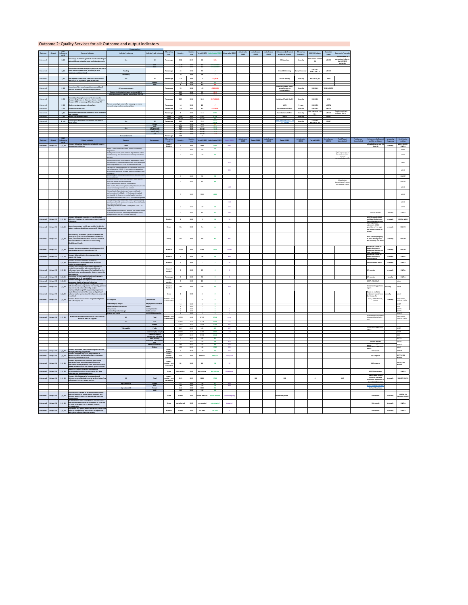| Output<br>Outcome                                  | <b>SDCF</b><br>indicator's          | <b>Outcome Indicator</b>                                                                                                                                                                    | <b>Dissagregations</b><br>Indicator's category                                                                                                                             | Indicator's sub-category                                        | <b>Measuring</b><br>unit              | <b>Baseline</b>            | <b>Baseline</b><br>year | <b>Target (2025)</b>           | tual value (202                           | Actual value (2022)  | <b>Actual value</b><br>(2023) | <b>Actual value</b><br>(2024) | <b>Actual value</b><br>(2025) | Data source (full name)<br>and link to data set           | <b>Measuring</b><br>frequency      | <b>SDG/PAF linkages</b>            | Custodian<br>entity           | Comments / remarks                                      |                                     |                                                                              |                               |                                         |
|----------------------------------------------------|-------------------------------------|---------------------------------------------------------------------------------------------------------------------------------------------------------------------------------------------|----------------------------------------------------------------------------------------------------------------------------------------------------------------------------|-----------------------------------------------------------------|---------------------------------------|----------------------------|-------------------------|--------------------------------|-------------------------------------------|----------------------|-------------------------------|-------------------------------|-------------------------------|-----------------------------------------------------------|------------------------------------|------------------------------------|-------------------------------|---------------------------------------------------------|-------------------------------------|------------------------------------------------------------------------------|-------------------------------|-----------------------------------------|
| Outcome 2                                          | $ref.$ #<br>$2_{10}$                | Percentage of children age 36-59 months attending an<br>early childhood education program (attendance rate)                                                                                 | Sex                                                                                                                                                                        | All                                                             | Percentage                            | 39.8                       | 2019                    | 60                             | 36%                                       |                      |                               |                               |                               | <b>ECD database</b>                                       | <b>Annually</b>                    | <b>PAF: Similar to EESP</b><br>2.1 | <b>UNICEF</b>                 | The decrease in<br>percentage is due to<br>the COVID 19 |                                     |                                                                              |                               |                                         |
|                                                    |                                     |                                                                                                                                                                                             |                                                                                                                                                                            | Girls<br><b>Boys</b>                                            |                                       | 47.76<br>52.24             | 2019<br>2019            | 60<br>60                       | not available<br>not available            |                      |                               |                               |                               |                                                           |                                    |                                    |                               | protocols                                               |                                     |                                                                              |                               |                                         |
| Outcome 2                                          | $2_{20}$                            | Proportion of children and young people at the end of<br>lower secondary education, achieving at least<br>minimum proficiency level                                                         | Reading                                                                                                                                                                    |                                                                 | Percentage                            |                            | 2018                    | 55                             |                                           |                      |                               |                               |                               | <b>PISA OECD testing</b>                                  | Every three year                   | SDG 4.1.1<br>PAF: EESP 3.2         | <b>UNICEF</b>                 |                                                         |                                     |                                                                              |                               |                                         |
| Outcome 2                                          | $2_{30}$                            | Self-reported unmet need for medical examination                                                                                                                                            | <b>Numeracy</b><br>Sex                                                                                                                                                     | All                                                             | Percentage                            | 2.3                        | 2018<br>2018            | 49                             | 2.5(2019)                                 |                      |                               |                               |                               | <b>EU SILC Survey</b>                                     | <b>Annually</b>                    | <b>EU SDG 03_60</b>                | <b>WHO</b>                    |                                                         |                                     |                                                                              |                               |                                         |
|                                                    |                                     | and care, % of population aged 16 and over                                                                                                                                                  |                                                                                                                                                                            | Female<br>Male                                                  |                                       | 2.6                        | 2018<br>2018            | 2.2<br>1.8                     | 2.4<br>2.6                                |                      |                               |                               |                               | Institute of public health                                |                                    |                                    |                               |                                                         |                                     |                                                                              |                               |                                         |
| Outcome 2                                          | $2_{-}40$                           | roportion of the target population covered by all<br>vaccines included in their national programme                                                                                          | All vaccines coverage<br>3 doses of diphtheria-tetanus-pertussis (DTP3)                                                                                                    |                                                                 | Percentage                            | 92.5                       | 2018<br>2018            | >95<br>95                      | $<$ 90 $(2020)$<br>83.9                   |                      |                               |                               |                               | annual report on<br>immunization.                         | <b>Annually</b>                    | SDG 3.b.1                          | <b>WHO/UNICEF</b>             |                                                         |                                     |                                                                              |                               |                                         |
|                                                    |                                     | Probability of dying from any of Cardiovascular                                                                                                                                             | Measles-containing-vaccine second dose (MCV2)                                                                                                                              |                                                                 |                                       | 74.8                       | 2018                    | 95                             | 68.5<br>22.73 (2019)                      |                      |                               |                               |                               | <b>Institute of Public Health</b>                         |                                    | SDG 3.4.1                          | <b>WHO</b>                    |                                                         |                                     |                                                                              |                               |                                         |
| Outcome 2<br>Outcome 2                             | $2\_50$<br>$2\_60$                  | diseases (CVD), cancer, diabetes, chronic respiratory<br>diseases (CRD) between age 30 and exact age 70<br>Modern contraceptive prevalence Rate                                             | Women currently in union who are using, or whose                                                                                                                           |                                                                 | Percentage<br>Percentage              | 20.3                       | 2016<br>2018            | 18.5<br>20                     |                                           |                      |                               |                               |                               | <b>MICS</b>                                               | <b>Annually</b><br>5 years         | SDG 3.7.1                          | <b>UNFPA</b>                  |                                                         |                                     |                                                                              |                               |                                         |
| Outcome 2                                          | $2_{70}$                            | Neonatal mortality rate                                                                                                                                                                     | partner is using modern contraceptives                                                                                                                                     |                                                                 | Percentage                            | 3.8                        | 2019                    | 3.5                            | 4.2 (2020)                                |                      |                               |                               |                               | <b>State Statistical Office</b>                           | <b>Annually</b>                    | SDG 3.2.2                          | <b>UNICEF</b>                 | Double counting is                                      |                                     |                                                                              |                               |                                         |
| Outcome 2<br>Outcome 2                             | $2\_80$                             | Proportion of households covered by social protection<br>cash transfers<br>2_90   Human Development Index                                                                                   |                                                                                                                                                                            |                                                                 | Percentage<br><b>Points</b>           | 0.759                      | 2019<br>2019            | 14.5<br>0.78                   | 30.9%<br>0.774                            |                      |                               |                               |                               | <b>State Statistical Office</b><br><b>UNDP</b>            | <b>Annually</b><br><b>Annually</b> | <b>PAF: Similar to LRD</b><br>10.1 | <b>UNICEF</b><br><b>UNDP</b>  | probable, due to                                        |                                     |                                                                              |                               |                                         |
| Outcome 2                                          | $2$ _100                            | Proportion of population living below the national<br>poverty line                                                                                                                          | Sex                                                                                                                                                                        | All<br>Female                                                   | Rank<br>Percentage                    | 82/189<br>21.9             | 2019<br>2018<br>2018    | not set<br>15.5<br>16.8        | 82<br>21.6                                |                      |                               |                               |                               | <u>State Statistical office / E</u><br><b>SILC Survey</b> | <b>Annually</b>                    | SDG 1.2.2<br>EU SDG 01_20          | <b>UNDP</b>                   |                                                         |                                     |                                                                              |                               |                                         |
|                                                    |                                     |                                                                                                                                                                                             | Age                                                                                                                                                                        | Male<br>0-17 years old<br><b>Youth (15-24)</b>                  |                                       | 22<br>21.8<br>29.3<br>29.7 | 2018<br>2018<br>2018    | 14.2<br>not set<br>not set     | 21.1<br>27.8<br>27.4                      |                      |                               |                               |                               |                                                           |                                    |                                    |                               |                                                         |                                     |                                                                              |                               |                                         |
|                                                    |                                     |                                                                                                                                                                                             | Roma settlements                                                                                                                                                           | <b>Adult (16+)</b><br>$25+$                                     | Percentage                            | 20.6<br>19.2<br>18.8       | 2018<br>2018            | not set<br>not set<br><b>q</b> | 20.4<br>19.3                              |                      |                               |                               |                               |                                                           |                                    |                                    |                               |                                                         |                                     |                                                                              |                               |                                         |
| Output<br>Outcome                                  | <b>SDCF</b><br>indicator's<br>ref.# | <b>Output Indicator</b>                                                                                                                                                                     | <b>Category</b>                                                                                                                                                            | Sub-category                                                    | <b>Measuring</b><br>unit              | <b>Baseline</b>            | <b>Baseline</b><br>year |                                | Target (2021) $ $ Actual value (2021) $ $ | <b>Target (2022)</b> | <b>Actual value</b><br>(2022) | <b>Target (2023)</b>          | <b>Actual value</b><br>(2023) | <b>Target (2024)</b>                                      | <b>Actual value</b><br>(2024)      | <b>Target (2025)</b>               | <b>Actual value</b><br>(2025) | <b>Total Target</b><br>(cumulative)                     | <b>Total actual</b><br>(cumulative) | Data source (full name)<br>and link to data set                              | <b>Measuring</b><br>frequency | <b>Contributing</b><br>entities         |
| Output 2.1<br>Outcome 2                            | $2\_1\_10$                          | Number of health profesional reached with capacity<br>development initiatives                                                                                                               | Total<br>Nurses - within newly developed nursing competency                                                                                                                |                                                                 | Count /<br><b>Number</b>              |                            | 2020                    | 3590                           | 5404<br>430                               | 4040                 |                               |                               |                               |                                                           |                                    |                                    |                               |                                                         |                                     | e-health Directorate, UN<br><b>Records</b>                                   | annually                      | WHO, UNICEF,<br><b>UNFPA</b>            |
|                                                    |                                     |                                                                                                                                                                                             | programme<br>Health professionals (immunization departments within<br>health centers) - for administration of newly introduced                                             |                                                                 |                                       |                            | 2020<br>2020            | 200<br>100                     | 340                                       | <b>State State</b>   |                               |                               |                               |                                                           |                                    |                                    |                               | Rapid assessment of<br>the needs for inter-             |                                     |                                                                              |                               | WHO<br>WHO                              |
|                                                    |                                     |                                                                                                                                                                                             | vaccines<br>Health professionals (immunization departments within                                                                                                          |                                                                 |                                       |                            |                         |                                |                                           |                      |                               |                               |                               |                                                           |                                    |                                    |                               | personal<br>nunication skills                           |                                     |                                                                              |                               |                                         |
|                                                    |                                     |                                                                                                                                                                                             | health centers) - implementation of the newly developed<br>SOPs and guidance on COVID 19 and other vaccines<br>Pharmacists - capacity building for facilitating structured |                                                                 |                                       |                            |                         |                                |                                           | 400                  |                               |                               |                               |                                                           |                                    |                                    |                               |                                                         |                                     |                                                                              |                               | Who                                     |
|                                                    |                                     |                                                                                                                                                                                             | and collaborative COVID-19 vaccination conversations<br>with patients, aiming to increase vaccine confidence and<br>acceptance                                             |                                                                 |                                       |                            |                         |                                |                                           | 800                  |                               |                               |                               |                                                           |                                    |                                    |                               |                                                         |                                     |                                                                              |                               | WHO                                     |
|                                                    |                                     |                                                                                                                                                                                             | Neonatologists - contemporary protocols and procedures<br>for neonatal care<br>Family doctors and home visiting nurses- basic psycho-                                      |                                                                 |                                       |                            | 2020                    | 30                             | 32 <sub>2</sub>                           |                      |                               |                               |                               |                                                           |                                    |                                    |                               | <b>Contract with</b><br>Macedonian                      |                                     |                                                                              |                               | <b>UNICEF</b>                           |
|                                                    |                                     |                                                                                                                                                                                             | social and mental health counselling<br>and in GBV and inter-sectoral collaboration<br>Public health, PHC and hospital health professionals in the                         |                                                                 |                                       |                            | 2020                    | <b>RO</b>                      | 400                                       | 1000                 |                               |                               |                               |                                                           |                                    |                                    |                               | Association of nurses<br>nd midwifee                    |                                     |                                                                              |                               | <b>UNICEF</b><br>WHO                    |
|                                                    |                                     |                                                                                                                                                                                             | area of infection prevention and control<br>Primary Health Care doctors and nurses and health<br>professionals in the COVID - 19 Centers and hospitals                     |                                                                 |                                       |                            |                         |                                |                                           |                      |                               |                               |                               |                                                           |                                    |                                    |                               |                                                         |                                     |                                                                              |                               |                                         |
|                                                    |                                     |                                                                                                                                                                                             | country wide in the area of mental health, infection<br>prevention and control and COVID - 19 case management<br>Primary Health Care doctors and nurses and Community      |                                                                 |                                       |                            | 2020                    | 3000                           | 4000                                      |                      |                               |                               |                               |                                                           |                                    |                                    |                               |                                                         |                                     |                                                                              |                               | WHO                                     |
|                                                    |                                     |                                                                                                                                                                                             | based mental health centers in the area of mental health,<br>prevention and control<br>Labaratory technitians on bio - safety and COVID - 19                               |                                                                 |                                       |                            |                         |                                |                                           | 1500                 |                               |                               |                               |                                                           |                                    |                                    |                               |                                                         |                                     |                                                                              |                               | WHO                                     |
|                                                    |                                     |                                                                                                                                                                                             | Gynecologists and SRH teams (doctors and nurses trained<br>to provide SRH services in mobile gynecological clinics)                                                        |                                                                 |                                       |                            | 2020<br>2020            | 100<br>80                      | 100<br>102                                | 100<br>240           |                               |                               |                               |                                                           |                                    |                                    |                               |                                                         |                                     | UNFPA records                                                                | Annually                      | WHO<br><b>UNFPA</b>                     |
| Outcome 2   Output 2.1   $2\_1\_30$                |                                     | Number of hospitals (covering at least 70% of all<br>deliveries) that have strengthened perinatal care with                                                                                 | (SRH personnel from SRH facilities (Level 1))                                                                                                                              |                                                                 | <b>Number</b>                         |                            | 2020                    |                                | ี 10                                      | 10                   |                               |                               |                               |                                                           |                                    |                                    |                               |                                                         |                                     | <b>UNFPA records; MoH</b><br>and Safe Motherhood                             | annually                      | <b>UNFPA, WHO</b>                       |
|                                                    |                                     | N support                                                                                                                                                                                   |                                                                                                                                                                            |                                                                 |                                       |                            |                         |                                |                                           |                      |                               |                               |                               |                                                           |                                    |                                    |                               |                                                         |                                     | <b>Committee documents</b><br>MLSP legislation<br>alignment, MYLA            |                               |                                         |
| Outcome 2 $\vert$ Output 2.1 $\vert$               | $2_1 40$                            | Access to secondary health care enabled for ALL for<br>asylum seekers and stateless persons with UN support                                                                                 |                                                                                                                                                                            |                                                                 | <b>Binary</b>                         |                            | 2020                    | Yes                            | no                                        | Yes                  |                               |                               |                               |                                                           |                                    |                                    |                               |                                                         |                                     | provision of free legal<br>aid in case of denial of                          | annually                      | <b>UNHCR</b>                            |
|                                                    |                                     | The dissability assessment system for children and<br>youth (0-26 years) to access additional healthcare,                                                                                   |                                                                                                                                                                            |                                                                 |                                       |                            |                         |                                |                                           |                      |                               |                               |                               |                                                           |                                    |                                    |                               |                                                         |                                     | MoH (Developed policy                                                        |                               |                                         |
| Outcome 2   Output 2.1                             | $2\_1\_50$                          | social protection and education services is based on<br>the International Classification of Functioning,<br>Disability and Health                                                           |                                                                                                                                                                            |                                                                 | <b>Binary</b>                         |                            | 2020                    | Yes                            |                                           | Yes                  |                               |                               |                               |                                                           |                                    |                                    |                               |                                                         |                                     | in place that regulate<br>this function) and MoES                            | annually                      | <b>UNICEF</b>                           |
| Outcome 2   Output 2.1   2_1_60                    |                                     | Number of primary caregivers of children aged 0-23<br>months who received counselling on IYCF                                                                                               |                                                                                                                                                                            |                                                                 | <b>Number</b>                         | 10000                      | 2020                    | 15000                          | 14554                                     | 10000                |                               |                               |                               |                                                           |                                    |                                    |                               |                                                         |                                     | Ministry of Health, E-<br>Health Directorate,<br>Institute of Mother and     | annually                      | <b>UNICEF</b>                           |
| Outcome 2   Output 2.1   2_1_70                    |                                     | Number of beneficiaries of services provided by<br>nobile SRH clinics                                                                                                                       |                                                                                                                                                                            |                                                                 | <b>Number</b>                         |                            | 2020                    | 100                            | 188                                       | 800                  |                               |                               |                               |                                                           |                                    |                                    |                               |                                                         |                                     | Child (Admin data)<br>Ministry of Health, E-<br>Health Directorate,          | annually                      | <b>UNFPA</b>                            |
|                                                    | $2_{10}$                            | Number of schools that have introduced<br>Comprehensive Sexuality Education as elective                                                                                                     |                                                                                                                                                                            |                                                                 | <b>Number</b>                         |                            | 2020                    |                                |                                           | 30                   |                               |                               |                               |                                                           |                                    |                                    |                               |                                                         |                                     | <b>UNFPA reports</b><br><b>UNFPA recods, MoES</b>                            | annually                      | <b>UNFPA</b>                            |
| Outcome 2   Output 2.2   2_2_20                    |                                     | subject in the ninth grade<br>Number of initiatives and innovative approaches<br>created in partnerships with communities and<br>influencers to mobilize support for healthy lifestyles,    |                                                                                                                                                                            |                                                                 | Count/                                |                            | 2020                    | 15                             |                                           |                      |                               |                               |                               |                                                           |                                    |                                    |                               |                                                         |                                     | UN records                                                                   | annually                      | <b>UNFPA</b>                            |
|                                                    |                                     | family planning, gender equality, violence prevention<br>and tolerance<br>Percentage of municipalities implementing youth                                                                   |                                                                                                                                                                            |                                                                 | number                                |                            |                         |                                |                                           |                      |                               |                               |                               |                                                           |                                    |                                    |                               |                                                         |                                     |                                                                              |                               |                                         |
| Outcome 2   Output 2.2  <br>Outcome 2   Output 2.2 | $2_2_30$<br>$2_{2}40$               | corecard (out of 81 municipality)<br>Number of refugees and asylum seekers children and<br>persons enrolled in all levels of education<br>Number of girls and boys who have participated in |                                                                                                                                                                            |                                                                 | Percentage<br>Count/<br>number        |                            | 2020<br>2020            | 30<br>20                       |                                           |                      |                               |                               |                               |                                                           |                                    |                                    |                               |                                                         |                                     | UN records<br>MLSP, CRC, MoES                                                | anually                       | <b>UNFPA</b><br>lunhcr                  |
| Outcome 2   Output 2.2                             | $2_250$                             | skills development programmes for: learning, personal<br>empowerment, active citizenship and/or                                                                                             |                                                                                                                                                                            |                                                                 | Count/<br><b>Number</b>               | 190                        | 2020                    | 400                            | 335                                       | 200                  |                               |                               |                               |                                                           |                                    |                                    |                               |                                                         |                                     | <b>Implementing partners</b><br>report                                       | Annually                      | lunicef                                 |
| Outcome 2   Output 2.2   2_2_60                    |                                     | nployability through UN-supported programmes<br>Level of improvement of the scope and quality of<br>national teacher professional development, on a scale                                   |                                                                                                                                                                            |                                                                 | Score                                 |                            | 2020                    |                                |                                           |                      |                               |                               |                               |                                                           |                                    |                                    |                               |                                                         |                                     | <b>Based on available</b><br>evidence (reports from annually                 |                               | unicef                                  |
| Outcome $2 \mid$ Output 2.3                        | $2 - 3 - 10$                        | from 1 to 4<br>Number of new social services designed and piloted<br>with UN support, for:                                                                                                  | <b>All categories</b>                                                                                                                                                      | <b>Total services</b>                                           | Number - non-<br>cummulative          |                            |                         |                                |                                           |                      |                               |                               |                               |                                                           |                                    |                                    |                               |                                                         |                                     | the Bureau for<br>IOM, UNFPA Reports<br><b>UNICEF</b>                        | annually                      | IOM, UNFPA,<br>UNICEF, UNDP             |
|                                                    |                                     |                                                                                                                                                                                             | hard to employ people<br>migrants and asylum seekers                                                                                                                       | employment activation<br>health                                 |                                       | 14                         | 2020<br>2020            |                                |                                           |                      |                               |                               |                               |                                                           |                                    |                                    |                               |                                                         |                                     |                                                                              |                               | UNDP<br><b>UNFPA</b>                    |
|                                                    |                                     |                                                                                                                                                                                             | older persons<br>women of reproductive age<br>children and youth                                                                                                           | social protection<br>health services<br>social/child protection |                                       |                            | 2020<br>2020<br>2020    |                                |                                           |                      |                               |                               |                               |                                                           |                                    |                                    |                               |                                                         |                                     |                                                                              |                               | <b>UNFPA</b><br><b>UNICEF</b>           |
| Outcome 2   Output 2.4   2_3_20                    |                                     | Number of end-beneficiaries of the social services<br>delivered with UN Support:                                                                                                            | All                                                                                                                                                                        | <b>Total</b>                                                    | Number - non-<br>cummulative          | 83998                      | 4038                    | 8,722                          | 27648                                     | 3329                 |                               |                               |                               |                                                           |                                    |                                    |                               |                                                         |                                     | IOM Reports; Ministry of<br>Labor and Social Policy                          |                               | IOM, UNFPA,<br>UNICEF, UNDP             |
|                                                    |                                     |                                                                                                                                                                                             | Sex<br>Vulnerability                                                                                                                                                       | Male<br>Female<br>PwDs                                          |                                       | 52376<br>31622<br>5267     | 2019<br>2019<br>2020    | 7,218<br>1,504<br>585          | 22506<br>5142<br>803                      | 2150<br>992<br>187   |                               |                               |                               |                                                           |                                    |                                    |                               |                                                         |                                     | <b>Implementing partners</b>                                                 |                               | UNDP                                    |
|                                                    |                                     |                                                                                                                                                                                             |                                                                                                                                                                            | hard to employ people<br>Stateless, asylum                      |                                       | 53250                      | 2019                    | 1,382                          | 8560                                      | 1342                 |                               |                               |                               |                                                           |                                    |                                    |                               |                                                         |                                     |                                                                              |                               | UNDP                                    |
|                                                    |                                     |                                                                                                                                                                                             |                                                                                                                                                                            | seekers and migrants<br>older persons<br>women of reproductive  |                                       | 24047                      | 2019<br>2020            | 5,953<br>300                   | 19640<br>324                              |                      |                               |                               |                               |                                                           |                                    |                                    |                               |                                                         |                                     |                                                                              |                               | <b>UNFPA</b>                            |
|                                                    |                                     |                                                                                                                                                                                             |                                                                                                                                                                            | parents/caregivers                                              |                                       | 946                        | 2020<br>2020            | 100<br>254                     | 188<br>960                                | 800<br>500           |                               |                               |                               |                                                           |                                    |                                    |                               |                                                         |                                     | <b>UNFPA records</b><br>nplementing partners<br><b>Implementing partners</b> |                               | <b>UNFPA</b><br><b>UNICEF</b><br>unicef |
| Outcome 2   Output 2.5   2_3_30                    |                                     | Number of mothers, fathers and caregivers reached<br>through parenting programmes<br>Number of people who have been exposed to                                                              |                                                                                                                                                                            | Children                                                        | count -<br>number                     | 488                        | 2020<br>2019            | 148<br>150                     | 1502<br>245                               | 500<br>350           |                               |                               |                               |                                                           |                                    |                                    |                               |                                                         |                                     | <b>UN records</b>                                                            |                               | <b>UNICEF</b>                           |
| Outcome 2   Output 2.4   2_4_10                    |                                     | awareness raising and behavior change messages<br>related to prevention to VAW.                                                                                                             |                                                                                                                                                                            |                                                                 | count -<br>number -<br>cumulative     | 500                        | 2020                    | 900,000                        | 997,000                                   | 1,500,000            |                               |                               |                               |                                                           |                                    |                                    |                               |                                                         |                                     | <b>CSOs reports</b>                                                          |                               | UNFPA, UN<br>Women                      |
| Outcome 2   Output 2.4   2_4_20                    |                                     | Number of professionals providing general and<br>specialist services with increased capacities on<br>revention of and protection from domestic violence,                                    |                                                                                                                                                                            |                                                                 | count -<br>number - non<br>cumulative |                            | 2020                    | 80                             | <b>18</b>                                 | <b>10</b>            |                               |                               |                               |                                                           |                                    |                                    |                               |                                                         |                                     | <b>CSOs reports</b>                                                          |                               | UNFPA, UN<br>Women                      |
| Outcome 2   Output 2.4   2_4_30                    |                                     | gender-based violence and violence against children<br>Report on analysis of existing situation and<br>recommended solutions for integrated GBV data                                        |                                                                                                                                                                            |                                                                 | Score                                 | <b>Not existing</b>        | 2020                    | <b>Not existing</b>            | <b>Not existing</b>                       | <b>Developed</b>     |                               |                               |                               |                                                           |                                    |                                    |                               |                                                         |                                     | <b>UNFPA documents</b>                                                       |                               | <b>UNFPA</b>                            |
| Outcome 2   Output 2.4   2_4_40                    |                                     | ollection and analysis deeveloped<br>Number of individuals who have experienced<br>violence, reached by health, social work or justice/law                                                  | All                                                                                                                                                                        | <b>Total</b>                                                    | count-<br>number - non-               | 1749                       | 2019                    | 1600                           | 1768                                      |                      |                               | 100                           |                               | 100                                                       |                                    |                                    |                               | 3549                                                    |                                     | Admin data, annual<br>report of the State                                    | <b>Annually</b>               | <b>UNICEF, UNFPA</b>                    |
|                                                    |                                     | enforcement services, by sex and age                                                                                                                                                        | Age (below 18)                                                                                                                                                             | female                                                          | cumulative                            | 93                         | 2019                    | 100                            | 87                                        | 100                  |                               |                               |                               |                                                           |                                    |                                    |                               |                                                         |                                     | council for prevention of<br>juvenile delinguency                            |                               |                                         |
|                                                    |                                     |                                                                                                                                                                                             | Age (above 18)                                                                                                                                                             | male<br>Female<br>Male                                          |                                       | 246<br>1161<br>249         | 2019<br>2020<br>2020    | 250<br>1000<br>250             | 539<br>956<br>186                         | 200                  |                               |                               |                               |                                                           |                                    |                                    |                               |                                                         |                                     | http://dspdp.com.mk/<br><b>Mol and Court data</b>                            |                               |                                         |
| Outcome 2   Output 2.4   2_4_50                    |                                     | Comprehensive review on data collection practices<br>and mechanisms on gender-based, domestic and<br>violence against children to identify data gaps and                                    |                                                                                                                                                                            |                                                                 | Score                                 | no data                    | 2020                    | review initiated               | review initiated                          | review ongoing       |                               |                               |                               | review completed                                          |                                    |                                    |                               |                                                         |                                     | <b>UN records</b>                                                            | <b>Annually</b>               | UNFPA, UN<br><b>Women, UNICEF</b>       |
| Outcome 2   Output 2.4   2_4_60                    |                                     | shortcomings<br>By-laws and SOPs are developed for comprehensive<br>and coordinated multi-sectoral response to VAW and<br>$ DV$ , with participation of all relevant partners,              |                                                                                                                                                                            |                                                                 | Score                                 | not adopted                | 2020                    | not adopted                    | not adopted                               | <b>Adopted</b>       |                               |                               |                               |                                                           |                                    |                                    |                               |                                                         |                                     | <b>UN records</b>                                                            | <b>Annually</b>               | <b>UNFPA</b>                            |
| Outcome 2   Output 2.4   2_4_70                    |                                     | ncluding CSOs<br>Key sectors (e.g. police, health, social care, CSOs) have<br>capacity strengthening mechanisms to implement                                                                |                                                                                                                                                                            |                                                                 | <b>Number</b>                         | no data                    | 2020                    | no data                        | no data                                   |                      |                               |                               |                               |                                                           |                                    |                                    |                               |                                                         |                                     | <b>UN records</b>                                                            | <b>Annually</b>               | <b>UNFPA</b>                            |
|                                                    |                                     | MSR (multi-sectorial response to GBV)                                                                                                                                                       |                                                                                                                                                                            |                                                                 |                                       |                            |                         |                                |                                           |                      |                               |                               |                               |                                                           |                                    |                                    |                               |                                                         |                                     |                                                                              |                               |                                         |

# Outcome 2: Quality Services for all: Outcome and output indicators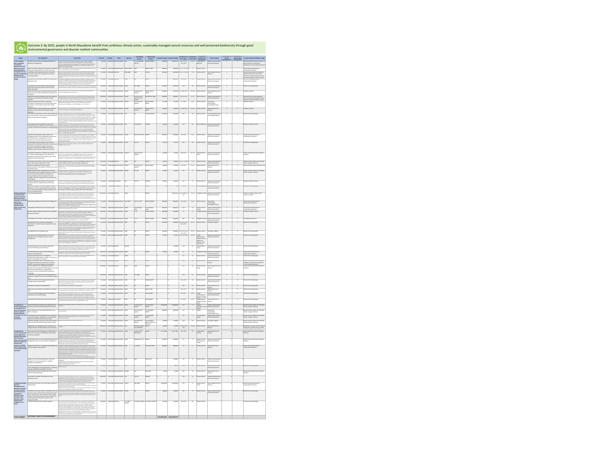|                                                                           |                                                                                                                                                                                                                                                                                        |                                                                                                                                                                                                                                                                                                                                                                                                                                                                                                                                                                                   |                               |                 |                                                                             |                 |                                                   |                                             |                                                 |             |                                                                      |                          | Geographical                                                |                                                                                      | <b>Contribution to</b>   | <b>Contribution to</b>              |                                                                                                                    |
|---------------------------------------------------------------------------|----------------------------------------------------------------------------------------------------------------------------------------------------------------------------------------------------------------------------------------------------------------------------------------|-----------------------------------------------------------------------------------------------------------------------------------------------------------------------------------------------------------------------------------------------------------------------------------------------------------------------------------------------------------------------------------------------------------------------------------------------------------------------------------------------------------------------------------------------------------------------------------|-------------------------------|-----------------|-----------------------------------------------------------------------------|-----------------|---------------------------------------------------|---------------------------------------------|-------------------------------------------------|-------------|----------------------------------------------------------------------|--------------------------|-------------------------------------------------------------|--------------------------------------------------------------------------------------|--------------------------|-------------------------------------|--------------------------------------------------------------------------------------------------------------------|
| Output<br>3.1 The enabling                                                | Sub-output title<br>Climate resilience and sustainable productivity in                                                                                                                                                                                                                 | <b>Description</b><br>Climate resilience of agricultural production built through improved                                                                                                                                                                                                                                                                                                                                                                                                                                                                                        | <b>Start date</b><br>1/1/2021 | <b>End date</b> | <b>Status</b><br>12/31/2025 Implementation FAO                              | <b>Agencies</b> | <b>Contributing</b><br>partners<br>AF; FAO MPPSM; | Implementing<br>partners<br>MAFWE; MoEPP    | Available budget   Required budget<br>\$104,000 | \$1,103,171 | Contribution to Contribution<br><b>SDG Targets</b><br>1.4, 2.3, 13.1 | to SDG Goals<br>1, 2, 13 | distribution of<br>the activities<br>Southeastern           | Type of support<br>Capacity Development,                                             | Gender<br>mainstreaming* | <b>Human rights</b><br>advancement* | <b>Groups left behind (LNOB) coverage</b><br>Women and Men Farmers; Families at                                    |
| policy, regulatory<br>environment,                                        | agriculture strengthened                                                                                                                                                                                                                                                               | irrigation infrastructure and efficient management of land and water<br>resources; Sustainable productivity growth in agriculture enabled through<br>high quality data for decision-making, in the context of climate smart-                                                                                                                                                                                                                                                                                                                                                      |                               |                 |                                                                             |                 | <b>FAO TCP</b>                                    |                                             |                                                 |             | 13.1, 13.3                                                           |                          | Radovish                                                    | Technical Assistance                                                                 |                          |                                     | <b>Risk of Poverty; Communities</b><br>Dependent on Vulnerable Ecosystems                                          |
| capacities at central<br>and local level and<br>community actions         | energy and energy efficiency (Green Financing                                                                                                                                                                                                                                          | agriculture and agroecology<br>SMEs have improved access to finance for renewable Green Financing Facility will enable local banks to extend favorable loans<br>with ex-post performance-based payments                                                                                                                                                                                                                                                                                                                                                                           | 1/1/2022                      |                 | 12/31/2025 Implementation   UNDP; UNECE   SDGF                              |                 |                                                   | UNDP; UNECE                                 | \$606,354                                       |             | $$606,354$ 7.a, 7.2, 7.3, 13.2                                       |                          | Whole country                                               |                                                                                      |                          |                                     | Communities Dependent on<br>Vulnerable Ecosystems                                                                  |
| strengthened for low-<br>and multi-sector                                 | Households have improved access to finance for<br>emission development renewable energy and energy efficiency (Green<br>$\vert$ Financing Facility)                                                                                                                                    | Green Financing Facility will enable local banks to extend favorable loans with ex-post<br>performance-based payments. Various underserved groups will be targeted (female-<br>headed and single parent households, remittance recipients and returning migrants,<br>households with persons with disabilities, Roma households and employees affected by                                                                                                                                                                                                                         | 1/1/2022                      |                 | 12/31/2025 Pipeline                                                         | IOM; UNDP       | SDGF                                              | <b>CDPCEA</b>                               | \$420,066                                       |             | $$420,066$ 7.a, 7.2, 7.3, 13.2                                       | 7, 13                    | Whole country                                               | Direct Support/Service<br>Delivery                                                   |                          |                                     | <b>Women Single Parents and Women-</b><br>headed Households; Vulnerable<br>Returnees; People from Areas Prone      |
| resilience to climate<br>change                                           | Development of a Project Proposal for the National<br><b>Adaptation Plan</b>                                                                                                                                                                                                           | $\vert$ Covid-19).<br>Development of a proposal for the GCF Readiness Programme. The objective of the<br>proposal is to build the enabling institutional, planning and programming environments                                                                                                                                                                                                                                                                                                                                                                                   | 1/1/2021                      |                 | 3/31/2024 Pipeline                                                          | UNDP            | GCF                                               | MoEPP                                       |                                                 | \$504,620   | 13.1, 13.2                                                           | 13                       | Whole country                                               | Capacity Development,<br><b>Technical Assistance</b>                                 |                          |                                     | to Natural Disasters; People Living in<br>Communities Dependent on<br>Vulnerable Ecosystems                        |
|                                                                           | Comprehensive and transparent climate change                                                                                                                                                                                                                                           | for adaptation at the national, municipal and sectoral levels through strengthening<br>coordination, capacity and the information base so that the country can design and<br>implement effective adaptation investments in line with national priorities.<br>Assisting the country to comply with its commitments to the Paris Agreement                                                                                                                                                                                                                                          | 1/1/2021                      |                 | $6/30/2022$ Implementation UNDP                                             |                 | GEF; UNDP                                         | MOEPP                                       | \$323,500                                       | \$323,500   | 13.2                                                                 |                          | Whole country                                               | Capacity Development,                                                                |                          |                                     | None of the listed groups                                                                                          |
|                                                                           | Monitoring, Reporting and Verification Scheme<br>$(MRV)$ developed<br>Resources and venues for experiential learning that                                                                                                                                                              | by establishing a national system for monitoring, reporting and verification.<br>stablish new venues that support primary and pre-primary education                                                                                                                                                                                                                                                                                                                                                                                                                               | 1/1/2021                      |                 | 11/30/2023 Implementation UNICEF                                            |                 | Government of                                     | MoEPP; MoES;                                | \$325,000                                       | \$325,000   | 4.7, 12.8, 13.3                                                      | 4, 12, 13                | Whole country                                               | Technical Assistance<br>Direct Support/Service                                       |                          |                                     | Children in Need                                                                                                   |
|                                                                           | enhance the environmental education practices are<br>developed<br>Capacities and seed funding for youth for modeling                                                                                                                                                                   | curricula though experiental learning.<br>Implement youth-led initiatives and programmes using design thinking                                                                                                                                                                                                                                                                                                                                                                                                                                                                    | 6/30/2021                     |                 | 11/30/2023 Implementation UNICEF                                            |                 | Sweden<br>Government of                           | MoLSP<br>BoE; MoEPP; MKD                    | \$309,600                                       | \$309,600   | 4.1, 4.2, 13.3                                                       | 4, 13                    | Whole country                                               | Delivery<br>Capacity Development,                                                    |                          |                                     | Adolescent and Youth, Especially                                                                                   |
|                                                                           | innovative environment and climate-friendly<br>solutions<br>Guiding education documents and policies                                                                                                                                                                                   | methodology that enable young people to participate and contribute with<br>innovative solutions to take climate change and protect the environment.<br>Support the revision of curricula in primary education to incorporate a                                                                                                                                                                                                                                                                                                                                                    | 1/1/2021                      |                 | 11/30/2023 Implementation UNICEF                                            |                 | Government of<br>Sweden<br>Government of          | MoEPP; MoES;                                | \$17,000                                        | \$17,000    | 4.7, 12.8                                                            | 4, 12                    | Whole country                                               | Technical Assistance<br>Convening/                                                   |                          |                                     | Girls; Persons with Disabilities; Rural<br>Women and Girls; Children in Need<br>Children in Need                   |
|                                                                           | incorporate contemporary and scientifically proven<br>approaches to environment and climate change                                                                                                                                                                                     | developmental approach in delivering scientifically accurate and<br>contemporary knowledge on climate change and environment.                                                                                                                                                                                                                                                                                                                                                                                                                                                     |                               |                 |                                                                             |                 | Sweden                                            | Mol SI                                      |                                                 |             |                                                                      |                          |                                                             | Partnerships/<br>Knowledge Sharing                                                   |                          |                                     |                                                                                                                    |
|                                                                           | education<br>Teachers and pre-school educators have improved<br>capacities in environment and climate change                                                                                                                                                                           | Create new professional development opportunities for teachers in the area<br>of climate change and environmental education.                                                                                                                                                                                                                                                                                                                                                                                                                                                      | 1/1/2021                      |                 | 11/30/2023 Implementation UNICEF                                            |                 | Government of<br>Sweden                           | MoEPP; MoES;<br> MoLSP                      | \$86,000                                        | \$86,000    | $\vert$ 4.7, 12.8, 13.3                                              | 4, 12, 13                | Whole country                                               | Data Collection and<br>Analysis                                                      |                          |                                     | Children in Need                                                                                                   |
|                                                                           | education<br>Direct access to the Green Climate Fund enabled and<br>system for tracking, monitoring and streamlining of                                                                                                                                                                | Under the second project from the GCF Preparatory and Support Programme<br>"Strengthening country capacities for climate change adaptation and mitigation and<br>finalization of Country Work Programme for the Republic of North Macedonia" FAO will                                                                                                                                                                                                                                                                                                                             | 1/1/2021                      |                 | $6/17/2022$ Implementation FAO                                              |                 | GCF                                               | CDPCEA; MoEPP                               | \$232,000                                       | \$232,000   | 13.2                                                                 |                          | Whole country                                               | Convening/Partnerships<br>/ Knowledge Sharing                                        |                          |                                     | None of the listed groups                                                                                          |
|                                                                           | public climate finance developed                                                                                                                                                                                                                                                       | support the Government in accessing the GCF funds, by supporting the GCF accreditation<br>process of one national Direct Access Entity in North Macedonia, and by developing a<br>system for tracking, monitoring and streamlining of public climate finances in the<br>country, as part of an overall monitoring and verification system for climate finance flows                                                                                                                                                                                                               |                               |                 |                                                                             |                 |                                                   |                                             |                                                 |             |                                                                      |                          |                                                             |                                                                                      |                          |                                     |                                                                                                                    |
|                                                                           | Sustainable productivity growth in agriculture<br>through high quality data for decision-making, in the                                                                                                                                                                                | in North Macedonia<br>Strengthening the evidence base to understand trends and drivers of sustainability<br>transitions in agriculture, combining global analysis with country assessments, and<br>bringing in expertise from key partner institutions. The project will further develop local                                                                                                                                                                                                                                                                                    | 1/1/2021                      |                 | $12/31/2022$  Implementation  FAO                                           |                 | <b>FAO MPPSM</b>                                  | <b>MAFWE</b>                                | \$16,481                                        | \$16,481    | 13.3                                                                 | 13                       |                                                             | North Macedonia, Capacity Development/<br>Technical Assistance                       |                          |                                     | 1 Women and Men Farmers                                                                                            |
|                                                                           |                                                                                                                                                                                                                                                                                        | context of climate smart-agriculture and agroecology. tools to assess and determine farm interventions that sustainably increase agricultural<br>productivity and income in a sustainable manner. The action will also strengthen<br>international multi-stakeholder dialogue and enhance knowledge and capacity on<br>climate-smart agriculture, a key approach to sustainable agriculture, through the Global                                                                                                                                                                   |                               |                 |                                                                             |                 |                                                   |                                             |                                                 |             |                                                                      |                          |                                                             |                                                                                      |                          |                                     |                                                                                                                    |
|                                                                           | Hydrochlorofluorocarbons (HCFC) phase-out<br>management plan for North Macedonia developed                                                                                                                                                                                             | Alliance on Climate-Smart Agriculture.<br>Consists of several stages. The first stage is the conversion from HCFC-141b to HFCs in the<br>manufacture of polyurethane foam for the commercial refrigeration units, sandwich<br>panels and insulated doors. In the second stage, the reduction schedule foresees a 50%                                                                                                                                                                                                                                                              | 1/1/2021                      |                 | 12/31/2023 Implementation UNIDO                                             |                 | Montreal Protocol MoEPP                           |                                             | \$110,000                                       | \$110,000   | 9.4, 13.2                                                            | 9, 13                    | Whole country                                               | Capacity Development<br><b>Technical Assistance</b>                                  |                          |                                     | Communities Dependent on<br>Vulnerable Ecosystems                                                                  |
|                                                                           | and implemented, supporting the country's<br>commitment under the Montreal Protocol                                                                                                                                                                                                    | reduction of the average HCFC consumption in the period 2009-2010 (baseline 1.8 ODP<br>tonnes) and the final elimination in 2028 (12 years ahead of the official Montreal<br>Protocol elimination date)                                                                                                                                                                                                                                                                                                                                                                           |                               |                 |                                                                             |                 |                                                   |                                             |                                                 |             |                                                                      |                          |                                                             |                                                                                      |                          |                                     |                                                                                                                    |
|                                                                           | Forth National Communication to the UNFCCC<br>of relevant vulnerability studies using nexus                                                                                                                                                                                            | Development of relevant studies for the most vulnerable sectors to climate<br>$\blacksquare$ developed and submitted (Description: development $\vert$ change, upgrade of the GHG Inventory, revision of the adaptation and<br>mitigation action plans.                                                                                                                                                                                                                                                                                                                           | 1/1/2021                      |                 | $6/30/2022$ Implementation UNDP                                             |                 | $\overline{GEF}$ ; GEF                            | MoEPP                                       | \$74,178                                        | \$74,178    | 13.2                                                                 | 13                       | Whole country                                               | Capacity Development,<br>Technical Assistance                                        |                          |                                     | None of the listed groups                                                                                          |
|                                                                           | approach, development of M&E framework for<br>mitigation actions, public awareness activities)                                                                                                                                                                                         |                                                                                                                                                                                                                                                                                                                                                                                                                                                                                                                                                                                   |                               |                 |                                                                             |                 |                                                   |                                             |                                                 |             |                                                                      |                          |                                                             |                                                                                      |                          |                                     |                                                                                                                    |
|                                                                           | Strengthened capacities of UNESCO Designated sites<br>for climate change adaptation and disaster risk<br>management with Ohrid lake region as case-study                                                                                                                               | Sub-regional activity to strengthen capacities of managing authorities and<br>other relevant stakeholders in UNESCO designated sites in the Western<br>Balkans, with regard to climate change resilience and disaster risk<br>$ $ management for cultural and natural heritage. The Ohrid lake region will be $ $                                                                                                                                                                                                                                                                 | 1/1/2022                      |                 | 12/31/2022 Implementation UNESCO                                            |                 | Government of<br>Bulgaria                         |                                             | \$70,000                                        | \$70,000    | 11.4, 13.1                                                           | 11, 13                   | Southwestern;<br>∣Ohric                                     | <b>Capacity Development</b><br><b>Technical Assistance</b>                           |                          |                                     | People from Areas Prone to Natural<br>Disasters                                                                    |
|                                                                           | (regional, South-East Europe)                                                                                                                                                                                                                                                          | used as case study and real-case demonstrator during training activities.<br>Accelerating innovations in Clean Technologies and Accelerating innovations in Clean Technologies and Green Jobs                                                                                                                                                                                                                                                                                                                                                                                     | 11/1/2021                     |                 | 12/31/2024 Pipeline                                                         | UNDP            | <b>GEF</b>                                        | MoEPP                                       | \$50,000                                        |             | $$50,000$ 7.a, 7.2, 7.3, 13.2                                        | 7, 13                    |                                                             | $\vert$ Whole country $\vert$ Capacity Development/                                  |                          |                                     | People Living in Urban and Industria                                                                               |
|                                                                           | Green Jobs using a Climate Smart Urban<br>Design and implement evidence based<br>communication for development initiatives on youth                                                                                                                                                    | using a Climate Smart Urban Development approach<br>Conduct nation wide campaigns that increase public demand and youth<br>engagement in creating environmental policies and practices that address                                                                                                                                                                                                                                                                                                                                                                               | 1/1/2021                      |                 | 11/30/2023 Implementation UNICEF                                            |                 | Government of<br> Sweden                          | MoEPP; MoES                                 | \$50,000                                        | \$50,000    | 4.5, 13.3                                                            | 4, 13                    | Whole country                                               | <b>Technical Assistance</b><br>Data Collection and<br>Analysis                       |                          |                                     | Areas Facing Air Pollution<br>Adolescent and Youth, Especially Girls                                               |
|                                                                           | led climate action<br>Market transformation accelerated for industrial<br>energy efficiency by strengthening policy, regulatory                                                                                                                                                        | climate change.<br>Accelerate market transformation for industrial energy efficiency by<br>strengthening policy, regulatory and institutional frameworks and                                                                                                                                                                                                                                                                                                                                                                                                                      | 1/1/2021                      |                 | 7/30/2022 Implementation UNIDO                                              |                 | $\overline{GEF}$ ; GEF                            | MoEPP                                       | \$42,600                                        | \$42,600    | 9.4                                                                  |                          | Whole country                                               | Capacity Development<br>Technical Assistance                                         |                          |                                     | People Living in Urban and Industria<br>Areas Facing Air Pollution                                                 |
|                                                                           | and institutional frameworks and supporting<br>increased diffusion of and investment in best<br>available industrial energy efficiency practices and                                                                                                                                   | supporting increased diffusion of and investment in best available<br>industrial energy efficiency practices and technologies.                                                                                                                                                                                                                                                                                                                                                                                                                                                    |                               |                 |                                                                             |                 |                                                   |                                             |                                                 |             |                                                                      |                          |                                                             |                                                                                      |                          |                                     |                                                                                                                    |
|                                                                           | technologies<br>Creating enabling environments for enhanced<br>climate resilience in agriculture (resilient seed                                                                                                                                                                       | The action contributes to mainstreaming climate change adaptation<br>processes in the agriculture and food system through enhancing resilient                                                                                                                                                                                                                                                                                                                                                                                                                                     | 1/1/2021                      |                 | 4/14/2022 Finalisation                                                      | <b>FAO</b>      | <b>FAO TCP</b>                                    | <b>MAFWE</b>                                | \$14,444                                        | \$14,444    | 2.4                                                                  |                          | Whole country                                               | Capacity Development,                                                                |                          |                                     | <b>Women and Men Farmers</b>                                                                                       |
|                                                                           | system)<br>Guidelines and Best Practices for MSMEs in North                                                                                                                                                                                                                            | seed systems and promoting quality seeds of climate tolerant varieties.<br>Customization of the previously developed Guidelines and Best                                                                                                                                                                                                                                                                                                                                                                                                                                          | 1/1/2021                      |                 | 2/1/2022 Finalisation                                                       | UNECE           |                                                   | UNECE                                       |                                                 | -SO         | 7.2, 7.3                                                             |                          |                                                             | Technical Assistance<br>North Macedonia, Capacity Development,                       |                          |                                     | None of the listed groups                                                                                          |
|                                                                           | Macedonia in delivering energy efficient products<br>and in providing renewable energy equipment and<br>online training workshop                                                                                                                                                       | Practices for MSMEs in delivering energy efficient products and in<br>providing renewable energy equipment for North Macedonia                                                                                                                                                                                                                                                                                                                                                                                                                                                    |                               |                 |                                                                             |                 |                                                   |                                             |                                                 |             |                                                                      |                          |                                                             | Technical Assistance                                                                 |                          |                                     |                                                                                                                    |
| <b>Output 3.2 Solutions</b><br>are identified and<br>scaled-up at central | <b>EU</b> for Prespa Programme                                                                                                                                                                                                                                                         | The overall goal of the project is to preserve and improve the ecological system and to<br>the boost off the sustainable economic activities in Prespa area. This will be done<br>hrough implementation of concert activities divided into the following components:<br>Improving water and wastewater management in Resen, Improving solid waste                                                                                                                                                                                                                                 | 12/31/2021                    |                 | 12/31/2025 Pipeline                                                         | <b>UNDP</b>     |                                                   | MoEPP                                       |                                                 |             | $$2,815,315$   1.4, 2.3, 6.b, 6.2                                    | 1, 2, 6                  |                                                             | Pelagonija; Resen Capacity Development<br><b>Technical Assistance</b>                |                          |                                     | <b>Women and Men Farmers; Rural</b><br><b>Women and Girls</b>                                                      |
| and local levels for<br>integrated, sustainable<br>and inclusive          | Improved sustainable land and forest managemer                                                                                                                                                                                                                                         | management in Resen and Constructing a border crossing point with Greece at Markova<br>UNEP will work on strengthening the municipal authorities and the National Council for<br>Sustainable Development on SLM and SFM, through thematic meetings and workshops,                                                                                                                                                                                                                                                                                                                 | 1/1/2022                      |                 | 6/30/2024 Implementation FAO; UNEP                                          |                 | <b>FAO TCP; GEF</b>                               | MAFWE; MoEPP                                | \$350,000                                       | \$650,000   | 13.1, 15.9                                                           | 13, 15                   | Whole country                                               | Convening/<br>Partnerships/                                                          |                          |                                     | Communities Dependent on<br>Vulnerable Ecosystems                                                                  |
| management of<br>natural resources<br>(water, land, forests,              | Strengthened Urban Resilience in Skopje region                                                                                                                                                                                                                                         | capacity building trainings, study visits and pilot projects<br>FAO will work to strengthen national capacities for sustainable forest management and<br>biodiversity conservation in the agriculture sector<br>Supporting the City of Skopje to decrease its environmental footprint and to                                                                                                                                                                                                                                                                                      | 1/1/2021                      |                 | 6/30/2022 Implementation UNDP                                               |                 | City of Skopje                                    | City of Skopje;                             | \$430,250                                       | \$430,250   | 11.b                                                                 |                          | Skopje; City of                                             | Knowledge Sharing<br>Capacity Development,                                           |                          |                                     | Communities Dependent on                                                                                           |
| biodiversity).                                                            | Adverse impact of apple farming in the Prespa Lake                                                                                                                                                                                                                                     | improve service delivery to its citizens.<br>Extending the Good Agriculture Practices (GAP) and ago-ecological measures,<br>Upgrade the early warning system for optimized irrigation schedule;                                                                                                                                                                                                                                                                                                                                                                                   | 10/1/2021                     |                 | 12/31/2025 Implementation UNDP                                              |                 | <b>UNDP</b><br>EC; EC                             | <b>UNDP</b><br>MoEPP; MoRes                 | \$385,988                                       | \$385,988   | 2.3                                                                  |                          | Skopje                                                      | <b>Technical Assistance</b><br>Pelagonija; Resen Capacity Development,               |                          |                                     | Vulnerable Ecosystems<br><b>Women and Men Farmers</b>                                                              |
|                                                                           | <b>Watershed reduced</b>                                                                                                                                                                                                                                                               | Improving agricultural waste management; Support for agriculture crop<br>diversification, organic & integrated production certification; Establishment<br>of Prespa region supply chain for agricultural products)                                                                                                                                                                                                                                                                                                                                                                |                               |                 |                                                                             |                 |                                                   |                                             |                                                 |             |                                                                      |                          |                                                             | Technical Assistance                                                                 |                          |                                     |                                                                                                                    |
|                                                                           | Sustainable tourism offer in Prespa region increased<br>Development of Soil Protection Strategy and                                                                                                                                                                                    | Capacity building for sustainable tourism in the Prespa region;<br>Implementation of grant programme for sustainable tourism<br>The aim of this Strategy will be to provide a framework within which soil quality is<br>protected from degradation. In addition to protecting soil quality through the                                                                                                                                                                                                                                                                            | 10/1/2021                     |                 | 12/31/2025 Implementation UNDP<br>$1/1/2021$ 12/31/2023 Implementation UNEP |                 | EC; EC<br>GEF                                     | MoEPP; MoRes<br>MoEPP                       | \$300,000<br>\$190,000                          | \$300,000   | 8.9<br>$$190,000$   13.1, 13.3, 15.3,                                | 13, 15                   | Whole country                                               | Pelagonija; Resen Capacity Development/<br>Technical Assistance<br>Normative Support |                          |                                     | <b>Rural Women and Girls</b><br>None of the listed groups                                                          |
|                                                                           | Guidelines for Establishing Soil Quality Monitoring<br>Programme                                                                                                                                                                                                                       | implementation of best management practices, a soil strategy will develop mechanisms<br>by which changes in soil quality can be measured and the effectiveness of remedial<br>actions assessed. Together with the Strategy a guideline is planned to be developed for<br>establishing national soil quality monitoring programme together with the set of                                                                                                                                                                                                                         |                               |                 |                                                                             |                 |                                                   |                                             |                                                 |             | 15.4, 15.9                                                           |                          |                                                             |                                                                                      |                          |                                     |                                                                                                                    |
|                                                                           | Development of Soil Protection Law                                                                                                                                                                                                                                                     | indicators which are representative of soil quality.)<br>The draft soil protection law will include measures to prevent desertification from the<br>intensification of agriculture, mining, road construction, and urban land use as well as<br>climate change.                                                                                                                                                                                                                                                                                                                   |                               |                 | 1/1/2022 12/31/2023 Implementation UNEP                                     |                 | <b>GEF</b>                                        | MoEPP                                       | \$130,000                                       |             | $$130,000$   13.1, 13.3, 15.3,<br>15.4, 15.9                         | 13, 15                   | Whole country                                               | Normative Support                                                                    |                          |                                     | None of the listed groups                                                                                          |
|                                                                           | Development and implementation of Training<br>programme on Sustainable Land and Forests<br>Management                                                                                                                                                                                  | Support establishment of mechanisms that will ensure the longer-term development of<br>relevant national capacity to continue to develop the sustainable management of<br>mountain landscapes in the long term, post project. Carry out an assessment of capacity                                                                                                                                                                                                                                                                                                                 | 1/1/2021                      |                 | $12/31/2024$ Implementation UNEP                                            |                 | <b>GEF</b>                                        | MoEPP                                       | \$76,000                                        | \$76,000    | $\vert$ 13.1, 13.3, 15.9                                             | 13, 15                   | Polog;<br>Northeastern;<br>Skopje; Zhelino;                 | Capacity Development/<br>Technical Assistance                                        |                          |                                     | None of the listed groups                                                                                          |
|                                                                           |                                                                                                                                                                                                                                                                                        | needs both at the national and local levels to identify the needs and challenges of all<br>relevant stakeholders in adopting SLM and SFM approaches, including land use planning,<br>prevention of soil degradation through integrated soil fertility management, ecosystem<br>services, and use of economic instruments.                                                                                                                                                                                                                                                         |                               |                 |                                                                             |                 |                                                   |                                             |                                                 |             |                                                                      |                          | Jegunovce;<br>Lipkovo; Saraj;                               |                                                                                      |                          |                                     |                                                                                                                    |
|                                                                           | Ohrid Lake Region: Preserving the natural and<br>cultural Outstanding Universal Value                                                                                                                                                                                                  | Support emergency measures in Albania and North Macedonia for the protection and<br>enhancement of the Outstanding Universal Values of the transnational World Heritage<br>property Natural and Cultural Heritage of the Ohrid region, in response to the latest                                                                                                                                                                                                                                                                                                                  |                               |                 | 3/1/2022 12/31/2023 Pipeline                                                | UNESCO          |                                                   |                                             |                                                 | \$50,000    | 11.4                                                                 | 11                       | Arachinovo<br>Southwestern<br>∣Ohrid                        | Capacity Development/<br>Technical Assistance                                        |                          | $\overline{\phantom{a}}$            | None of the listed groups                                                                                          |
|                                                                           | Transboundary governance for the Prespa Lake<br>Watershed strengthened                                                                                                                                                                                                                 | decision on the property take by the World Heritage Committee in 2021<br>Enhancing the transboundary collaboration in the Prespa Lake Watershed<br>through the support of the Prespa Park Management Committee.                                                                                                                                                                                                                                                                                                                                                                   | 10/1/2021                     |                 | 12/31/2025 Implementation UNDP                                              |                 | EC                                                | MoEPP                                       | \$42,000                                        | \$42,000    | 6.5                                                                  |                          |                                                             | Pelagonija; Resen Capacity Development/<br>Technical Assistance                      |                          |                                     | Communities Dependent on<br>Vulnerable Ecosystems                                                                  |
|                                                                           | Capacity building activities to strengthen<br>transboundary cooperation on water - environment                                                                                                                                                                                         | Capacity building activities to strengthen transboundary cooperation on<br> water - environment - climate nexus (Water Convention)                                                                                                                                                                                                                                                                                                                                                                                                                                                |                               |                 | 1/1/2022 12/31/2023 Pipeline                                                | UNECE           |                                                   |                                             |                                                 |             | 6.5                                                                  |                          | Whole country                                               | Capacity Development,<br>Technical Assistance                                        |                          |                                     | None of the listed groups                                                                                          |
|                                                                           | climate nexus (Water Convention)<br>Capture and dissemination of Improved Land<br>Management experience and lessons learned as                                                                                                                                                         |                                                                                                                                                                                                                                                                                                                                                                                                                                                                                                                                                                                   | 9/30/2022                     |                 | 12/31/2025 Pipeline                                                         | UNEP            | <b>GEF</b>                                        | MoEPP                                       |                                                 |             | 15.2                                                                 | 15                       | Whole country                                               | Data Collection and<br>Analysis                                                      |                          | $\overline{\phantom{0}}$            | People from Areas Prone to Natural<br>Disasters; Communities Dependent                                             |
|                                                                           | basis for national level adoption and upscaling<br>Practical application of integrated landscape<br>approach to achieving LDN and BD targets in the pilot                                                                                                                              |                                                                                                                                                                                                                                                                                                                                                                                                                                                                                                                                                                                   | 9/30/2022                     |                 | 12/31/2025 Pipeline                                                         | UNEP            | <b>UNEP</b>                                       | MoEPP                                       |                                                 |             | 15.2                                                                 |                          | Whole country;<br> Polog                                    | Direct Support/Service<br>Delivery                                                   |                          |                                     | on Vulnerable Ecosystems<br>People from Areas Prone to Natural<br>Disasters                                        |
|                                                                           | area of the Shar Mountains and dependent<br>ecosystems service area (peripheral productive<br>landscape)                                                                                                                                                                               |                                                                                                                                                                                                                                                                                                                                                                                                                                                                                                                                                                                   |                               |                 |                                                                             |                 |                                                   |                                             |                                                 |             |                                                                      |                          |                                                             |                                                                                      |                          |                                     |                                                                                                                    |
|                                                                           | Protected Area management training programme +<br>guidelines to support revision of the National Spatial<br><b>Plan</b>                                                                                                                                                                |                                                                                                                                                                                                                                                                                                                                                                                                                                                                                                                                                                                   | 3/31/2021                     |                 | 6/30/2022 Implementation UNEP                                               |                 | GEF; UNEP                                         | MoEPP                                       |                                                 |             | 15.9                                                                 |                          | Whole country                                               | Capacity Development<br><b>Technical Assistance</b>                                  |                          |                                     | None of the listed groups                                                                                          |
|                                                                           | Two pilot corridors from the proposed National<br>Ecological Network (MAK-NEN)                                                                                                                                                                                                         | Assist national authorities to improve the protected areas connectivity, strengthening<br>national policy and improve management capacities in wildlife corridors by piloting<br>wildlife corridor management measures in two (2) selected areas and reduce main<br>threats to biodiversity in the country.                                                                                                                                                                                                                                                                       | 2/1/2021                      |                 | 6/30/2022 Implementation UNEP                                               |                 | <b>IGEF</b>                                       | DEMA; MoEPP                                 |                                                 |             | 15.2, 15.9                                                           |                          | Whole country                                               | Capacity Development/<br><b>Technical Assistance</b>                                 |                          |                                     | None of the listed groups                                                                                          |
|                                                                           | Red Books on Reptiles and Amphibians<br>High nature value forests are identified on national                                                                                                                                                                                           | Develop Red Books for Reptiles and Amphibians<br>HNVF are identified on national scale and guidelines for HNVF management                                                                                                                                                                                                                                                                                                                                                                                                                                                         | 1/1/2021<br>1/1/2021          |                 | 6/30/2022 Implementation UNEP<br>3/31/2022 Implementation UNEP              |                 | <b>GEF</b><br><b>GEF</b>                          | MoEPP<br>MoEPP; MES                         |                                                 |             | 15.5<br>15.2, 15.9                                                   | 15<br>15                 | Whole country<br>Whole country                              | Data Collection and<br>Analysis<br>Data Collection and                               |                          |                                     | None of the listed groups<br>None of the listed groups                                                             |
|                                                                           | scale<br>Protected areas management plans are prepared                                                                                                                                                                                                                                 | are developed in favour of biodiversity conservation for two pilot sites<br>Management Plans developed for two sites - Ohrid Lake Monument of<br>Nature and proposed National Park Shar Mountain according to new                                                                                                                                                                                                                                                                                                                                                                 | 1/1/2021                      |                 | 3/31/2022 Implementation UNEP                                               |                 | <b>GEF</b>                                        | IUCN; MoEPP                                 |                                                 |             | 6.6, 15.1                                                            | 6, 15                    | Polog;                                                      | Analysis<br>Capacity Development,                                                    |                          |                                     | None of the listed groups                                                                                          |
|                                                                           | according to new methodologies<br>Development of Valorization Study for Ohrid Lake                                                                                                                                                                                                     | methodologies and PA staff, environment inspectors, rangers and forest<br>guards are trained under the updated biodiversity management regime.<br>The Valorization Study for Ohrid Lake is developed as a required basis for re-                                                                                                                                                                                                                                                                                                                                                  | 7/6/2021                      |                 | 6/30/2022 Finalisation                                                      | <b>UNEP</b>     | <b>GEF</b>                                        | IUCN; MoEPP                                 |                                                 |             | 6.6, 15.1                                                            | 6, 15                    | Southwestern;<br>Debarca; Struga;<br>Ohrid<br>Southwestern; | Technical Assistance<br>Data Collection and                                          |                          |                                     | None of the listed groups                                                                                          |
| 3.3 Capacities at                                                         | Proof of concept for measures that address the air                                                                                                                                                                                                                                     | proclamation process of the site according to National Law.<br>Implementation of grant scheme for households in Lisice, Municipality of                                                                                                                                                                                                                                                                                                                                                                                                                                           | 1/1/2021                      |                 | 3/31/2022 Implementation UNDP                                               |                 | Government o                                      | City of Skopje;                             | \$3,200,000                                     | \$3,200,000 | 3.9                                                                  |                          | Debarca; Struga; Analysis<br>Ohrid<br>$ $ Skopje;           | Capacity Development,                                                                |                          |                                     | $1$ People Living in Urban and Industrial                                                                          |
| are strengthened to                                                       | central and local levels pollution from households heating demonstrated                                                                                                                                                                                                                | Aerodrom                                                                                                                                                                                                                                                                                                                                                                                                                                                                                                                                                                          |                               |                 |                                                                             |                 | Sweden                                            | MoEPP                                       |                                                 |             |                                                                      |                          | Skopje                                                      | Aerodrom; City of Technical Assistance                                               |                          |                                     | Areas Facing Air Pollution                                                                                         |
| prevent and respond<br>to the air pollution<br>threats and health         | Public awareness on the air pollution causes and<br>effects increased                                                                                                                                                                                                                  | Implementation of a set of comprehensive capacity building and awareness<br>raising activities<br>Regular monitoring of the air quality in Lisice; Completion of the Source                                                                                                                                                                                                                                                                                                                                                                                                       | 1/1/2021                      |                 | 12/31/2025 Implementation UNDP                                              |                 | Government of<br>Sweden                           | City of Skopje;<br><b>MoEPP</b>             | \$300,000                                       | \$300,000   | 3.9                                                                  |                          | Skopje                                                      | Convening/<br>Partnerships/<br>Knowledge Sharing                                     |                          |                                     | $1$  People Living in Urban and Industria<br>Areas Facing Air Pollution                                            |
| vulnerable<br>communities                                                 | consequences in most Comprehensive monitoring system for air pollution<br>in the City of Skopje established, and coordination<br>platform to tackle air pollution put in place<br>Regulatory changes necessary to transition towards a Support the development of relevant regulations | Apportionment Study; Operationalization of the monitoring and<br>coordination plaform.                                                                                                                                                                                                                                                                                                                                                                                                                                                                                            | 1/1/2021<br>1/1/2021          |                 | 3/31/2022 Implementation UNDP<br>3/31/2022 Implementation UNDP              |                 | Government of<br>Sweden<br>Government o           | City of Skopje;<br>MoEPP<br>City of Skopje; | \$30,000                                        | \$30,000    | 3.9<br>13.2                                                          |                          | City of Skopje;<br> Skopje<br>Whole country                 | Capacity Development/<br><b>Technical Assistance</b><br>Normative Support            |                          |                                     | 1 People Living in Urban and Industrial<br>Areas Facing Air Pollution<br>$1$ People Living in Urban and Industrial |
|                                                                           | lower emission household energy system in place                                                                                                                                                                                                                                        |                                                                                                                                                                                                                                                                                                                                                                                                                                                                                                                                                                                   |                               |                 |                                                                             |                 | Sweden                                            | MoEPP; Ministry of<br> Econom\              |                                                 |             |                                                                      |                          |                                                             |                                                                                      |                          |                                     | Areas Facing Air Pollution                                                                                         |
|                                                                           | Mapping the knowledge gap on the complex inter-<br>linkages between human mobility and air pollution                                                                                                                                                                                   | In-depth analysis of the links between the human mobility and air<br>pollution.                                                                                                                                                                                                                                                                                                                                                                                                                                                                                                   | 10/1/2021                     |                 | 12/31/2023 Implementation   IOM                                             |                 | <b>IOM Development MoEPP</b><br>Fund (IOM-IDF)    |                                             | \$70,000                                        |             | $$70,000$   7.a, 10.2, 10.7,<br>13.2                                 | 7, 10, 13                | Whole country                                               | Data Collection and<br>Analysis                                                      |                          |                                     | 2 Population in Slums or Other Informal<br>Settlements; People Living in Urban                                     |
| 3.4 Capacities at<br>are strengthened to                                  | The resilience of the Polog region's communities to<br>central and local levels flood risk is improved, contributing to sustainable<br>and inclusive growth                                                                                                                            | To address the growing flood-related challenges in the Polog Region and country-wide,<br>and the associated socio-economic consequences, the project supports the<br>implementation of a comprehensive set of complementary mitigation and resilience<br>building measures funded by SDC and SECO. These measures, derived from                                                                                                                                                                                                                                                   | 1/1/2021                      |                 | 12/31/2023 Implementation UNDP                                              |                 | Government of<br>Switzerland                      | MoEPP                                       | \$2,777,906                                     | \$2,777,906 | 13.1, 13.3                                                           |                          | Polog; Whole<br>country                                     | Data Collection and<br>Analysis                                                      |                          |                                     | 1 People from Areas Prone to Natural<br>Disasters                                                                  |
| identify multi-hazard<br>risks and to plan,<br>finance and implement      | Integrated climate-resilient transboundary flood risk                                                                                                                                                                                                                                  | comprehensive flood risk assessment studies and plans, will be combined to maximize<br>the benefits for communities and the environment.<br>Expanding the hydro-metric monitoring network; Development of hydrological and<br>hydraulic models for the Drini River Basin; Establishment of GIS spatial database for the                                                                                                                                                                                                                                                           | 1/1/2021                      |                 | 12/31/2023 Implementation UNDP                                              |                 | Adaptation Fund   MoEPP                           |                                             | \$700,000                                       | \$700,000   | 6.5                                                                  |                          | Debarca; Ohrid;                                             | Capacity Development/                                                                |                          |                                     | IPeople from Areas Prone to Natural                                                                                |
| effective disaster risk<br>reduction and<br>response, including           | management of the Drini River Basin strengthened<br>Support to the COVID - 19 response by strengthened                                                                                                                                                                                 | development of flood risk and flood hazards maps; Development of Digital Elevation<br>Model as a baseline for flood risk management planning; Development of main design for<br>Sateska River restoration and implementation of structural measures<br>Development of strategies and mechanisms for prevention of pandemic-/epidemic-prone diseases and their                                                                                                                                                                                                                     | 1/1/2021                      |                 | 12/31/2023 Implementation WHO                                               |                 | EC; GoUSA                                         | EhD; MoH; NPHI                              | \$300,000                                       | \$300,000   | 3.d                                                                  |                          | Southwestern;<br>Struga<br>Whole country                    | Technical Assistance<br>Data Collection and                                          |                          |                                     | Disasters<br>1 Communities Dependent on                                                                            |
| human displacement<br>in line with the Sendai<br>framework                | health emergency preparedness                                                                                                                                                                                                                                                          | implementation: -Revision of the SPRP (pandemic preparedness plan); -Development of a Joint Action Plan for<br>improvement of intersectoral cooperation between the human and animal health sectors under the One Health<br>approach.2. Support health emergency capacities of the country by strengthening rapid detection and response;<br>Real time Early Warning system expanded (Alert 2) and functional (Complete Real Time Digital Information system<br>in all Public Health Centers); -Training of Emergency Operations Centers staff and Network to effectively use the |                               |                 |                                                                             |                 |                                                   |                                             |                                                 |             |                                                                      |                          |                                                             | Analysis                                                                             |                          |                                     | Vulnerable Ecosystems                                                                                              |
|                                                                           |                                                                                                                                                                                                                                                                                        | digitalized early warning system; 3. Support health emergency preparedness through strengthening capacities of<br>the Public Health Emergency Operating Center and Network: -Develop National Operation Plan for Public Health<br>Emergency Operating Center and Network<br>Develop and network performance framework and indicators, SOPs, guidance, and tool                                                                                                                                                                                                                    |                               |                 |                                                                             |                 |                                                   |                                             |                                                 |             |                                                                      |                          |                                                             |                                                                                      |                          |                                     |                                                                                                                    |
|                                                                           | Support to the country preparedness for health<br>emergencies and risk assessment, including                                                                                                                                                                                           | Perationalizing the existing PHEOC and Networking with Regional CPH, through upgrading (HR, IT, and other<br>digital system infrastructure and capacity building). -Develop Functional Networking of all Public Health Centers<br>Feasibility study for establishing at MOH Vulnerability and Risk Analysis & Mapping<br>(VRAM/STAR):<br>Developing and costing Strategic National Action Plan for Health Security (NAPHS);                                                                                                                                                       | 1/1/2021                      |                 | 12/31/2023 Implementation WHO                                               |                 | <b>WHO</b>                                        | MoH; NPHI                                   |                                                 | \$60,000    | 3.d                                                                  |                          | Whole country                                               | Capacity Development/<br>Technical Assistance                                        |                          |                                     |                                                                                                                    |
|                                                                           | epidemics and pandemics<br>Civil servants capacitated to respond and prevent                                                                                                                                                                                                           | Support building capacities of national laboratories<br>Support risk communication activities<br>Provision of capacity building trainings for civil servants on IOM MICIC and                                                                                                                                                                                                                                                                                                                                                                                                     | 1/1/2021                      |                 | 12/31/2025 Pipeline                                                         | <b>IOM</b>      |                                                   | CMC; DRP                                    |                                                 | \$6,000     | 11.5                                                                 |                          | Whole country                                               | Capacity Development/                                                                |                          |                                     | 2 None of the listed groups                                                                                        |
|                                                                           | human displacement caused by disasters, providing<br>training on IOM MICIC and CMCC initiatives<br>Implementation of the INFORM index sub-national                                                                                                                                     | CMCC initiatives                                                                                                                                                                                                                                                                                                                                                                                                                                                                                                                                                                  | 1/1/2021                      |                 | 12/31/2022 Implementation UNDRR                                             |                 | USA                                               | CMC; DRP                                    | \$5,000                                         | \$5,000     | 13.1                                                                 |                          | whole country                                               | <b>Technical Assistance</b><br>Data Collection and                                   |                          |                                     | 1 People from Areas Prone to Natural                                                                               |
|                                                                           | model in North Macedonia<br>Assessment of Disaster Risk Reduction in the                                                                                                                                                                                                               | Updating the existing comprehensive analysis of the disaster risk reduction and                                                                                                                                                                                                                                                                                                                                                                                                                                                                                                   | 6/21/2021                     |                 | 6/20/2022 Implementation FAO                                                |                 | <b>FAO TCP</b>                                    | <b>MAFWE</b>                                |                                                 |             | 13.1                                                                 | 13                       | Whole country                                               | Analysis<br>Capacity Development                                                     |                          |                                     | Disasters                                                                                                          |
|                                                                           | agricultural sector                                                                                                                                                                                                                                                                    | management system for the agriculture sector conducted in 2018. The new Country<br>Baseline Study will be made available to a wide array of stakeholders to be used as a<br>strategic tool for identifying capacity development needs and begin the process of<br>capacities building of key government bodies in DRR in the agriculture sector.                                                                                                                                                                                                                                  |                               |                 |                                                                             |                 |                                                   |                                             |                                                 |             |                                                                      |                          |                                                             | Technical Assistance                                                                 |                          |                                     |                                                                                                                    |
| 3.5 National and local<br>capacities<br>strengthened, and                 | Remediation activities of the small basin of waste in<br>OHIS complex                                                                                                                                                                                                                  | The project intends to remediate 6,661 tons of the HCH waste, the HCH contaminated<br>soil and HCH contaminated concrete from the delta HCH dump.<br>Remediation activities of the small basin of waste in OHIS complex (240 tons HCH waste<br>and 653 tons HCH contaminated soil)                                                                                                                                                                                                                                                                                                | 1/1/2021                      |                 | 12/31/2023 Implementation   UNOPS                                           |                 | GoN; MKD                                          | MoEPP                                       | \$2,600,000                                     | \$3,400,000 | 3.9                                                                  |                          | Skopje; Kisela<br>Voda                                      | Direct Support/ Service<br>Delivery                                                  |                          |                                     | 2 Communities Dependent on<br>Vulnerable Ecosystems                                                                |
| awareness increased<br>for waste reduction<br>and efficient waste         | A mechanism set up to ensure a sustainable clean up                                                                                                                                                                                                                                    | - Remediation activities of the small basin in OHIS complex (estimated 400 tons of HCH<br>waste and estimated 400 tons of HCH contaminated soil.)<br>Set up a sustainable mechanism to ensure a sustainable cleanup operation at the<br>selected HCH contaminated site for future industrial use and to protect human health                                                                                                                                                                                                                                                      | 1/1/2021                      |                 | 12/31/2022 Implementation UNIDO                                             |                 | <b>GEF</b>                                        | MoEPP                                       | \$80,000                                        | \$80,000    | 9.4                                                                  |                          | Whole country                                               | Capacity Development/                                                                |                          |                                     | $1$ None of the listed groups                                                                                      |
| management<br>(chemical, water,<br>municipal waste,                       | operation at the selected HCH contaminated site for<br>future industrial use, and to protect human health<br>and the environment from their adverse effects by                                                                                                                         | and the environment from their adverse effects by reducing and eliminating the releases<br>of and exposure to HCHs (6,000 m3 or 10,700 tons to be disposed of within the project<br>$ period$ ).                                                                                                                                                                                                                                                                                                                                                                                  |                               |                 |                                                                             |                 |                                                   |                                             |                                                 |             |                                                                      |                          |                                                             | Technical Assistance                                                                 |                          |                                     |                                                                                                                    |
| hazardous waste,<br>medical waste –<br>including in rural                 | reducing and eliminating the releases of and<br>exposure to HCHs<br>E-waste monitoring for the Western Balkans                                                                                                                                                                         | Within the framework of the Global E-waste Statistics Partnership, this project aims to<br>make an assessment of e-waste statistics, e-waste management practices and the e-                                                                                                                                                                                                                                                                                                                                                                                                      | 11/1/2021                     |                 | 6/30/2023 Pipeline                                                          | ITU; UNEP;      |                                                   | ITU; UNEP; UNITAR  ITU; UNEP; UNITAR        | \$16,500                                        | \$16,500    | 12.4, 12.5                                                           | 12                       | Whole country                                               |                                                                                      |                          |                                     | None of the listed groups                                                                                          |
| areas)                                                                    |                                                                                                                                                                                                                                                                                        | waste legislation landscape in the beneficiary countries, including North Macedonia, to<br>produce the Regional E-waste Monitor report for the Western Balkans, building<br>foundations for making digitization and digitalization processes green and sustainable.<br>This will include the elaboration of a country profile, training and national workshop                                                                                                                                                                                                                     |                               |                 |                                                                             | UNITAR          |                                                   |                                             |                                                 |             |                                                                      |                          |                                                             |                                                                                      |                          |                                     |                                                                                                                    |
|                                                                           |                                                                                                                                                                                                                                                                                        | raising awareness on the topic of e-waste. Measuring e-waste volumes is an important<br>step towards addressing the e-waste challenge. Statistics help to evaluate<br>developments over time, and set and assess targets, and policies. Better e-waste data<br>will help minimize its generation, prevent illegal dumping, promote recycling, and create                                                                                                                                                                                                                          |                               |                 |                                                                             |                 |                                                   |                                             |                                                 |             |                                                                      |                          |                                                             |                                                                                      |                          |                                     |                                                                                                                    |
| <b>TOTAL BUDGET</b>                                                       | <b>OUTCOME 3 HEALTHY ENVIRONMENT</b>                                                                                                                                                                                                                                                   | jobs in the reuse, refurbishment, and recycling sectors.                                                                                                                                                                                                                                                                                                                                                                                                                                                                                                                          |                               |                 |                                                                             |                 |                                                   |                                             | \$14,834,867 \$30,369,973                       |             |                                                                      |                          |                                                             |                                                                                      |                          |                                     |                                                                                                                    |
|                                                                           |                                                                                                                                                                                                                                                                                        |                                                                                                                                                                                                                                                                                                                                                                                                                                                                                                                                                                                   |                               |                 |                                                                             |                 |                                                   |                                             |                                                 |             |                                                                      |                          |                                                             |                                                                                      |                          |                                     |                                                                                                                    |



Outcome 3: By 2025, people in North Macedonia benefit from ambitious climate action, sustainably managed natural resources and well-preserved biodiversity through good environmental governance and disaster resilient communities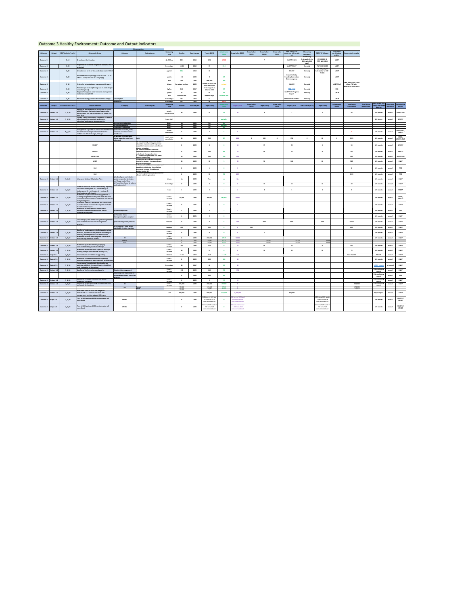|                      |             |                                |                                                                                                                                                     |                                                                                             | <b>Dissagregations</b>                                                                                            |                                   |                        |                      |                                                       |                               |                                      |                               |                               |                               |                                              |                                          |                                       |                                          |                                            |                     |                                 |           |                           |
|----------------------|-------------|--------------------------------|-----------------------------------------------------------------------------------------------------------------------------------------------------|---------------------------------------------------------------------------------------------|-------------------------------------------------------------------------------------------------------------------|-----------------------------------|------------------------|----------------------|-------------------------------------------------------|-------------------------------|--------------------------------------|-------------------------------|-------------------------------|-------------------------------|----------------------------------------------|------------------------------------------|---------------------------------------|------------------------------------------|--------------------------------------------|---------------------|---------------------------------|-----------|---------------------------|
| <b>Outcome</b>       | Output      | <b>SDCF indicator's ref. #</b> | <b>Outcome Indicator</b>                                                                                                                            | Category                                                                                    | Sub-category                                                                                                      | <b>Measuring</b><br>unit          | <b>Baseline</b>        | <b>Baseline vear</b> | <b>Target (2025)</b>                                  | <b>Actual value</b><br>(2021) | Actual value (2022)                  | <b>Actual value</b><br>(2023) | <b>Actual value</b><br>(2024) | <b>Actual value</b><br>(2025) | Data source (full<br>name) and link to data  | <b>Measuring</b><br>frequency            | <b>SDG/PAF linkages</b>               | Custodian /<br>participating<br>entities | Comments / remarks                         |                     |                                 |           |                           |
| <b>Outcome 3</b>     |             | $3_{10}$                       | <b>Greenhouse Gas Emissions</b>                                                                                                                     |                                                                                             |                                                                                                                   | Gg CO2-ed                         | 8021                   | 2016                 | 6196                                                  | 12902                         |                                      |                               |                               |                               | <b>MOEPP 3 BUR</b>                           | <b>Bi-annually</b><br>(retroactively, in | <b>EU SDG 13_10</b>                   | <b>UNDP</b>                              |                                            |                     |                                 |           |                           |
|                      |             |                                | Proportion of a country designated total area that is                                                                                               |                                                                                             |                                                                                                                   |                                   |                        |                      |                                                       |                               |                                      |                               |                               |                               |                                              | 2020 with 2018<br>data)                  | <b>PAF: MK-NI010</b>                  |                                          |                                            |                     |                                 |           |                           |
| <b>Outcome 3</b>     |             | $3_{2}$ 20                     | <i>rotected</i>                                                                                                                                     |                                                                                             |                                                                                                                   | Percentage                        | 10.34                  | 2019                 | 15                                                    | 13.9                          |                                      |                               |                               |                               | MoEPP/UNEP                                   | <b>Annually</b>                          | <b>PAF: MK-NI 008</b><br>EU SDG_11_50 | <b>UNEP</b>                              |                                            |                     |                                 |           |                           |
| <b>Outcome 3</b>     |             | $3 - 30$                       | Annual mean levels of fine particulate matter PM10                                                                                                  |                                                                                             |                                                                                                                   | $\mu$ g/m3                        | 88.2                   | 2018                 |                                                       |                               |                                      |                               |                               |                               | <b>MoEPP</b><br><b>Inter-UN Entity</b>       | <b>Annually</b>                          | PAF: similar to MK -<br>NI 061        | <b>UNDP</b>                              |                                            |                     |                                 |           |                           |
| <b>Outcome 3</b>     |             | $3-40$                         | INFORM Risk Index (2020) (on a scale from 1 to 10<br>where 1 is very low and 10 is very high)                                                       |                                                                                             |                                                                                                                   | point:                            | 2.6                    | 2020                 |                                                       | 2.5                           |                                      |                               |                               |                               | <b>Standing Committee</b><br>Reference group | <b>Annually</b>                          |                                       | <b>UNDP</b>                              |                                            |                     |                                 |           |                           |
| <b>Outcome 3</b>     |             | $3_{-}50$                      | System for integrated pest management in place                                                                                                      |                                                                                             |                                                                                                                   | level<br>binary                   | low<br>system in place | 2020<br>2020         | very low<br>System in place and                       | low<br>not yet                |                                      |                               |                               |                               | <b>MAFWE</b>                                 | <b>Annually</b>                          |                                       | UNDP/FAO                                 | 2022: system not yet in<br>place, TBC with |                     |                                 |           |                           |
| <b>Outcome 3</b>     |             | $3-60$                         | Pesticides per hectare (Average use of pesticide per                                                                                                |                                                                                             |                                                                                                                   | kg/ha                             | 0.22                   | 2017                 | fully functional<br>EU average: 3.14<br>Albania: 2.02 | 0.3                           |                                      |                               |                               |                               | <b>FAO / SSO</b>                             | <b>Annually</b>                          |                                       | <b>FAO</b>                               | Ministry of Agriculture                    |                     |                                 |           |                           |
| Outcome 3            |             | $3_{-}70$                      | area of cropland)<br>Degree of integrated water resources management<br>mplementation (0-100)                                                       |                                                                                             |                                                                                                                   | points                            | - 33                   | 2020                 | m.                                                    |                               |                                      |                               |                               |                               | <b>MoEPP, EU Progress</b><br>Report          | <b>Annually</b>                          |                                       | <b>UNDP</b>                              |                                            |                     |                                 |           |                           |
| Outcome 3            |             | $3_{80}$                       | Renewable energy share in the total final energy:                                                                                                   | consumption                                                                                 |                                                                                                                   | level<br>Percentage               | medium-low<br>26.1     | 2020<br>2018         | medium-high<br>32                                     | medium-low                    |                                      |                               |                               |                               | <b>State Statistical office</b>              | <b>Annually</b>                          |                                       | <b>UNDP</b>                              |                                            |                     |                                 |           |                           |
|                      |             |                                |                                                                                                                                                     | production                                                                                  |                                                                                                                   | Percentage<br>Measuring           | 35.1                   | 2018                 |                                                       | 29.22<br><b>Actual value</b>  |                                      | <b>Actual value</b>           |                               | <b>Actual value</b>           |                                              |                                          |                                       | <b>Actual value</b>                      | <b>Total Target</b>                        | <b>Total Actual</b> | Data source (full               |           | Measuring   Participating |
| Outcome              | Output      | <b>SDCF indicator's ref. #</b> | <b>Output Indicator</b><br>Number of laws and policies developed or revised                                                                         | <b>Category</b>                                                                             | Sub-category                                                                                                      | unit                              | <b>Baseline</b>        | <b>Baseline year</b> | <b>Target (2021)</b>                                  | (2021)                        | <b>Target (2022)</b>                 | (2022)                        | <b>Target (2023)</b>          | (2023)                        | <b>Target (2024)</b>                         | Actual value (2024)                      | <b>Target (2025)</b>                  | (2025)                                   | (cumulative)                               | (cumulative)        | name) and link to<br>data set   | frequency | entities                  |
| <b>Outcome 3</b>     | Output 3.1  | $3_1 10$                       | with UN support that mainstream low emission<br>development and climate resilience at central and<br>local level                                    |                                                                                             |                                                                                                                   | count<br>cummulative              | 10                     | 2020                 | 15                                                    |                               |                                      |                               |                               |                               |                                              |                                          |                                       |                                          | 48                                         |                     | <b>UN reports</b>               | annual    | UNDP, FAO                 |
| <b>Outcome 3</b>     | Output 3.1  | $3_120$                        | Climate change education is introduced in national<br>education policies, curricula, and teacher<br>education/professional development in:          |                                                                                             |                                                                                                                   | Score (tbc)                       |                        |                      |                                                       | partially                     |                                      |                               |                               |                               |                                              |                                          |                                       |                                          |                                            |                     | <b>UN Survey</b>                | annual    | <b>UNICEF</b>             |
|                      |             |                                |                                                                                                                                                     | a) pre-primary education<br>b) primary education<br>c) secondary education                  |                                                                                                                   | Binarv<br><b>Binary</b><br>Binary | No.<br>No<br>No        | 2021<br>2021<br>2021 | Yes<br><b>Yes</b>                                     | No<br>partially<br>No         |                                      |                               |                               |                               |                                              |                                          |                                       |                                          |                                            |                     |                                 |           |                           |
| <b>Outcome 3</b>     | Output 3.1  | $3_1.30:$                      | Strengthened capacities at central and local level for a) Number of models, tools,<br>low-emission development and multi-sector                     | processes and mechanisms                                                                    |                                                                                                                   | count                             |                        | 2020                 |                                                       |                               |                                      |                               |                               |                               |                                              |                                          |                                       |                                          |                                            |                     | <b>UN reports</b>               | annual    | UNDP, FAO,                |
|                      |             |                                | resilience to climate change, through:                                                                                                              | introduced<br>b) Number of beneficiaries                                                    |                                                                                                                   | cumulative<br>count - non-        |                        |                      |                                                       |                               |                                      |                               |                               |                               |                                              |                                          |                                       |                                          |                                            |                     |                                 |           | <b>UNICEF</b><br>UNDP,    |
|                      |             |                                |                                                                                                                                                     | whose capacities have been<br>enhanced:                                                     | <b>Total</b><br>i.e. Educational professionals: state                                                             | cumulative                        |                        | 2020                 | 560                                                   | 283                           | 4340                                 |                               | 155                           |                               | 170                                          |                                          |                                       |                                          | 5525                                       |                     | <b>UN reports</b>               | annual    | UNICEF, FAO               |
|                      |             |                                | <b>UNICEF</b>                                                                                                                                       |                                                                                             | education inspectors with improved<br>capacities in environment and climate                                       |                                   |                        | 2020                 |                                                       |                               |                                      |                               | 15                            |                               | 20                                           |                                          |                                       |                                          | 50                                         |                     | <b>UN reports</b>               | annual    | <b>UNICEF</b>             |
|                      |             |                                | <b>UNICEF</b>                                                                                                                                       |                                                                                             | change education<br>i.b. teachers and educators with<br>improved capacities in environment                        |                                   |                        | 2020                 | 100                                                   |                               |                                      |                               | 50                            |                               | 50                                           |                                          |                                       |                                          | 250                                        |                     | <b>UN reports</b>               | annual    | <b>UNICEF</b>             |
|                      |             |                                | UNDP/FAO                                                                                                                                            |                                                                                             | and climate change education<br>ii. Civil servants (ministries and other<br>central institutions)                 |                                   | -60                    | 2020                 | 340                                                   | 130                           | 120                                  |                               |                               |                               |                                              |                                          |                                       |                                          | 520                                        |                     | <b>UN reports</b>               | annual    | <b>UNDP/FAO</b>           |
|                      |             |                                | <b>UNDP</b>                                                                                                                                         |                                                                                             | iii. Start-ups and SMEs that received<br>mentoring support for clean climate-                                     |                                   | 30                     | 2020                 |                                                       |                               |                                      |                               | 90                            |                               | 100                                          |                                          |                                       |                                          | 545                                        |                     | <b>UN reports</b>               | annual    | <b>UNDP</b>               |
|                      |             |                                | <b>FAO</b>                                                                                                                                          |                                                                                             | friendly technologies<br>iv. National institutions nominated and<br>capable to initiate the Accreditation         |                                   |                        | 2020                 |                                                       |                               |                                      |                               |                               |                               |                                              |                                          |                                       |                                          |                                            |                     | <b>UN reports</b>               | annual    | <b>FAO</b>                |
|                      |             |                                |                                                                                                                                                     |                                                                                             | process to become Direct Access<br><b>Entities for the GCF</b><br>$\vert$ v. Farmers with improved capacities for |                                   |                        |                      |                                                       |                               |                                      |                               |                               |                               |                                              |                                          |                                       |                                          |                                            |                     |                                 |           |                           |
|                      |             |                                | <b>FAO</b>                                                                                                                                          | a) is developed and includes                                                                | climate resilient agriculture                                                                                     |                                   |                        | 2020                 |                                                       |                               | 4069                                 |                               |                               |                               |                                              |                                          |                                       |                                          | 4159                                       |                     | <b>UN reports</b>               | annual    | <b>FAO</b>                |
| <b>Outcome 3</b>     | Output 3.1  | $3_1 40$                       | <b>Integrated National Adaptation Plan:</b>                                                                                                         | gender responsive strategies<br>and disaggregated data<br>b) Proportion of priority actions |                                                                                                                   | binary                            | No.                    | 2020                 | Yes                                                   |                               | No                                   |                               |                               |                               |                                              |                                          |                                       |                                          |                                            |                     | <b>UN reports</b>               | annual    | <b>UNDP</b>               |
|                      |             |                                | <b>Extent to which the National Monitoring, Reporting</b><br>and Verification system on Climate change is                                           | are implemented                                                                             |                                                                                                                   | Percentage                        |                        | 2020                 |                                                       |                               |                                      |                               | 10 <sup>1</sup>               |                               | 10                                           |                                          | 10                                    |                                          | 30                                         |                     | <b>UN reports</b>               | annual    | <b>UNDP</b>               |
| <b>Outcome 3</b>     | Output 3.1  | $3_150$                        | implemented $(1 - not in place; 2 - in place, 3 -$<br>functional and collect data)                                                                  |                                                                                             |                                                                                                                   | Scale                             |                        | 2020                 |                                                       |                               |                                      |                               |                               |                               |                                              |                                          |                                       |                                          |                                            |                     | <b>UN reports</b>               | annual    | <b>UNDP</b>               |
| <b>Outcome 3</b>     | Output 3.1  | $3_1_60$                       | Number of people reached and engaged with a<br>campaign targeted to make public attitudes more<br>conducive to environmental protection and climate |                                                                                             |                                                                                                                   | Count -<br>number                 | 50,000                 | 2020                 | 200,000                                               | 237,331                       | 60000                                |                               |                               |                               |                                              |                                          |                                       |                                          |                                            |                     | <b>UN reports</b>               | annual    | UNDP/<br><b>UNICEF</b>    |
| <b>Outcome 3</b>     | Output 3.1  | $3_1 70$                       | change mitigation<br>System for Tracking, Monitoring and Streamlining<br>of public climate finance in the Republic of North                         |                                                                                             |                                                                                                                   | Count -<br>number                 |                        | 2021                 |                                                       |                               |                                      |                               |                               |                               |                                              |                                          |                                       |                                          |                                            |                     | <b>UN reports</b>               | annual    | <b>UNDP</b>               |
| <b>Outcome 3</b>     | Output 3.2  | $3_2 2_1 0$                    | <u>Macedonia developed</u><br>Number of strategic policies supported for<br>mproved sustainable and inclusive natural                               | a) Laws and policies                                                                        |                                                                                                                   | Count -                           |                        | 2020                 |                                                       |                               |                                      |                               |                               |                               |                                              |                                          |                                       |                                          |                                            |                     | <b>UN reports</b>               | annual    | <b>FAO</b>                |
|                      |             |                                | resources management                                                                                                                                | b) Protected Areas                                                                          |                                                                                                                   | number<br>Count -                 |                        | 2021                 |                                                       |                               |                                      |                               |                               |                               |                                              |                                          |                                       |                                          |                                            |                     |                                 |           |                           |
|                      |             |                                | Total area (ha) that will be managed through better                                                                                                 | Management plans adopted                                                                    |                                                                                                                   | number                            |                        |                      |                                                       |                               |                                      |                               |                               |                               |                                              |                                          |                                       |                                          |                                            |                     | <b>UN reports</b>               | annual    | <b>UNEP</b>               |
| <b>Outcome 3</b>     | Output 3.2  | $3_22_20$                      | sustainable nature resources management<br>practices:                                                                                               | a) land management practices<br>b) orchards in Prespa under                                 |                                                                                                                   | hectares                          |                        | 2020                 |                                                       |                               | 1000                                 |                               | 3000                          |                               | 5000                                         |                                          | 6000                                  |                                          | 15000                                      |                     | <b>UN reports</b>               | annual    | <b>UNEP</b>               |
|                      |             |                                | Number of local governments that apply practical                                                                                                    | sustainable farming practices                                                               |                                                                                                                   | hectares<br>Count -               | 400                    | 2020                 | 200                                                   |                               |                                      | 200                           |                               |                               |                                              |                                          |                                       |                                          | 600                                        |                     | <b>UN reports</b>               | annual    | <b>UNDP</b>               |
| <b>Outcome 3</b>     | Output 3.2  | $3_2_30$                       | methods, approaches and practices for halting or<br>reversing land degradation and deforestation<br>Number of persons benefiting from urban smart   |                                                                                             |                                                                                                                   | number<br><b>Count -</b>          |                        | 2020                 |                                                       |                               |                                      |                               |                               |                               |                                              |                                          |                                       |                                          |                                            |                     | <b>UN reports</b>               | annual    | <b>UNEP</b>               |
| <b>Outcome 3</b>     | Output 3.2  | $3_22_40$                      | measures implemented in cities                                                                                                                      | <b>All</b><br>Female                                                                        |                                                                                                                   | number                            |                        | 2020<br>2020         | 250,000<br>125,000                                    | 67519<br>34235                | 50000<br>25000                       |                               | 30000                         |                               | 40000                                        |                                          | 30000                                 |                                          |                                            |                     | <b>UN reports</b>               | annual    | <b>UNDP</b>               |
| <b>Outcome 3</b>     | Output 3.2  | $3_2_50$                       | Number of agricultural holdings applying<br>ustainable farming practices in Prespa                                                                  | Male                                                                                        |                                                                                                                   | Count -<br>number                 | 200                    | 2020<br>2020         | 125,000<br>150                                        | 33284                         | 25000<br>-50                         |                               | 30000<br>50                   |                               | 40000<br>50                                  |                                          | 30000                                 |                                          | 350                                        |                     | <b>UN reports</b>               | annual    | <b>UNDP</b>               |
| <b>Outcome 3</b>     | Output 3.2  | $3_2_60$                       | Number of accommodation capacities in Prespa<br>offering B&B (unit: households offering B&E)                                                        |                                                                                             |                                                                                                                   | Count -<br>number                 | 10                     | 2020                 |                                                       |                               |                                      |                               | 10                            |                               | 20                                           |                                          | -20                                   |                                          |                                            |                     | <b>UN reports</b>               | annual    | <b>UNDP</b>               |
| <b>Outcome 3</b>     | Output 3.3  | $3_3_10$                       | Total emissions of PM10 in Skopje valley                                                                                                            |                                                                                             |                                                                                                                   | <b>Kilotons</b>                   | 15.68                  | 2018                 | 15.6                                                  | 13.109                        | $13$                                 |                               |                               |                               |                                              |                                          |                                       |                                          | Less than 15                               |                     | <b>MoEPP</b>                    | annual    | <b>UNDP</b>               |
| Outcome 3            | Output 3.3. | $3_{-}3_{-}20$                 | Number of households implementing energy<br>efficiency measures in the areas of UN interventions                                                    |                                                                                             |                                                                                                                   | Count -<br>number                 |                        | 2020                 | 100                                                   | 128                           |                                      |                               |                               |                               |                                              |                                          |                                       |                                          |                                            |                     | <b>UN reports</b>               | annual    | <b>UNDP</b>               |
| <b>Outcome 3</b>     | Output 3.3. | $3_3_3_0$                      | Percentage of households in Skopje who use<br>polluting solid fuels (firewood, heating liquid fuel,                                                 |                                                                                             |                                                                                                                   | Percentage                        | 48                     | 2017                 |                                                       |                               |                                      |                               |                               |                               |                                              |                                          |                                       |                                          |                                            |                     | <b>UNDP survey</b>              | bi-annual | <b>UNDP</b>               |
| <b>Outcome 3</b>     | Output 3.4  | $3_4_10$                       | al) for heating of their places<br>Number of civil servants capacitated in:                                                                         | Disaster risk management                                                                    |                                                                                                                   | Count -<br>number                 | 150                    | 2020                 | 110                                                   |                               | 150                                  |                               |                               |                               |                                              |                                          |                                       |                                          |                                            |                     | <b>UN monitoring</b><br>reports | annual    | <b>UNDP</b>               |
|                      |             |                                |                                                                                                                                                     | preventing and responding to<br>human displacement caused by<br>disasters                   |                                                                                                                   |                                   |                        | 2020                 | 200                                                   |                               |                                      |                               |                               |                               |                                              |                                          |                                       |                                          |                                            |                     | <b>UN</b> monitoring<br>reports | annual    | <b>IOM</b>                |
| <b>Outcome 3</b>     | Output 3.4  | $3_4_20$                       | Number of new data-informed and gender<br>responsive DRR plans                                                                                      |                                                                                             |                                                                                                                   | Count -<br>number                 |                        | 2020                 |                                                       |                               | 10                                   |                               |                               |                               |                                              |                                          |                                       |                                          |                                            |                     | <b>UN</b> monitoring<br>reports | annual    | <b>UNDP</b>               |
| <b>Outcome 3</b>     | Output 3.4  | $3 - 4 - 30$                   | Number of people benefiting from early warning<br>and public alert systems                                                                          | <b>All</b><br>sex                                                                           | Female                                                                                                            | Count -<br>number                 | 195,000<br>97,500      | 2020                 | 250,000<br>125,000                                    | 195000<br>97500               |                                      |                               |                               |                               |                                              |                                          |                                       |                                          | 545,000<br>272,500                         |                     | <b>UN</b> monitoring<br>reports | annual    | <b>UNDP</b>               |
|                      |             |                                | Increase in value of flood risk mitigation                                                                                                          |                                                                                             | Male                                                                                                              |                                   | 97,500                 |                      | 125,000                                               | 97500                         | $\overline{a}$                       |                               |                               |                               |                                              |                                          |                                       |                                          | 272,500                                    |                     |                                 |           |                           |
| <b>Outcome 3</b>     | Output 3.4  | $3_4_40$                       | investments as a result of the flood risks<br>management or other relevant DRR plans                                                                |                                                                                             |                                                                                                                   | <b>USD</b>                        | 300,000                | 2020                 | 500,000<br>240 tons of HCH and                        | 300,000                       | 3,500,000<br>240 tons of HCH and     |                               |                               |                               | 500,000                                      |                                          | 1,151 tons HCH waste                  |                                          |                                            |                     | <b>Expert report</b>            | annual    | <b>UNDP</b>               |
| Outcome 3 Output 3.5 |             | $3_{-}5_{-}10$                 | Tons of HCH waste and HCH contaminated soil<br>emediated                                                                                            | <b>UNOPS</b>                                                                                |                                                                                                                   |                                   |                        | 2020                 | 653 tons of HCH<br>contaminated soil                  |                               | 653 tons of HCH<br>contaminated soil |                               |                               |                               |                                              |                                          | +3,860 tons HCH<br>contaminated soil  |                                          |                                            |                     | <b>UN reports</b>               | annual    | UNOPS/<br><b>UNIDO</b>    |

| Outcome 3 Output 3.5 | Tons of HCH waste and HCH contaminated soil<br>$3_5_20$<br>romodiator <sup>1</sup><br><b>CHICAINTCA</b> | $\cdots$<br>UNIDU | 450 tons HCH waste + $\vert$<br>2020<br>200 tons HCH<br>contaminated soil | 450 tons HCH Wast<br>+200 tons HCH | 450 tons HCH waste<br>200 tons HCH<br>contaminated soi | UNOPS /<br><b>UN reports</b><br><b>SABUSE</b><br>- 911116<br><b>UNIDO</b> |
|----------------------|---------------------------------------------------------------------------------------------------------|-------------------|---------------------------------------------------------------------------|------------------------------------|--------------------------------------------------------|---------------------------------------------------------------------------|

# Outcome 3 Healthy Environment: Outcome and Output indicators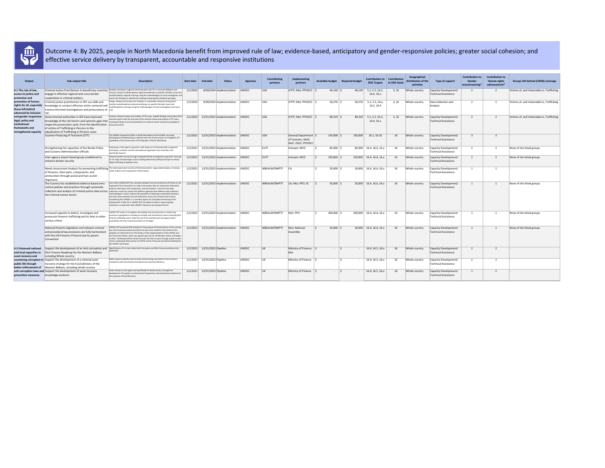| Output                                                                                                 | Sub-output title                                                                                                                                                                                                               | <b>Description</b>                                                                                                                                                                                                                                                                                                                                                                                                                                                                                                                                                                                                                                                                                                                                      | <b>Start date</b> | <b>End date</b>              | <b>Status</b>             | <b>Agencies</b> | <b>Contributing</b><br>partners | mplementing<br>partners                                     | <b>Available budget</b> | <b>Required budge</b> | Contribution to Contribution<br><b>SDG Targets</b> | to SDG Goals | Geographical<br>distribution of the<br>activities | <b>Type of support</b>                               | <b>Contribution t</b><br>Gender<br>mainstreaming | <b>Contribution to</b><br><b>Human rights</b><br>advancement* | <b>Groups left behind (LNOB) coverage</b>  |
|--------------------------------------------------------------------------------------------------------|--------------------------------------------------------------------------------------------------------------------------------------------------------------------------------------------------------------------------------|---------------------------------------------------------------------------------------------------------------------------------------------------------------------------------------------------------------------------------------------------------------------------------------------------------------------------------------------------------------------------------------------------------------------------------------------------------------------------------------------------------------------------------------------------------------------------------------------------------------------------------------------------------------------------------------------------------------------------------------------------------|-------------------|------------------------------|---------------------------|-----------------|---------------------------------|-------------------------------------------------------------|-------------------------|-----------------------|----------------------------------------------------|--------------|---------------------------------------------------|------------------------------------------------------|--------------------------------------------------|---------------------------------------------------------------|--------------------------------------------|
| 4.1 The rule of law,<br>access to justice and<br>protection and                                        | engage in effective regional and cross-border<br>cooperation in criminal matters.                                                                                                                                              | Criminal Justice Practitioners in beneficiary countries Develop and adopt a regional mentoring plan with Tier 1 countries (Belgium and<br>France), conduct multidisciplinary regional workshops on specific thematic issues and<br>multidisciplinary regional trainings using the methodologies of mock investigation and<br>mock trial; Develop an operational roadmap and proposed standard operating                                                                                                                                                                                                                                                                                                                                                 | 1/1/2022          |                              | 4/30/2024 Implementation  | UNODC           | <b>USA</b>                      | ATFP; Mol; PPOOCC                                           | $46,130$ \.             | 46,130                | 5.1, 5.2, 16.2,<br>16.4, 16.a                      | 5, 16        | Whole country                                     | Capacity Development/<br><b>Technical Assistance</b> |                                                  |                                                               | Victims of, and Vulnerable to, Trafficking |
| promotion of human<br>rights for all, especially<br>those left behind<br>advanced by inclusive         | Criminal justice practitioners in SEE use skills and<br>knowledge to conduct effective victim-centered and<br>$\vert$ trauma-informed investigations and prosecutions of $\vert$ trial.                                        | Design, develop and propose for adoption a sustainable national training plans;<br>conduct multidisciplinary national workshops on specific thematic issues and<br>multidisciplinary trainings using the methodologies of mock investigation and mock                                                                                                                                                                                                                                                                                                                                                                                                                                                                                                   | 1/1/2022          |                              | 4/30/2024 Implementation  | <b>UNODC</b>    | <b>USA</b>                      | ATFP; Mol; PPOOCC                                           | $56,576$ $\mid$ \$      | 56,576                | 5.1, 5.2, 16.a,<br>16.2, 16.4                      | 5, 16        | Whole countr                                      | Data Collection and<br>Analysis                      |                                                  |                                                               | Victims of, and Vulnerable to, Trafficking |
| and gender responsive<br>legal, policy and<br>institutional<br>frameworks and<br>strengthened capacity | Governmental authorities in SEE have improved<br>shape the prosecution cycle, from the identification $\vert$ and prosecutions<br>of victims of Trafficking in Persons to the<br>adjudication of Trafficking in Persons cases. | Conduct national reviews and analysis of TIP cases, validate findings and produce final<br>national reports with the outcome of the national review and analysis of TIP cases,<br>knowledge of the risk factors and systemic gaps that including findings and recommendations to improve victim-centered investigations                                                                                                                                                                                                                                                                                                                                                                                                                                 | 1/1/2022          | 12/31/2022 Implementation    |                           | UNODC           | USA                             | $ATFP$ ; Mol; PPOOCC                                        | 89,319                  | 89,319                | 5.1, 5.2, 16.2,<br>16.4, 16.a                      | 5, 16        | Whole country                                     | Capacity Development/<br><b>Technical Assistance</b> |                                                  |                                                               | Victims of, and Vulnerable to, Trafficking |
|                                                                                                        | Counter-Financing of Terrorism (CFT)                                                                                                                                                                                           | The UNODC Programme Office in North Macedonia and the GPML are jointly<br>developing and implementing a national train-the-trainer project to strengthen CFT<br>capabilities of the Government of the Republic of North Macedonia                                                                                                                                                                                                                                                                                                                                                                                                                                                                                                                       | 1/1/2021          | 12/31/2023 Implementation    |                           | UNODC           | <b>USA</b>                      | General Department<br>of Customs; MoD;<br>MoF; OSCE; PPOOCC | 150,000                 | 150,000               | 16.1, 16.10                                        | 16           | Whole country                                     | Capacity Development/<br><b>Technical Assistance</b> |                                                  |                                                               |                                            |
|                                                                                                        | Strengthening the capacities of the Border Police<br>and Customs Administration officials                                                                                                                                      | Employing a multi-agency approach, with exposure to internationally recognised<br>techniques, to better counter transnational organised crime at borders and<br>specifically Airports.                                                                                                                                                                                                                                                                                                                                                                                                                                                                                                                                                                  | 1/1/2021          | 12/31/2023 Implementation    |                           | <b>UNODC</b>    | EUTF                            | Interpol; WCO                                               | 85,000                  | 85,000                | 16.4, 16.6, 16.a                                   | 16           | Whole country                                     | Capacity Development/<br>Technical Assistance        |                                                  |                                                               | None of the listed groups                  |
|                                                                                                        | Inter-agency airport based group established to<br>enhance border security                                                                                                                                                     | Enhance border security through integrated border management approach, focusing<br>on air cargo and passenger control utilizing advanced profiling technique to reduce<br>illegal trafficking and global crime.                                                                                                                                                                                                                                                                                                                                                                                                                                                                                                                                         | 1/1/2021          |                              | 12/31/2023 Implementation | <b>UNODC</b>    | EUTF                            | Interpol; WCO                                               | 230,826                 | 230,826               | 16.4, 16.6, 16.a                                   | 16           | Whole countr                                      | Capacity Development/<br><b>Technical Assistance</b> |                                                  |                                                               | None of the listed groups                  |
|                                                                                                        | of firearms, their parts, components, and<br>ammunition through postal and fast courier<br>shipments                                                                                                                           | Needs Assessment Analysis for preventing trafficking $ \text{The need assessment consists of three documents: 1-gap needs analysis, 2.training$<br>needs analysis and 3.equipment needs analysis.                                                                                                                                                                                                                                                                                                                                                                                                                                                                                                                                                       | 1/1/2021          | 12/31/2023 Implementation    |                           | UNODC           | WBSALWCRMPTF                    | CA                                                          | 50,000                  |                       | $50,000$ 16.4, 16.6, 16.a                          | 16           | Whole country                                     | Capacity Development/<br>Technical Assistance        |                                                  |                                                               |                                            |
|                                                                                                        | The Country has established evidence-based arms<br>control policies and practices through systematic<br>collection and analysis of criminal justice data across<br>the Criminal Justice Sector                                 | Since 2015 UNODC/GFP has received mandate from the Conference of Parties to th<br>Organized Crime Convention to collect and analyse data on seized and confiscated<br>firearms, their parts and components, and ammunition. In the first two data<br>collection rounds has shown that different agencies have different data collection<br>methodologies in place, without the possibility of obtaining comparable statistical<br>and other data overview from all institutions across the Criminal Justice Sector.<br>Considering that UNODC is a custodian agency for the global monitoring of the<br>achievement of SDG 16.4, UNODC GFP has taken the lead in improving data<br>collection in cooperation with UNODC's Research and Analysis Branch. | 1/1/2021          | 12/31/2023 Implementation    |                           | UNODC           | WBSALWCRMPTF                    | CA; Mol; PPO; SC                                            | 50,000                  |                       | $50,000$ 16.4, 16.6, 16.a                          | 16           | Whole country                                     | Capacity Development/<br><b>Technical Assistance</b> |                                                  |                                                               | None of the listed groups                  |
|                                                                                                        | Increased capacity to detect, investigate and<br>prosecute firearms trafficking and its links to other<br>serious crimes                                                                                                       | UNODC GFP works to strengthen the leading role of prosecutors in conducting<br>proactive investigations including of complex and international nature involving illicit<br>firearms trafficking and to make full use of the existing tools and opportunities<br>provided by the new criminal procedure at all stages.                                                                                                                                                                                                                                                                                                                                                                                                                                   | 1/1/2021          |                              | 12/31/2023 Implementation | UNODC           | <b>WBSALWCRMPTF</b>             | Mol; PPO                                                    | 200,000                 | 200,000               | 16.4, 16.6, 16.a                                   | 16           | Whole country                                     | Capacity Development/<br>Technical Assistance        |                                                  |                                                               | None of the listed groups                  |
|                                                                                                        | National firearms legislation and relevant criminal<br>and procedural law provisions are fully harmonized<br>with the UN Firearms Protocol and its parent<br>Convention                                                        | UNODC GFP produced GAP Analysis for the purpose of harmonization of the criminal<br>law and criminal procedure law which has also to be viewed in the context of the<br>adoption of a Mechanism for the Review of the Implementation of the UNTOC and<br>the Protocols thereto, which was agreed upon by the UN Member States, and begins<br>in 2021. The Review will be carried out over the next 12 years through a peer-to-peer<br>review involving all State parties to UNTOC and its Protocols and will be facilitated by<br>the UNODC Secretariat.                                                                                                                                                                                                | 1/1/2021          |                              | 12/31/2023 Implementation | UNODC           | WBSALWCRMPTF                    | MoJ; National<br>Assembly                                   | $50,000$ $\mid$ 3       |                       | $50,000$ 16.4, 16.6, 16.a                          | 16           | Whole country                                     | Capacity Development/<br>Technical Assistance        |                                                  |                                                               | None of the listed groups                  |
| 4.5 Enhanced national<br>and local capacities in<br>asset recovery and                                 | Support the development of an Anti-corruption and<br>Elicit Finance Roadmap for the Western Balkans<br>including Whole country.                                                                                                | Identification of 2-3 most salient Anti Corruption and Illicit Finance priorities to be<br>addressed                                                                                                                                                                                                                                                                                                                                                                                                                                                                                                                                                                                                                                                    | 1/1/2021          | 12/31/2023 Pipeline          |                           | UNODC           | IJK                             | Ministry of Finance;                                        | $\sim$ $\sim$           |                       | 16.4, 16.5, 16.a                                   | 16           | Whole country                                     | Capacity Development/<br>Technical Assistance        |                                                  |                                                               |                                            |
| public life through<br>better enforcement of                                                           | countering corruption in Support the development of a national asset<br>recovery strategy for the 6 jurisdictions of the<br>Western Balkans, including whole country                                                           | Better equip to identify asset recovery shortcomings and needs to then enhance<br>compliance with International Standards and maximize efficiency.                                                                                                                                                                                                                                                                                                                                                                                                                                                                                                                                                                                                      |                   | 1/1/2021 12/31/2023 Pipeline |                           | UNODC           |                                 | Ministry of Finance                                         |                         |                       | 16.4, 16.5, 16.a                                   | 16           | Whole country                                     | Capacity Development/<br>Technical Assistance        |                                                  |                                                               |                                            |
| preventive measures                                                                                    | anti-corruption laws and Support the development of asset recovery<br>knowledge products                                                                                                                                       | Asset recovery in the region and specifically for whole country, through the<br>development of 3 guides on International Cooperation and enhanced procedures for<br>the purposes of Asset Recovery.                                                                                                                                                                                                                                                                                                                                                                                                                                                                                                                                                     | 1/1/2021          | 12/31/2023 Pipeline          |                           | UNODC           |                                 | Ministry of Finance                                         |                         |                       | 16.4, 16.5, 16.a                                   | 16           | Whole country                                     | Capacity Development/<br>Technical Assistance        |                                                  |                                                               |                                            |



## Outcome 4: By 2025, people in North Macedonia benefit from improved rule of law; evidence-based, anticipatory and gender-responsive policies; greater social cohesion; and effective service delivery by transparent, accountable and responsive institutions